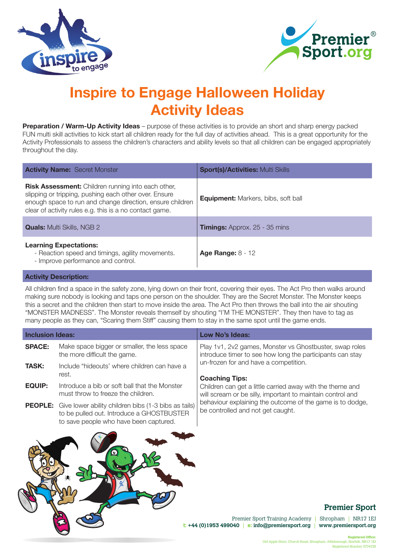



# **Inspire to Engage Halloween Holiday Activity Ideas**

**Preparation / Warm-Up Activity Ideas** – purpose of these activities is to provide an short and sharp energy packed FUN multi skill activities to kick start all children ready for the full day of activities ahead. This is a great opportunity for the Activity Professionals to assess the children's characters and ability levels so that all children can be engaged appropriately throughout the day.

| <b>Activity Name: Secret Monster</b>                                                                                                                                                                                                       | <b>Sport(s)/Activities: Multi Skills</b>   |
|--------------------------------------------------------------------------------------------------------------------------------------------------------------------------------------------------------------------------------------------|--------------------------------------------|
| <b>Risk Assessment:</b> Children running into each other,<br>slipping or tripping, pushing each other over. Ensure<br>enough space to run and change direction, ensure children<br>clear of activity rules e.g. this is a no contact game. | <b>Equipment:</b> Markers, bibs, soft ball |
| <b>Quals:</b> Multi Skills, NGB 2                                                                                                                                                                                                          | <b>Timings:</b> Approx. 25 - 35 mins       |
| <b>Learning Expectations:</b><br>- Reaction speed and timings, agility movements.<br>- Improve performance and control.                                                                                                                    | Age Range: $8 - 12$                        |

#### **Activity Description:**

All children find a space in the safety zone, lying down on their front, covering their eyes. The Act Pro then walks around making sure nobody is looking and taps one person on the shoulder. They are the Secret Monster. The Monster keeps this a secret and the children then start to move inside the area. The Act Pro then throws the ball into the air shouting "MONSTER MADNESS". The Monster reveals themself by shouting "I'M THE MONSTER". They then have to tag as many people as they can, "Scaring them Stiff" causing them to stay in the same spot until the game ends.

| <b>Inclusion Ideas:</b> |                                                                                                                                                            | Low No's Ideas:                                                                                                         |
|-------------------------|------------------------------------------------------------------------------------------------------------------------------------------------------------|-------------------------------------------------------------------------------------------------------------------------|
| <b>SPACE:</b>           | Make space bigger or smaller, the less space<br>the more difficult the game.                                                                               | Play 1v1, 2v2 games, Monster vs Ghostbuster, swap roles<br>introduce timer to see how long the participants can stay    |
| <b>TASK:</b>            | Include "hideouts' where children can have a<br>rest.                                                                                                      | un-frozen for and have a competition.<br><b>Coaching Tips:</b>                                                          |
| <b>EQUIP:</b>           | Introduce a bib or soft ball that the Monster<br>must throw to freeze the children.                                                                        | Children can get a little carried away with the theme and<br>will scream or be silly, important to maintain control and |
|                         | <b>PEOPLE:</b> Give lower ability children bibs (1-3 bibs as tails)<br>to be pulled out. Introduce a GHOSTBUSTER<br>to save people who have been captured. | behaviour explaining the outcome of the game is to dodge,<br>be controlled and not get caught.                          |
|                         |                                                                                                                                                            | <b>Premier Spor</b>                                                                                                     |

## **Premier Sport**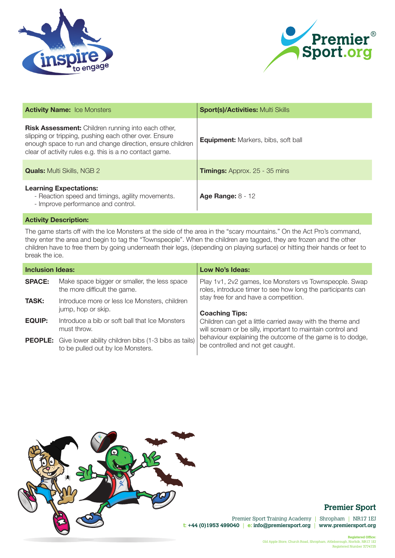



| <b>Sport(s)/Activities: Multi Skills</b>   |
|--------------------------------------------|
| <b>Equipment:</b> Markers, bibs, soft ball |
| <b>Timings:</b> Approx. 25 - 35 mins       |
| <b>Age Range: 8 - 12</b>                   |
|                                            |

The game starts off with the Ice Monsters at the side of the area in the "scary mountains." On the Act Pro's command, they enter the area and begin to tag the "Townspeople". When the children are tagged, they are frozen and the other children have to free them by going underneath their legs, (depending on playing surface) or hitting their hands or feet to break the ice.

| <b>Inclusion Ideas:</b> |                                                                                                          | Low No's Ideas:                                                                                                                                                                                                           |
|-------------------------|----------------------------------------------------------------------------------------------------------|---------------------------------------------------------------------------------------------------------------------------------------------------------------------------------------------------------------------------|
| <b>SPACE:</b>           | Make space bigger or smaller, the less space<br>the more difficult the game.                             | Play 1v1, 2v2 games, Ice Monsters vs Townspeople. Swap<br>roles, introduce timer to see how long the participants can                                                                                                     |
| <b>TASK:</b>            | Introduce more or less Ice Monsters, children<br>jump, hop or skip.                                      | stay free for and have a competition.<br><b>Coaching Tips:</b>                                                                                                                                                            |
| EQUIP:                  | Introduce a bib or soft ball that Ice Monsters<br>must throw.                                            | Children can get a little carried away with the theme and<br>will scream or be silly, important to maintain control and<br>behaviour explaining the outcome of the game is to dodge,<br>be controlled and not get caught. |
|                         | <b>PEOPLE:</b> Give lower ability children bibs (1-3 bibs as tails)<br>to be pulled out by Ice Monsters. |                                                                                                                                                                                                                           |



# **Premier Sport**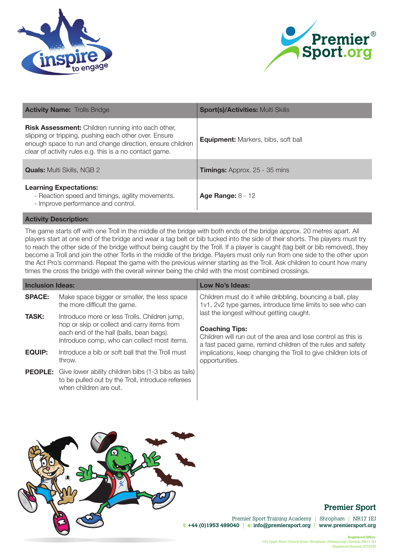



| <b>Activity Name: Trolls Bridge</b>                                                                                                                                                                                                        | <b>Sport(s)/Activities: Multi Skills</b>   |
|--------------------------------------------------------------------------------------------------------------------------------------------------------------------------------------------------------------------------------------------|--------------------------------------------|
| <b>Risk Assessment:</b> Children running into each other,<br>slipping or tripping, pushing each other over. Ensure<br>enough space to run and change direction, ensure children<br>clear of activity rules e.g. this is a no contact game. | <b>Equipment:</b> Markers, bibs, soft ball |
| <b>Quals:</b> Multi Skills, NGB 2                                                                                                                                                                                                          | <b>Timings:</b> Approx. 25 - 35 mins       |
| <b>Learning Expectations:</b><br>- Reaction speed and timings, agility movements.<br>- Improve performance and control.                                                                                                                    | <b>Age Range: 8 - 12</b>                   |

The game starts off with one Troll in the middle of the bridge with both ends of the bridge approx. 20 metres apart. All players start at one end of the bridge and wear a tag belt or bib tucked into the side of their shorts. The players must try to reach the other side of the bridge without being caught by the Troll. If a player is caught (tag belt or bib removed), they become a Troll and join the other Torlls in the middle of the bridge. Players must only run from one side to the other upon the Act Pro's command. Repeat the game with the previous winner starting as the Troll. Ask children to count how many times the cross the bridge with the overall winner being the child with the most combined crossings.

| <b>Inclusion Ideas:</b> |                                                                                                                                                                                         | Low No's Ideas:                                                                                                                                                                                                                                                                                                                                                                                                 |
|-------------------------|-----------------------------------------------------------------------------------------------------------------------------------------------------------------------------------------|-----------------------------------------------------------------------------------------------------------------------------------------------------------------------------------------------------------------------------------------------------------------------------------------------------------------------------------------------------------------------------------------------------------------|
| <b>SPACE:</b>           | Make space bigger or smaller, the less space<br>the more difficult the game.                                                                                                            | Children must do it while dribbling, bouncing a ball, play<br>1v1, 2v2 type games, introduce time limits to see who can<br>last the longest without getting caught.<br><b>Coaching Tips:</b><br>Children will run out of the area and lose control as this is<br>a fast paced game, remind children of the rules and safety<br>implications, keep changing the Troll to give children lots of<br>opportunities. |
| <b>TASK:</b>            | Introduce more or less Trolls. Children jump,<br>hop or skip or collect and carry items from<br>each end of the hall (balls, bean bags).<br>Introduce comp, who can collect most items. |                                                                                                                                                                                                                                                                                                                                                                                                                 |
| <b>EQUIP:</b>           | Introduce a bib or soft ball that the Troll must<br>throw.                                                                                                                              |                                                                                                                                                                                                                                                                                                                                                                                                                 |
|                         | <b>PEOPLE:</b> Give lower ability children bibs (1-3 bibs as tails)<br>to be pulled out by the Troll, introduce referees<br>when children are out.                                      |                                                                                                                                                                                                                                                                                                                                                                                                                 |



## **Premier Sport**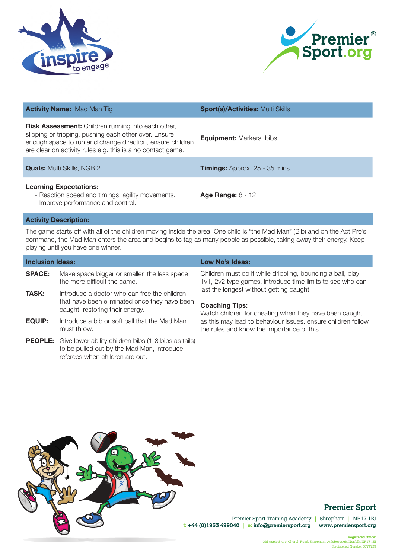



| <b>Activity Name: Mad Man Tig.</b>                                                                                                                                                                                                             | <b>Sport(s)/Activities: Multi Skills</b> |
|------------------------------------------------------------------------------------------------------------------------------------------------------------------------------------------------------------------------------------------------|------------------------------------------|
| <b>Risk Assessment:</b> Children running into each other,<br>slipping or tripping, pushing each other over. Ensure<br>enough space to run and change direction, ensure children<br>are clear on activity rules e.g. this is a no contact game. | <b>Equipment:</b> Markers, bibs          |
| <b>Quals:</b> Multi Skills, NGB 2                                                                                                                                                                                                              | <b>Timings:</b> Approx. 25 - 35 mins     |
| <b>Learning Expectations:</b><br>- Reaction speed and timings, agility movements.<br>- Improve performance and control.                                                                                                                        | Age Range: $8 - 12$                      |
| <b>Activity Description:</b>                                                                                                                                                                                                                   |                                          |

The game starts off with all of the children moving inside the area. One child is "the Mad Man" (Bib) and on the Act Pro's command, the Mad Man enters the area and begins to tag as many people as possible, taking away their energy. Keep playing until you have one winner.

| <b>Inclusion Ideas:</b> |                                                                                                                                                      | Low No's Ideas:                                                                                                             |
|-------------------------|------------------------------------------------------------------------------------------------------------------------------------------------------|-----------------------------------------------------------------------------------------------------------------------------|
| <b>SPACE:</b>           | Make space bigger or smaller, the less space<br>the more difficult the game.                                                                         | Children must do it while dribbling, bouncing a ball, play<br>1v1, 2v2 type games, introduce time limits to see who can     |
| <b>TASK:</b>            | Introduce a doctor who can free the children<br>that have been eliminated once they have been<br>caught, restoring their energy.                     | last the longest without getting caught.<br><b>Coaching Tips:</b><br>Watch children for cheating when they have been caught |
| EQUIP:                  | Introduce a bib or soft ball that the Mad Man<br>must throw.                                                                                         | as this may lead to behaviour issues, ensure children follow<br>the rules and know the importance of this.                  |
|                         | <b>PEOPLE:</b> Give lower ability children bibs (1-3 bibs as tails)<br>to be pulled out by the Mad Man, introduce<br>referees when children are out. |                                                                                                                             |



# **Premier Sport**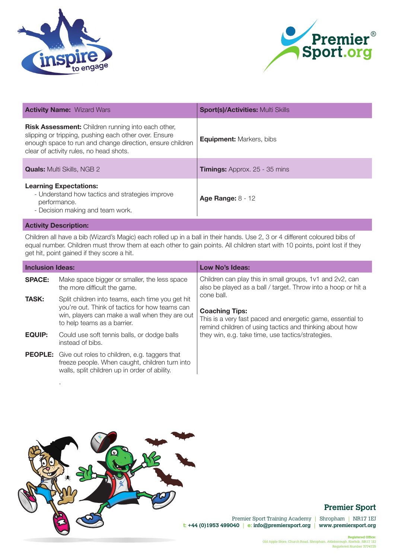



| <b>Activity Name: Wizard Wars</b>                                                                                                                                                                                          | <b>Sport(s)/Activities: Multi Skills</b> |
|----------------------------------------------------------------------------------------------------------------------------------------------------------------------------------------------------------------------------|------------------------------------------|
| <b>Risk Assessment:</b> Children running into each other,<br>slipping or tripping, pushing each other over. Ensure<br>enough space to run and change direction, ensure children<br>clear of activity rules, no head shots. | <b>Equipment: Markers, bibs</b>          |
| <b>Quals:</b> Multi Skills, NGB 2                                                                                                                                                                                          | <b>Timings:</b> Approx. 25 - 35 mins     |
| <b>Learning Expectations:</b><br>- Understand how tactics and strategies improve<br>performance.<br>- Decision making and team work.                                                                                       | <b>Age Range: 8 - 12</b>                 |
| <b>Activity Description:</b>                                                                                                                                                                                               |                                          |

Children all have a bib (Wizard's Magic) each rolled up in a ball in their hands. Use 2, 3 or 4 different coloured bibs of equal number. Children must throw them at each other to gain points. All children start with 10 points, point lost if they get hit, point gained if they score a hit.

| <b>Inclusion Ideas:</b> |                                                                                                                                                                                     | Low No's Ideas:                                                                                                                                                                                                                                                                           |
|-------------------------|-------------------------------------------------------------------------------------------------------------------------------------------------------------------------------------|-------------------------------------------------------------------------------------------------------------------------------------------------------------------------------------------------------------------------------------------------------------------------------------------|
| <b>SPACE:</b>           | Make space bigger or smaller, the less space<br>the more difficult the game.                                                                                                        | Children can play this in small groups, 1v1 and 2v2, can<br>also be played as a ball / target. Throw into a hoop or hit a<br>cone ball.<br><b>Coaching Tips:</b><br>This is a very fast paced and energetic game, essential to<br>remind children of using tactics and thinking about how |
| <b>TASK:</b>            | Split children into teams, each time you get hit<br>you're out. Think of tactics for how teams can<br>win, players can make a wall when they are out<br>to help teams as a barrier. |                                                                                                                                                                                                                                                                                           |
| <b>EQUIP:</b>           | Could use soft tennis balls, or dodge balls<br>instead of bibs.                                                                                                                     | they win, e.g. take time, use tactics/strategies.                                                                                                                                                                                                                                         |
|                         | <b>PEOPLE:</b> Give out roles to children, e.g. taggers that<br>freeze people. When caught, children turn into<br>walls, split children up in order of ability.                     |                                                                                                                                                                                                                                                                                           |



.

# **Premier Sport**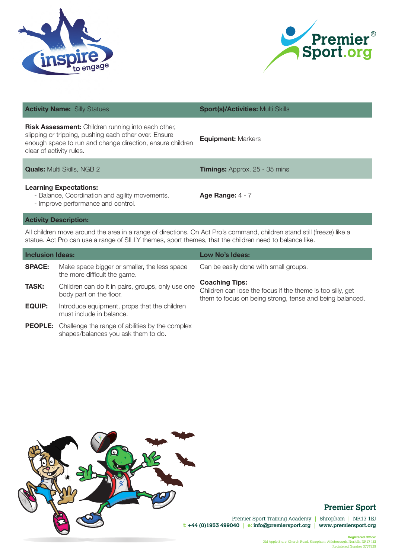



| <b>Activity Name: Silly Statues</b>                                                                                                                                                                         | <b>Sport(s)/Activities: Multi Skills</b> |
|-------------------------------------------------------------------------------------------------------------------------------------------------------------------------------------------------------------|------------------------------------------|
| <b>Risk Assessment:</b> Children running into each other,<br>slipping or tripping, pushing each other over. Ensure<br>enough space to run and change direction, ensure children<br>clear of activity rules. | <b>Equipment: Markers</b>                |
| <b>Quals:</b> Multi Skills, NGB 2                                                                                                                                                                           | <b>Timings:</b> Approx. 25 - 35 mins     |
| <b>Learning Expectations:</b><br>- Balance, Coordination and agility movements.<br>- Improve performance and control.                                                                                       | Age Range: $4 - 7$                       |
| <b>Activity Description:</b>                                                                                                                                                                                |                                          |

All children move around the area in a range of directions. On Act Pro's command, children stand still (freeze) like a statue. Act Pro can use a range of SILLY themes, sport themes, that the children need to balance like.

| <b>Inclusion Ideas:</b> |                                                                                                       | Low No's Ideas:                                                                                                                                 |
|-------------------------|-------------------------------------------------------------------------------------------------------|-------------------------------------------------------------------------------------------------------------------------------------------------|
| <b>SPACE:</b>           | Make space bigger or smaller, the less space<br>the more difficult the game.                          | Can be easily done with small groups.                                                                                                           |
| <b>TASK:</b>            | Children can do it in pairs, groups, only use one<br>body part on the floor.                          | <b>Coaching Tips:</b><br>Children can lose the focus if the theme is too silly, get<br>them to focus on being strong, tense and being balanced. |
| <b>EQUIP:</b>           | Introduce equipment, props that the children<br>must include in balance.                              |                                                                                                                                                 |
|                         | <b>PEOPLE:</b> Challenge the range of abilities by the complex<br>shapes/balances you ask them to do. |                                                                                                                                                 |



# **Premier Sport**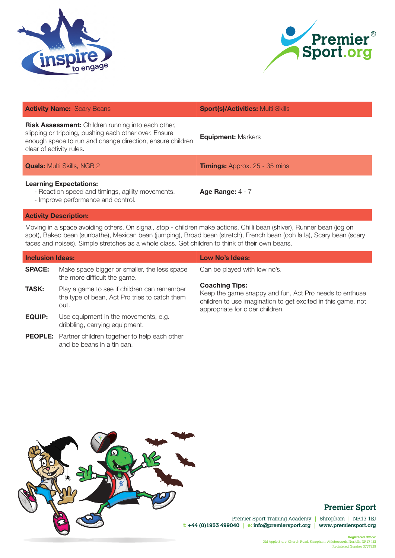



| <b>Activity Name: Scary Beans</b>                                                                                                                                                                           | <b>Sport(s)/Activities: Multi Skills</b> |
|-------------------------------------------------------------------------------------------------------------------------------------------------------------------------------------------------------------|------------------------------------------|
| <b>Risk Assessment:</b> Children running into each other,<br>slipping or tripping, pushing each other over. Ensure<br>enough space to run and change direction, ensure children<br>clear of activity rules. | <b>Equipment: Markers</b>                |
| <b>Quals:</b> Multi Skills, NGB 2                                                                                                                                                                           | <b>Timings:</b> Approx. 25 - 35 mins     |
| <b>Learning Expectations:</b><br>- Reaction speed and timings, agility movements.<br>- Improve performance and control.                                                                                     | Age Range: $4 - 7$                       |

Moving in a space avoiding others. On signal, stop - children make actions. Chilli bean (shiver), Runner bean (jog on spot), Baked bean (sunbathe), Mexican bean (jumping), Broad bean (stretch), French bean (ooh la la), Scary bean (scary faces and noises). Simple stretches as a whole class. Get children to think of their own beans.

| <b>Inclusion Ideas:</b> |                                                                                                      | Low No's Ideas:                                                                                                                                                                    |
|-------------------------|------------------------------------------------------------------------------------------------------|------------------------------------------------------------------------------------------------------------------------------------------------------------------------------------|
| <b>SPACE:</b>           | Make space bigger or smaller, the less space<br>the more difficult the game.                         | Can be played with low no's.                                                                                                                                                       |
| <b>TASK:</b>            | Play a game to see if children can remember<br>the type of bean, Act Pro tries to catch them<br>out. | <b>Coaching Tips:</b><br>Keep the game snappy and fun, Act Pro needs to enthuse<br>children to use imagination to get excited in this game, not<br>appropriate for older children. |
| <b>EQUIP:</b>           | Use equipment in the movements, e.g.<br>dribbling, carrying equipment.                               |                                                                                                                                                                                    |
|                         | <b>PEOPLE:</b> Partner children together to help each other<br>and be beans in a tin can.            |                                                                                                                                                                                    |



# **Premier Sport**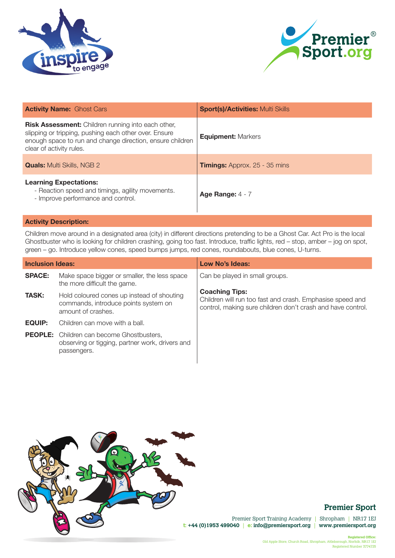



| <b>Activity Name: Ghost Cars</b>                                                                                                                                                                            | <b>Sport(s)/Activities: Multi Skills</b> |
|-------------------------------------------------------------------------------------------------------------------------------------------------------------------------------------------------------------|------------------------------------------|
| <b>Risk Assessment:</b> Children running into each other,<br>slipping or tripping, pushing each other over. Ensure<br>enough space to run and change direction, ensure children<br>clear of activity rules. | <b>Equipment: Markers</b>                |
| <b>Quals:</b> Multi Skills, NGB 2                                                                                                                                                                           | <b>Timings:</b> Approx. 25 - 35 mins     |
| <b>Learning Expectations:</b><br>- Reaction speed and timings, agility movements.<br>- Improve performance and control.                                                                                     | Age Range: $4 - 7$                       |

Children move around in a designated area (city) in different directions pretending to be a Ghost Car. Act Pro is the local Ghostbuster who is looking for children crashing, going too fast. Introduce, traffic lights, red – stop, amber – jog on spot, green – go. Introduce yellow cones, speed bumps jumps, red cones, roundabouts, blue cones, U-turns.

| <b>Inclusion Ideas:</b> |                                                                                                                    | Low No's Ideas:                                                                                                                                   |
|-------------------------|--------------------------------------------------------------------------------------------------------------------|---------------------------------------------------------------------------------------------------------------------------------------------------|
| <b>SPACE:</b>           | Make space bigger or smaller, the less space<br>the more difficult the game.                                       | Can be played in small groups.                                                                                                                    |
| <b>TASK:</b>            | Hold coloured cones up instead of shouting<br>commands, introduce points system on<br>amount of crashes.           | <b>Coaching Tips:</b><br>Children will run too fast and crash. Emphasise speed and<br>control, making sure children don't crash and have control. |
| EQUIP:                  | Children can move with a ball.                                                                                     |                                                                                                                                                   |
|                         | <b>PEOPLE:</b> Children can become Ghostbusters,<br>observing or tigging, partner work, drivers and<br>passengers. |                                                                                                                                                   |



# **Premier Sport**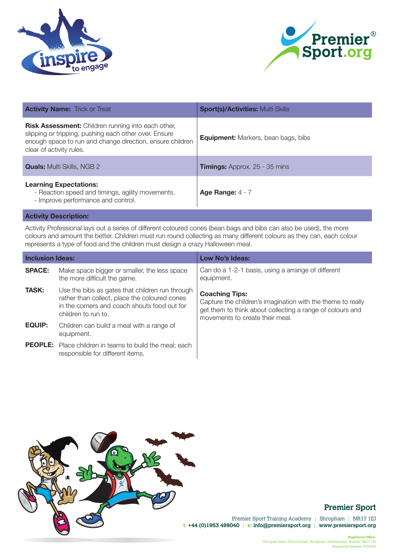



| <b>Activity Name: Trick or Treat</b>                                                                                                                                                                        | <b>Sport(s)/Activities: Multi Skills</b>   |
|-------------------------------------------------------------------------------------------------------------------------------------------------------------------------------------------------------------|--------------------------------------------|
| <b>Risk Assessment:</b> Children running into each other,<br>slipping or tripping, pushing each other over. Ensure<br>enough space to run and change direction, ensure children<br>clear of activity rules. | <b>Equipment:</b> Markers, bean bags, bibs |
| <b>Quals:</b> Multi Skills, NGB 2                                                                                                                                                                           | <b>Timings:</b> Approx. 25 - 35 mins       |
| <b>Learning Expectations:</b><br>- Reaction speed and timings, agility movements.<br>- Improve performance and control.                                                                                     | Age Range: $4 - 7$                         |

Activity Professional lays out a series of different coloured cones (bean bags and bibs can also be used), the more colours and amount the better. Children must run round collecting as many different colours as they can, each colour represents a type of food and the children must design a crazy Halloween meal.

| <b>Inclusion Ideas:</b> |                                                                                                                                                                         | Low No's Ideas:                                                                                                                                                                      |
|-------------------------|-------------------------------------------------------------------------------------------------------------------------------------------------------------------------|--------------------------------------------------------------------------------------------------------------------------------------------------------------------------------------|
| <b>SPACE:</b>           | Make space bigger or smaller, the less space<br>the more difficult the game.                                                                                            | Can do a 1-2-1 basis, using a arrange of different<br>equipment.                                                                                                                     |
| <b>TASK:</b>            | Use the bibs as gates that children run through<br>rather than collect, place the coloured cones<br>in the corners and coach shouts food out for<br>children to run to. | <b>Coaching Tips:</b><br>Capture the children's imagination with the theme to really<br>get them to think about collecting a range of colours and<br>movements to create their meal. |
| <b>EQUIP:</b>           | Children can build a meal with a range of<br>equipment.                                                                                                                 |                                                                                                                                                                                      |
|                         | <b>PEOPLE:</b> Place children in teams to build the meal; each<br>responsible for different items.                                                                      |                                                                                                                                                                                      |



# **Premier Sport**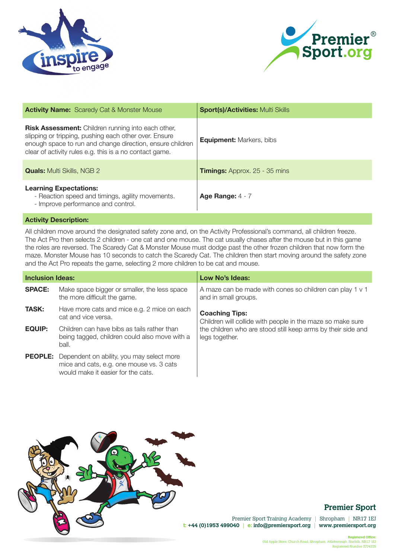



| <b>Activity Name:</b> Scaredy Cat & Monster Mouse                                                                                                                                                                                          | <b>Sport(s)/Activities: Multi Skills</b> |
|--------------------------------------------------------------------------------------------------------------------------------------------------------------------------------------------------------------------------------------------|------------------------------------------|
| <b>Risk Assessment:</b> Children running into each other,<br>slipping or tripping, pushing each other over. Ensure<br>enough space to run and change direction, ensure children<br>clear of activity rules e.g. this is a no contact game. | <b>Equipment: Markers, bibs</b>          |
| <b>Quals:</b> Multi Skills, NGB 2                                                                                                                                                                                                          | <b>Timings:</b> Approx. 25 - 35 mins     |
| <b>Learning Expectations:</b><br>- Reaction speed and timings, agility movements.<br>- Improve performance and control.                                                                                                                    | Age Range: $4 - 7$                       |

All children move around the designated safety zone and, on the Activity Professional's command, all children freeze. The Act Pro then selects 2 children - one cat and one mouse. The cat usually chases after the mouse but in this game the roles are reversed. The Scaredy Cat & Monster Mouse must dodge past the other frozen children that now form the maze. Monster Mouse has 10 seconds to catch the Scaredy Cat. The children then start moving around the safety zone and the Act Pro repeats the game, selecting 2 more children to be cat and mouse.

| <b>Inclusion Ideas:</b> |                                                                                                                                            | Low No's Ideas:                                                                     |
|-------------------------|--------------------------------------------------------------------------------------------------------------------------------------------|-------------------------------------------------------------------------------------|
| <b>SPACE:</b>           | Make space bigger or smaller, the less space<br>the more difficult the game.                                                               | A maze can be made with cones so children can play 1 v 1<br>and in small groups.    |
| <b>TASK:</b>            | Have more cats and mice e.g. 2 mice on each<br>cat and vice versa.                                                                         | <b>Coaching Tips:</b><br>Children will collide with people in the maze so make sure |
| <b>EQUIP:</b>           | Children can have bibs as tails rather than<br>being tagged, children could also move with a<br>ball.                                      | the children who are stood still keep arms by their side and<br>legs together.      |
|                         | <b>PEOPLE:</b> Dependent on ability, you may select more<br>mice and cats, e.g. one mouse vs. 3 cats<br>would make it easier for the cats. |                                                                                     |



## **Premier Sport**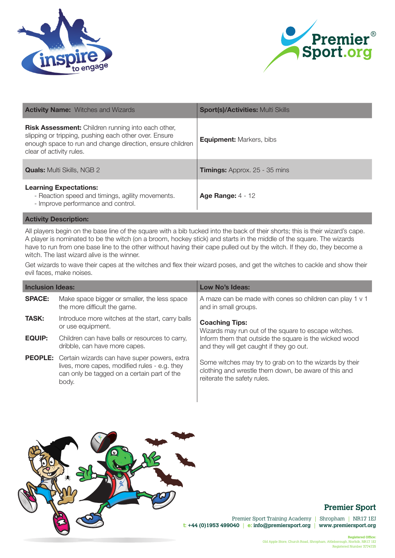



| <b>Activity Name:</b> Witches and Wizards                                                                                                                                                                   | <b>Sport(s)/Activities: Multi Skills</b> |
|-------------------------------------------------------------------------------------------------------------------------------------------------------------------------------------------------------------|------------------------------------------|
| <b>Risk Assessment:</b> Children running into each other,<br>slipping or tripping, pushing each other over. Ensure<br>enough space to run and change direction, ensure children<br>clear of activity rules. | <b>Equipment: Markers, bibs</b>          |
| <b>Quals:</b> Multi Skills, NGB 2                                                                                                                                                                           | <b>Timings:</b> Approx. 25 - 35 mins     |
| <b>Learning Expectations:</b><br>- Reaction speed and timings, agility movements.<br>- Improve performance and control.                                                                                     | <b>Age Range: 4 - 12</b>                 |

All players begin on the base line of the square with a bib tucked into the back of their shorts; this is their wizard's cape. A player is nominated to be the witch (on a broom, hockey stick) and starts in the middle of the square. The wizards have to run from one base line to the other without having their cape pulled out by the witch. If they do, they become a witch. The last wizard alive is the winner.

Get wizards to wave their capes at the witches and flex their wizard poses, and get the witches to cackle and show their evil faces, make noises.

| <b>Inclusion Ideas:</b> |                                                                                                                                                                      | Low No's Ideas:                                                                                                                                |
|-------------------------|----------------------------------------------------------------------------------------------------------------------------------------------------------------------|------------------------------------------------------------------------------------------------------------------------------------------------|
| <b>SPACE:</b>           | Make space bigger or smaller, the less space<br>the more difficult the game.                                                                                         | A maze can be made with cones so children can play 1 v 1<br>and in small groups.                                                               |
| <b>TASK:</b>            | Introduce more witches at the start, carry balls<br>or use equipment.                                                                                                | <b>Coaching Tips:</b><br>Wizards may run out of the square to escape witches.                                                                  |
| <b>EQUIP:</b>           | Children can have balls or resources to carry,<br>dribble, can have more capes.                                                                                      | Inform them that outside the square is the wicked wood<br>and they will get caught if they go out.                                             |
|                         | <b>PEOPLE:</b> Certain wizards can have super powers, extra<br>lives, more capes, modified rules - e.g. they<br>can only be tagged on a certain part of the<br>body. | Some witches may try to grab on to the wizards by their<br>clothing and wrestle them down, be aware of this and<br>reiterate the safety rules. |



## **Premier Sport**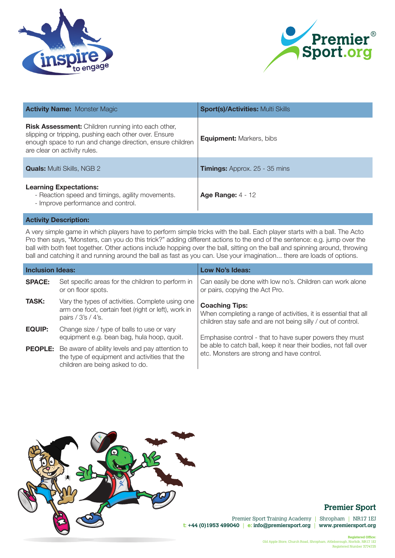



| <b>Activity Name: Monster Magic</b>                                                                                                                                                                             | <b>Sport(s)/Activities: Multi Skills</b> |
|-----------------------------------------------------------------------------------------------------------------------------------------------------------------------------------------------------------------|------------------------------------------|
| <b>Risk Assessment:</b> Children running into each other,<br>slipping or tripping, pushing each other over. Ensure<br>enough space to run and change direction, ensure children<br>are clear on activity rules. | <b>Equipment: Markers, bibs</b>          |
| <b>Quals:</b> Multi Skills, NGB 2                                                                                                                                                                               | <b>Timings:</b> Approx. 25 - 35 mins     |
| <b>Learning Expectations:</b><br>- Reaction speed and timings, agility movements.<br>- Improve performance and control.                                                                                         | Age Range: $4 - 12$                      |

A very simple game in which players have to perform simple tricks with the ball. Each player starts with a ball. The Acto Pro then says, "Monsters, can you do this trick?" adding different actions to the end of the sentence: e.g. jump over the ball with both feet together. Other actions include hopping over the ball, sitting on the ball and spinning around, throwing ball and catching it and running around the ball as fast as you can. Use your imagination... there are loads of options.

| <b>Inclusion Ideas:</b> |                                                                                                                                                    | <b>Low No's Ideas:</b>                                                                                                                                   |
|-------------------------|----------------------------------------------------------------------------------------------------------------------------------------------------|----------------------------------------------------------------------------------------------------------------------------------------------------------|
| <b>SPACE:</b>           | Set specific areas for the children to perform in<br>or on floor spots.                                                                            | Can easily be done with low no's. Children can work alone<br>or pairs, copying the Act Pro.                                                              |
| <b>TASK:</b>            | Vary the types of activities. Complete using one<br>arm one foot, certain feet (right or left), work in<br>pairs / 3's / 4's.                      | <b>Coaching Tips:</b><br>When completing a range of activities, it is essential that all<br>children stay safe and are not being silly / out of control. |
| <b>EQUIP:</b>           | Change size / type of balls to use or vary<br>equipment e.g. bean bag, hula hoop, quoit.                                                           | Emphasise control - that to have super powers they must                                                                                                  |
|                         | <b>PEOPLE:</b> Be aware of ability levels and pay attention to<br>the type of equipment and activities that the<br>children are being asked to do. | be able to catch ball, keep it near their bodies, not fall over<br>etc. Monsters are strong and have control.                                            |



## **Premier Sport**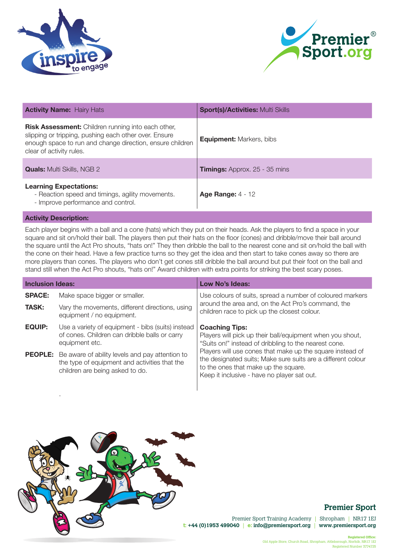



| <b>Activity Name: Hairy Hats</b>                                                                                                                                                                            | <b>Sport(s)/Activities: Multi Skills</b> |
|-------------------------------------------------------------------------------------------------------------------------------------------------------------------------------------------------------------|------------------------------------------|
| <b>Risk Assessment:</b> Children running into each other,<br>slipping or tripping, pushing each other over. Ensure<br>enough space to run and change direction, ensure children<br>clear of activity rules. | <b>Equipment: Markers, bibs</b>          |
| <b>Quals:</b> Multi Skills, NGB 2                                                                                                                                                                           | <b>Timings:</b> Approx. 25 - 35 mins     |
| <b>Learning Expectations:</b><br>- Reaction speed and timings, agility movements.<br>- Improve performance and control.                                                                                     | <b>Age Range: 4 - 12</b>                 |

.

Each player begins with a ball and a cone (hats) which they put on their heads. Ask the players to find a space in your square and sit on/hold their ball. The players then put their hats on the floor (cones) and dribble/move their ball around the square until the Act Pro shouts, "hats on!" They then dribble the ball to the nearest cone and sit on/hold the ball with the cone on their head. Have a few practice turns so they get the idea and then start to take cones away so there are more players than cones. The players who don't get cones still dribble the ball around but put their foot on the ball and stand still when the Act Pro shouts, "hats on!" Award children with extra points for striking the best scary poses.

| <b>Inclusion Ideas:</b> |                                                                                                                                                    | Low No's Ideas:                                                                                                                                                                                                  |
|-------------------------|----------------------------------------------------------------------------------------------------------------------------------------------------|------------------------------------------------------------------------------------------------------------------------------------------------------------------------------------------------------------------|
| <b>SPACE:</b>           | Make space bigger or smaller.                                                                                                                      | Use colours of suits, spread a number of coloured markers                                                                                                                                                        |
| <b>TASK:</b>            | Vary the movements, different directions, using<br>equipment / no equipment.                                                                       | around the area and, on the Act Pro's command, the<br>children race to pick up the closest colour.                                                                                                               |
| <b>EQUIP:</b>           | Use a variety of equipment - bibs (suits) instead<br>of cones. Children can dribble balls or carry<br>equipment etc.                               | <b>Coaching Tips:</b><br>Players will pick up their ball/equipment when you shout,<br>"Suits on!" instead of dribbling to the nearest cone.                                                                      |
|                         | <b>PEOPLE:</b> Be aware of ability levels and pay attention to<br>the type of equipment and activities that the<br>children are being asked to do. | Players will use cones that make up the square instead of<br>the designated suits; Make sure suits are a different colour<br>to the ones that make up the square.<br>Keep it inclusive - have no player sat out. |



## **Premier Sport**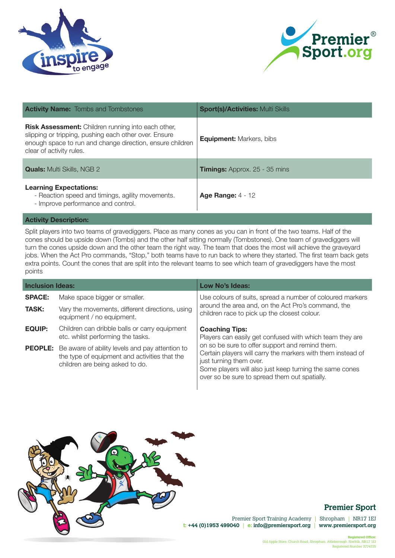



| <b>Activity Name:</b> Tombs and Tombstones                                                                                                                                                                  | <b>Sport(s)/Activities: Multi Skills</b> |
|-------------------------------------------------------------------------------------------------------------------------------------------------------------------------------------------------------------|------------------------------------------|
| <b>Risk Assessment:</b> Children running into each other,<br>slipping or tripping, pushing each other over. Ensure<br>enough space to run and change direction, ensure children<br>clear of activity rules. | <b>Equipment:</b> Markers, bibs          |
| <b>Quals:</b> Multi Skills, NGB 2                                                                                                                                                                           | <b>Timings:</b> Approx. 25 - 35 mins     |
| <b>Learning Expectations:</b><br>- Reaction speed and timings, agility movements.<br>- Improve performance and control.                                                                                     | Age Range: $4 - 12$                      |

Split players into two teams of gravediggers. Place as many cones as you can in front of the two teams. Half of the cones should be upside down (Tombs) and the other half sitting normally (Tombstones). One team of gravediggers will turn the cones upside down and the other team the right way. The team that does the most will achieve the graveyard jobs. When the Act Pro commands, "Stop," both teams have to run back to where they started. The first team back gets extra points. Count the cones that are split into the relevant teams to see which team of gravediggers have the most points

| <b>Inclusion Ideas:</b> |                                                                                                                                                    | <b>Low No's Ideas:</b>                                                                                                                                                                                                                                |
|-------------------------|----------------------------------------------------------------------------------------------------------------------------------------------------|-------------------------------------------------------------------------------------------------------------------------------------------------------------------------------------------------------------------------------------------------------|
| <b>SPACE:</b>           | Make space bigger or smaller.                                                                                                                      | Use colours of suits, spread a number of coloured markers                                                                                                                                                                                             |
| <b>TASK:</b>            | Vary the movements, different directions, using<br>equipment / no equipment.                                                                       | around the area and, on the Act Pro's command, the<br>children race to pick up the closest colour.                                                                                                                                                    |
| <b>EQUIP:</b>           | Children can dribble balls or carry equipment<br>etc. whilst performing the tasks.                                                                 | <b>Coaching Tips:</b><br>Players can easily get confused with which team they are                                                                                                                                                                     |
|                         | <b>PEOPLE:</b> Be aware of ability levels and pay attention to<br>the type of equipment and activities that the<br>children are being asked to do. | on so be sure to offer support and remind them.<br>Certain players will carry the markers with them instead of<br>just turning them over.<br>Some players will also just keep turning the same cones<br>over so be sure to spread them out spatially. |



## **Premier Sport**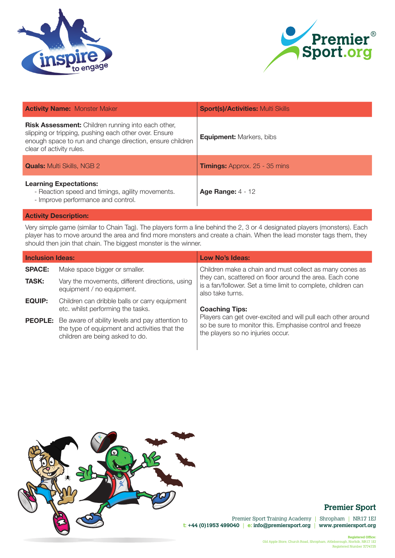



| <b>Activity Name: Monster Maker</b>                                                                                                                                                                         | <b>Sport(s)/Activities: Multi Skills</b> |
|-------------------------------------------------------------------------------------------------------------------------------------------------------------------------------------------------------------|------------------------------------------|
| <b>Risk Assessment:</b> Children running into each other,<br>slipping or tripping, pushing each other over. Ensure<br>enough space to run and change direction, ensure children<br>clear of activity rules. | <b>Equipment: Markers, bibs</b>          |
| <b>Quals:</b> Multi Skills, NGB 2                                                                                                                                                                           | <b>Timings:</b> Approx. 25 - 35 mins     |
| <b>Learning Expectations:</b><br>- Reaction speed and timings, agility movements.<br>- Improve performance and control.                                                                                     | Age Range: $4 - 12$                      |

Very simple game (similar to Chain Tag). The players form a line behind the 2, 3 or 4 designated players (monsters). Each player has to move around the area and find more monsters and create a chain. When the lead monster tags them, they should then join that chain. The biggest monster is the winner.

| <b>Inclusion Ideas:</b> |                                                                                                                                                    | Low No's Ideas:                                                                                                                                               |
|-------------------------|----------------------------------------------------------------------------------------------------------------------------------------------------|---------------------------------------------------------------------------------------------------------------------------------------------------------------|
| <b>SPACE:</b>           | Make space bigger or smaller.                                                                                                                      | Children make a chain and must collect as many cones as                                                                                                       |
| <b>TASK:</b>            | Vary the movements, different directions, using<br>equipment / no equipment.                                                                       | they can, scattered on floor around the area. Each cone<br>is a fan/follower. Set a time limit to complete, children can<br>also take turns.                  |
| <b>EQUIP:</b>           | Children can dribble balls or carry equipment<br>etc. whilst performing the tasks.                                                                 | <b>Coaching Tips:</b>                                                                                                                                         |
|                         | <b>PEOPLE:</b> Be aware of ability levels and pay attention to<br>the type of equipment and activities that the<br>children are being asked to do. | Players can get over-excited and will pull each other around<br>so be sure to monitor this. Emphasise control and freeze<br>the players so no injuries occur. |



## **Premier Sport**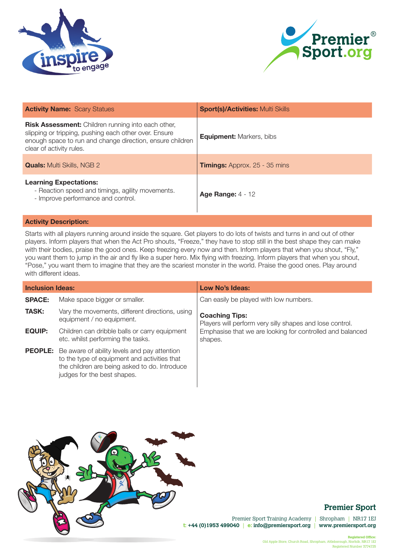



| <b>Activity Name: Scary Statues</b>                                                                                                                                                                         | <b>Sport(s)/Activities: Multi Skills</b> |
|-------------------------------------------------------------------------------------------------------------------------------------------------------------------------------------------------------------|------------------------------------------|
| <b>Risk Assessment:</b> Children running into each other,<br>slipping or tripping, pushing each other over. Ensure<br>enough space to run and change direction, ensure children<br>clear of activity rules. | <b>Equipment:</b> Markers, bibs          |
| <b>Quals:</b> Multi Skills, NGB 2                                                                                                                                                                           | <b>Timings:</b> Approx. 25 - 35 mins     |
| <b>Learning Expectations:</b><br>- Reaction speed and timings, agility movements.<br>- Improve performance and control.                                                                                     | <b>Age Range: 4 - 12</b>                 |

Starts with all players running around inside the square. Get players to do lots of twists and turns in and out of other players. Inform players that when the Act Pro shouts, "Freeze," they have to stop still in the best shape they can make with their bodies, praise the good ones. Keep freezing every now and then. Inform players that when you shout, "Fly," you want them to jump in the air and fly like a super hero. Mix flying with freezing. Inform players that when you shout, "Pose," you want them to imagine that they are the scariest monster in the world. Praise the good ones. Play around with different ideas.

| <b>Inclusion Ideas:</b> |                                                                                                                                                                                             | Low No's Ideas:                                                                   |
|-------------------------|---------------------------------------------------------------------------------------------------------------------------------------------------------------------------------------------|-----------------------------------------------------------------------------------|
| <b>SPACE:</b>           | Make space bigger or smaller.                                                                                                                                                               | Can easily be played with low numbers.                                            |
| <b>TASK:</b>            | Vary the movements, different directions, using<br>equipment / no equipment.                                                                                                                | <b>Coaching Tips:</b><br>Players will perform very silly shapes and lose control. |
| <b>EQUIP:</b>           | Children can dribble balls or carry equipment<br>etc. whilst performing the tasks.                                                                                                          | Emphasise that we are looking for controlled and balanced<br>shapes.              |
|                         | <b>PEOPLE:</b> Be aware of ability levels and pay attention<br>to the type of equipment and activities that<br>the children are being asked to do. Introduce<br>judges for the best shapes. |                                                                                   |



## **Premier Sport**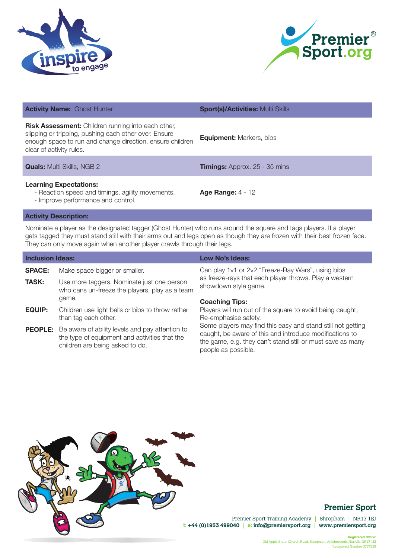



| <b>Activity Name: Ghost Hunter</b>                                                                                                                                                                          | <b>Sport(s)/Activities: Multi Skills</b> |
|-------------------------------------------------------------------------------------------------------------------------------------------------------------------------------------------------------------|------------------------------------------|
| <b>Risk Assessment:</b> Children running into each other,<br>slipping or tripping, pushing each other over. Ensure<br>enough space to run and change direction, ensure children<br>clear of activity rules. | <b>Equipment: Markers, bibs</b>          |
| <b>Quals:</b> Multi Skills, NGB 2                                                                                                                                                                           | <b>Timings:</b> Approx. 25 - 35 mins     |
| <b>Learning Expectations:</b><br>- Reaction speed and timings, agility movements.<br>- Improve performance and control.                                                                                     | Age Range: $4 - 12$                      |

Nominate a player as the designated tagger (Ghost Hunter) who runs around the square and tags players. If a player gets tagged they must stand still with their arms out and legs open as though they are frozen with their best frozen face. They can only move again when another player crawls through their legs.

| <b>Inclusion Ideas:</b> |                                                                                                                                                    | Low No's Ideas:                                                                                                                                                                                             |
|-------------------------|----------------------------------------------------------------------------------------------------------------------------------------------------|-------------------------------------------------------------------------------------------------------------------------------------------------------------------------------------------------------------|
| <b>SPACE:</b>           | Make space bigger or smaller.                                                                                                                      | Can play 1v1 or 2v2 "Freeze-Ray Wars", using bibs                                                                                                                                                           |
| <b>TASK:</b>            | Use more taggers. Nominate just one person<br>who cans un-freeze the players, play as a team                                                       | as freeze-rays that each player throws. Play a western<br>showdown style game.                                                                                                                              |
|                         | game.                                                                                                                                              | <b>Coaching Tips:</b>                                                                                                                                                                                       |
| <b>EQUIP:</b>           | Children use light balls or bibs to throw rather<br>than tag each other.                                                                           | Players will run out of the square to avoid being caught;<br>Re-emphasise safety.                                                                                                                           |
|                         | <b>PEOPLE:</b> Be aware of ability levels and pay attention to<br>the type of equipment and activities that the<br>children are being asked to do. | Some players may find this easy and stand still not getting<br>caught, be aware of this and introduce modifications to<br>the game, e.g. they can't stand still or must save as many<br>people as possible. |



# **Premier Sport**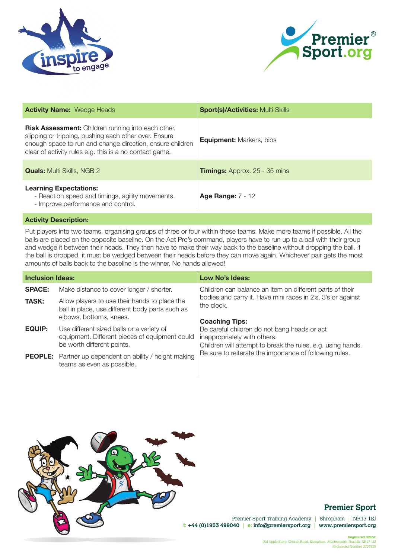



| <b>Activity Name: Wedge Heads</b>                                                                                                                                                                                                          | <b>Sport(s)/Activities: Multi Skills</b> |
|--------------------------------------------------------------------------------------------------------------------------------------------------------------------------------------------------------------------------------------------|------------------------------------------|
| <b>Risk Assessment:</b> Children running into each other,<br>slipping or tripping, pushing each other over. Ensure<br>enough space to run and change direction, ensure children<br>clear of activity rules e.g. this is a no contact game. | <b>Equipment: Markers, bibs</b>          |
| <b>Quals:</b> Multi Skills, NGB 2                                                                                                                                                                                                          | <b>Timings:</b> Approx. 25 - 35 mins     |
| <b>Learning Expectations:</b><br>- Reaction speed and timings, agility movements.<br>- Improve performance and control.                                                                                                                    | <b>Age Range: 7 - 12</b>                 |

Put players into two teams, organising groups of three or four within these teams. Make more teams if possible. All the balls are placed on the opposite baseline. On the Act Pro's command, players have to run up to a ball with their group and wedge it between their heads. They then have to make their way back to the baseline without dropping the ball. If the ball is dropped, it must be wedged between their heads before they can move again. Whichever pair gets the most amounts of balls back to the baseline is the winner. No hands allowed!

| <b>Inclusion Ideas:</b> |                                                                                                                             | <b>Low No's Ideas:</b>                                                                                                                      |
|-------------------------|-----------------------------------------------------------------------------------------------------------------------------|---------------------------------------------------------------------------------------------------------------------------------------------|
| <b>SPACE:</b>           | Make distance to cover longer / shorter.                                                                                    | Children can balance an item on different parts of their                                                                                    |
| <b>TASK:</b>            | Allow players to use their hands to place the<br>ball in place, use different body parts such as<br>elbows, bottoms, knees. | bodies and carry it. Have mini races in 2's, 3's or against<br>the clock.<br><b>Coaching Tips:</b>                                          |
| <b>EQUIP:</b>           | Use different sized balls or a variety of<br>equipment. Different pieces of equipment could<br>be worth different points.   | Be careful children do not bang heads or act<br>inappropriately with others.<br>Children will attempt to break the rules, e.g. using hands. |
|                         | <b>PEOPLE:</b> Partner up dependent on ability / height making<br>teams as even as possible.                                | Be sure to reiterate the importance of following rules.                                                                                     |



## **Premier Sport**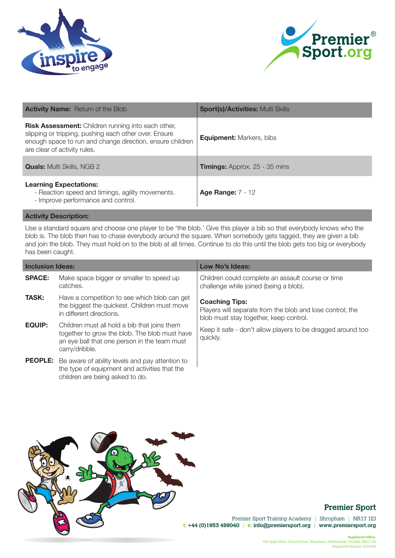



| <b>Activity Name:</b> Return of the Blob                                                                                                                                                                        | <b>Sport(s)/Activities: Multi Skills</b> |
|-----------------------------------------------------------------------------------------------------------------------------------------------------------------------------------------------------------------|------------------------------------------|
| <b>Risk Assessment:</b> Children running into each other,<br>slipping or tripping, pushing each other over. Ensure<br>enough space to run and change direction, ensure children<br>are clear of activity rules. | <b>Equipment: Markers, bibs</b>          |
| <b>Quals:</b> Multi Skills, NGB 2                                                                                                                                                                               | <b>Timings:</b> Approx. 25 - 35 mins     |
| <b>Learning Expectations:</b><br>- Reaction speed and timings, agility movements.<br>- Improve performance and control.                                                                                         | <b>Age Range: 7 - 12</b>                 |

Use a standard square and choose one player to be 'the blob.' Give this player a bib so that everybody knows who the blob is. The blob then has to chase everybody around the square. When somebody gets tagged, they are given a bib and join the blob. They must hold on to the blob at all times. Continue to do this until the blob gets too big or everybody has been caught.

| <b>Inclusion Ideas:</b> |                                                                                                                                                                 | Low No's Ideas:                                                                                                              |
|-------------------------|-----------------------------------------------------------------------------------------------------------------------------------------------------------------|------------------------------------------------------------------------------------------------------------------------------|
| <b>SPACE:</b>           | Make space bigger or smaller to speed up<br>catches.                                                                                                            | Children could complete an assault course or time<br>challenge while joined (being a blob).                                  |
| <b>TASK:</b>            | Have a competition to see which blob can get<br>the biggest the quickest. Children must move<br>in different directions.                                        | <b>Coaching Tips:</b><br>Players will separate from the blob and lose control; the<br>blob must stay together, keep control. |
| <b>EQUIP:</b>           | Children must all hold a bib that joins them<br>together to grow the blob. The blob must have<br>an eye ball that one person in the team must<br>carry/dribble. | Keep it safe - don't allow players to be dragged around too<br>quickly.                                                      |
|                         | <b>PEOPLE:</b> Be aware of ability levels and pay attention to<br>the type of equipment and activities that the<br>children are being asked to do.              |                                                                                                                              |



# **Premier Sport**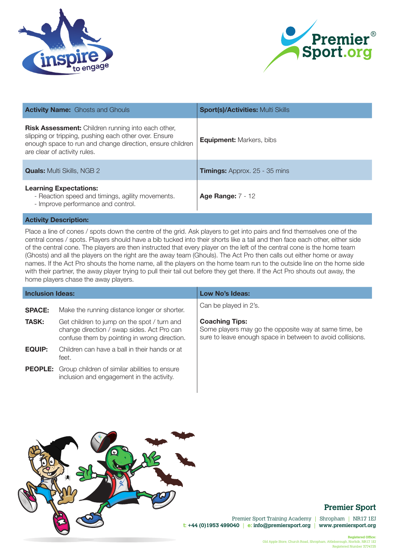



| <b>Activity Name:</b> Ghosts and Ghouls                                                                                                                                                                         | <b>Sport(s)/Activities: Multi Skills</b> |
|-----------------------------------------------------------------------------------------------------------------------------------------------------------------------------------------------------------------|------------------------------------------|
| <b>Risk Assessment:</b> Children running into each other,<br>slipping or tripping, pushing each other over. Ensure<br>enough space to run and change direction, ensure children<br>are clear of activity rules. | <b>Equipment: Markers, bibs</b>          |
| <b>Quals:</b> Multi Skills, NGB 2                                                                                                                                                                               | <b>Timings:</b> Approx. 25 - 35 mins     |
| <b>Learning Expectations:</b><br>- Reaction speed and timings, agility movements.<br>- Improve performance and control.                                                                                         | <b>Age Range: 7 - 12</b>                 |

Place a line of cones / spots down the centre of the grid. Ask players to get into pairs and find themselves one of the central cones / spots. Players should have a bib tucked into their shorts like a tail and then face each other, either side of the central cone. The players are then instructed that every player on the left of the central cone is the home team (Ghosts) and all the players on the right are the away team (Ghouls). The Act Pro then calls out either home or away names. If the Act Pro shouts the home name, all the players on the home team run to the outside line on the home side with their partner, the away player trying to pull their tail out before they get there. If the Act Pro shouts out away, the home players chase the away players.

| <b>Inclusion Ideas:</b> |                                                                                                                                           | <b>Low No's Ideas:</b>                                                                                                                       |
|-------------------------|-------------------------------------------------------------------------------------------------------------------------------------------|----------------------------------------------------------------------------------------------------------------------------------------------|
| <b>SPACE:</b>           | Make the running distance longer or shorter.                                                                                              | Can be played in 2's.                                                                                                                        |
| <b>TASK:</b>            | Get children to jump on the spot / turn and<br>change direction / swap sides. Act Pro can<br>confuse them by pointing in wrong direction. | <b>Coaching Tips:</b><br>Some players may go the opposite way at same time, be<br>sure to leave enough space in between to avoid collisions. |
| <b>EQUIP:</b>           | Children can have a ball in their hands or at<br>feet.                                                                                    |                                                                                                                                              |
|                         | <b>PEOPLE:</b> Group children of similar abilities to ensure<br>inclusion and engagement in the activity.                                 |                                                                                                                                              |



## **Premier Sport**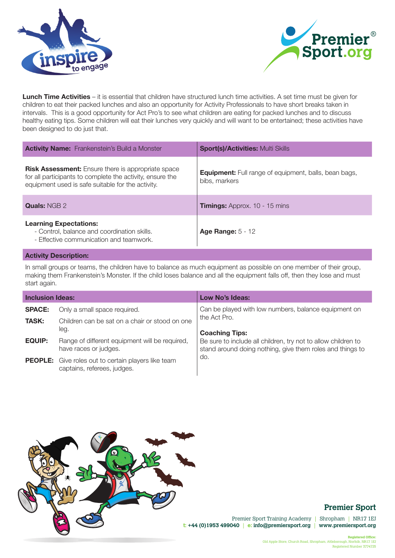



**Lunch Time Activities** – it is essential that children have structured lunch time activities. A set time must be given for children to eat their packed lunches and also an opportunity for Activity Professionals to have short breaks taken in intervals. This is a good opportunity for Act Pro's to see what children are eating for packed lunches and to discuss healthy eating tips. Some children will eat their lunches very quickly and will want to be entertained; these activities have been designed to do just that.

| <b>Activity Name:</b> Frankenstein's Build a Monster                                                                                                                        | <b>Sport(s)/Activities: Multi Skills</b>                                      |
|-----------------------------------------------------------------------------------------------------------------------------------------------------------------------------|-------------------------------------------------------------------------------|
| <b>Risk Assessment:</b> Ensure there is appropriate space<br>for all participants to complete the activity, ensure the<br>equipment used is safe suitable for the activity. | <b>Equipment:</b> Full range of equipment, balls, bean bags,<br>bibs, markers |
| <b>Quals: NGB 2</b>                                                                                                                                                         | <b>Timings:</b> Approx. 10 - 15 mins                                          |
| <b>Learning Expectations:</b><br>- Control, balance and coordination skills.<br>- Effective communication and teamwork.                                                     | Age Range: $5 - 12$                                                           |

#### **Activity Description:**

In small groups or teams, the children have to balance as much equipment as possible on one member of their group, making them Frankenstein's Monster. If the child loses balance and all the equipment falls off, then they lose and must start again.

| <b>Inclusion Ideas:</b> |                                                                                           | Low No's Ideas:                                                                                                            |
|-------------------------|-------------------------------------------------------------------------------------------|----------------------------------------------------------------------------------------------------------------------------|
| <b>SPACE:</b>           | Only a small space required.                                                              | Can be played with low numbers, balance equipment on                                                                       |
| <b>TASK:</b>            | Children can be sat on a chair or stood on one<br>leg.                                    | the Act Pro.<br><b>Coaching Tips:</b>                                                                                      |
| <b>EQUIP:</b>           | Range of different equipment will be required,<br>have races or judges.                   | Be sure to include all children, try not to allow children to<br>stand around doing nothing, give them roles and things to |
|                         | <b>PEOPLE:</b> Give roles out to certain players like team<br>captains, referees, judges. | do.                                                                                                                        |



## **Premier Sport**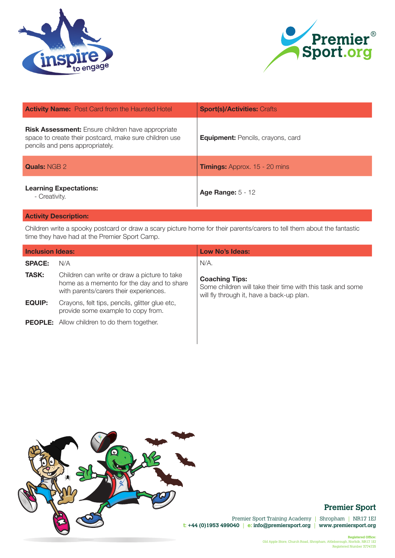



| <b>Activity Name:</b> Post Card from the Haunted Hotel                                                                                                | <b>Sport(s)/Activities: Crafts</b>       |
|-------------------------------------------------------------------------------------------------------------------------------------------------------|------------------------------------------|
| <b>Risk Assessment:</b> Ensure children have appropriate<br>space to create their postcard, make sure children use<br>pencils and pens appropriately. | <b>Equipment:</b> Pencils, crayons, card |
| <b>Quals: NGB 2</b>                                                                                                                                   | <b>Timings:</b> Approx. 15 - 20 mins     |
| <b>Learning Expectations:</b><br>- Creativity.                                                                                                        | Age Range: $5 - 12$                      |

Children write a spooky postcard or draw a scary picture home for their parents/carers to tell them about the fantastic time they have had at the Premier Sport Camp.

| <b>Inclusion Ideas:</b> |                                                                                                                                      | Low No's Ideas:                                                                                                                  |
|-------------------------|--------------------------------------------------------------------------------------------------------------------------------------|----------------------------------------------------------------------------------------------------------------------------------|
| <b>SPACE:</b>           | N/A                                                                                                                                  | $N/A$ .                                                                                                                          |
| <b>TASK:</b>            | Children can write or draw a picture to take<br>home as a memento for the day and to share<br>with parents/carers their experiences. | <b>Coaching Tips:</b><br>Some children will take their time with this task and some<br>will fly through it, have a back-up plan. |
| <b>EQUIP:</b>           | Crayons, felt tips, pencils, glitter glue etc.<br>provide some example to copy from.                                                 |                                                                                                                                  |
|                         | <b>PEOPLE:</b> Allow children to do them together.                                                                                   |                                                                                                                                  |



# **Premier Sport**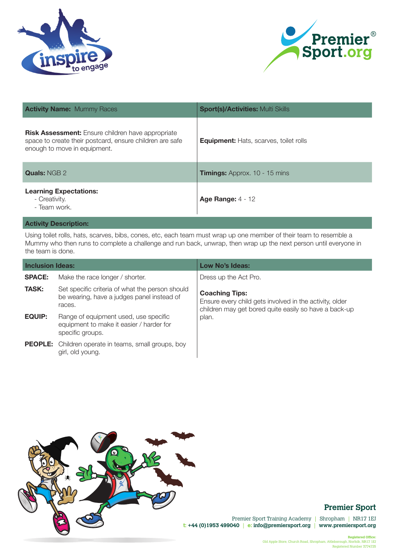



| <b>Activity Name: Mummy Races</b>                                                                                                                    | <b>Sport(s)/Activities: Multi Skills</b>      |
|------------------------------------------------------------------------------------------------------------------------------------------------------|-----------------------------------------------|
| <b>Risk Assessment:</b> Ensure children have appropriate<br>space to create their postcard, ensure children are safe<br>enough to move in equipment. | <b>Equipment:</b> Hats, scarves, toilet rolls |
| <b>Quals: NGB 2</b>                                                                                                                                  | <b>Timings:</b> Approx. 10 - 15 mins          |
| <b>Learning Expectations:</b><br>- Creativity.<br>- Team work.                                                                                       | <b>Age Range: 4 - 12</b>                      |
|                                                                                                                                                      |                                               |

Using toilet rolls, hats, scarves, bibs, cones, etc, each team must wrap up one member of their team to resemble a Mummy who then runs to complete a challenge and run back, unwrap, then wrap up the next person until everyone in the team is done.

| <b>Inclusion Ideas:</b> |                                                                                                         | Low No's Ideas:                                                                                                                           |
|-------------------------|---------------------------------------------------------------------------------------------------------|-------------------------------------------------------------------------------------------------------------------------------------------|
| <b>SPACE:</b>           | Make the race longer / shorter.                                                                         | Dress up the Act Pro.                                                                                                                     |
| <b>TASK:</b>            | Set specific criteria of what the person should<br>be wearing, have a judges panel instead of<br>races. | <b>Coaching Tips:</b><br>Ensure every child gets involved in the activity, older<br>children may get bored quite easily so have a back-up |
| <b>EQUIP:</b>           | Range of equipment used, use specific<br>equipment to make it easier / harder for<br>specific groups.   | plan.                                                                                                                                     |
|                         | <b>PEOPLE:</b> Children operate in teams, small groups, boy<br>girl, old young.                         |                                                                                                                                           |



# **Premier Sport**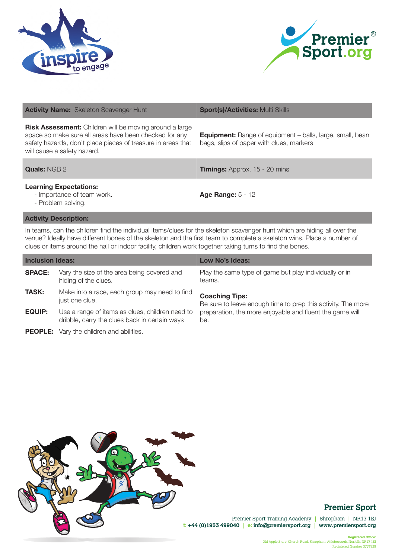



| <b>Activity Name:</b> Skeleton Scavenger Hunt                                                                                                                                                                    | <b>Sport(s)/Activities: Multi Skills</b>                                                                     |
|------------------------------------------------------------------------------------------------------------------------------------------------------------------------------------------------------------------|--------------------------------------------------------------------------------------------------------------|
| Risk Assessment: Children will be moving around a large<br>space so make sure all areas have been checked for any<br>safety hazards, don't place pieces of treasure in areas that<br>will cause a safety hazard. | <b>Equipment:</b> Range of equipment – balls, large, small, bean<br>bags, slips of paper with clues, markers |
| <b>Quals: NGB 2</b>                                                                                                                                                                                              | <b>Timings:</b> Approx. 15 - 20 mins                                                                         |
| <b>Learning Expectations:</b><br>- Importance of team work.<br>- Problem solving.                                                                                                                                | <b>Age Range: 5 - 12</b>                                                                                     |

In teams, can the children find the individual items/clues for the skeleton scavenger hunt which are hiding all over the venue? Ideally have different bones of the skeleton and the first team to complete a skeleton wins. Place a number of clues or items around the hall or indoor facility, children work together taking turns to find the bones.

| <b>Inclusion Ideas:</b> |                                                                                                  | Low No's Ideas:                                                                       |
|-------------------------|--------------------------------------------------------------------------------------------------|---------------------------------------------------------------------------------------|
| <b>SPACE:</b>           | Vary the size of the area being covered and<br>hiding of the clues.                              | Play the same type of game but play individually or in<br>teams.                      |
| <b>TASK:</b>            | Make into a race, each group may need to find<br>just one clue.                                  | <b>Coaching Tips:</b><br>Be sure to leave enough time to prep this activity. The more |
| <b>EQUIP:</b>           | Use a range of items as clues, children need to<br>dribble, carry the clues back in certain ways | preparation, the more enjoyable and fluent the game will<br>be.                       |
|                         | <b>PEOPLE:</b> Vary the children and abilities.                                                  |                                                                                       |



# **Premier Sport**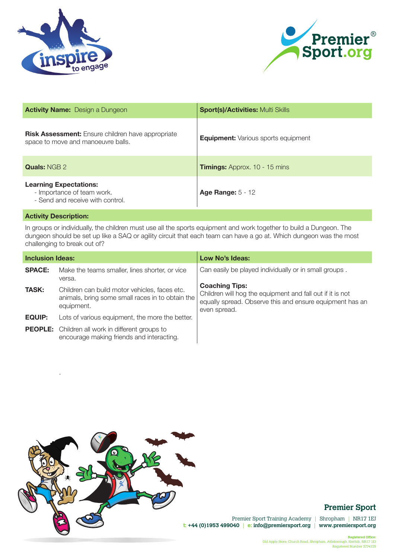



| <b>Activity Name:</b> Design a Dungeon                                                          | <b>Sport(s)/Activities: Multi Skills</b>   |
|-------------------------------------------------------------------------------------------------|--------------------------------------------|
| <b>Risk Assessment:</b> Ensure children have appropriate<br>space to move and manoeuvre balls.  | <b>Equipment:</b> Various sports equipment |
| <b>Quals: NGB 2</b>                                                                             | <b>Timings:</b> Approx. 10 - 15 mins       |
| <b>Learning Expectations:</b><br>- Importance of team work.<br>- Send and receive with control. | <b>Age Range: 5 - 12</b>                   |

.

In groups or individually, the children must use all the sports equipment and work together to build a Dungeon. The dungeon should be set up like a SAQ or agility circuit that each team can have a go at. Which dungeon was the most challenging to break out of?

| <b>Inclusion Ideas:</b> |                                                                                                                 | Low No's Ideas:                                                                                                                                                |
|-------------------------|-----------------------------------------------------------------------------------------------------------------|----------------------------------------------------------------------------------------------------------------------------------------------------------------|
| <b>SPACE:</b>           | Make the teams smaller, lines shorter, or vice<br>versa.                                                        | Can easily be played individually or in small groups.                                                                                                          |
| <b>TASK:</b>            | Children can build motor vehicles, faces etc.<br>animals, bring some small races in to obtain the<br>equipment. | <b>Coaching Tips:</b><br>Children will hog the equipment and fall out if it is not<br>equally spread. Observe this and ensure equipment has an<br>even spread. |
| <b>EQUIP:</b>           | Lots of various equipment, the more the better.                                                                 |                                                                                                                                                                |
|                         | <b>PEOPLE:</b> Children all work in different groups to<br>encourage making friends and interacting.            |                                                                                                                                                                |



# **Premier Sport**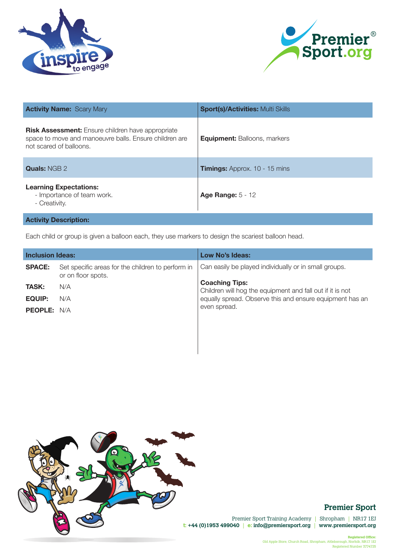



| <b>Activity Name: Scary Mary</b>                                                                                                              | <b>Sport(s)/Activities: Multi Skills</b> |
|-----------------------------------------------------------------------------------------------------------------------------------------------|------------------------------------------|
| <b>Risk Assessment:</b> Ensure children have appropriate<br>space to move and manoeuvre balls. Ensure children are<br>not scared of balloons. | <b>Equipment: Balloons, markers</b>      |
| <b>Quals: NGB 2</b>                                                                                                                           | <b>Timings:</b> Approx. 10 - 15 mins     |
| <b>Learning Expectations:</b><br>- Importance of team work.<br>- Creativity.                                                                  | Age Range: $5 - 12$                      |
| <b>Activity Description:</b>                                                                                                                  |                                          |

Each child or group is given a balloon each, they use markers to design the scariest balloon head.

| <b>Inclusion Ideas:</b> |                                                                         | Low No's Ideas:                                                                    |
|-------------------------|-------------------------------------------------------------------------|------------------------------------------------------------------------------------|
| <b>SPACE:</b>           | Set specific areas for the children to perform in<br>or on floor spots. | Can easily be played individually or in small groups.                              |
| <b>TASK:</b>            | N/A                                                                     | <b>Coaching Tips:</b><br>Children will hog the equipment and fall out if it is not |
| EQUIP:                  | N/A                                                                     | equally spread. Observe this and ensure equipment has an                           |
| <b>PEOPLE:</b> N/A      |                                                                         | even spread.                                                                       |
|                         |                                                                         |                                                                                    |



# **Premier Sport**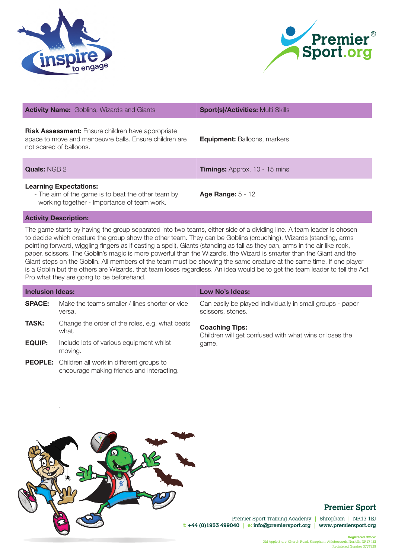



| <b>Activity Name:</b> Goblins, Wizards and Giants                                                                                             | <b>Sport(s)/Activities: Multi Skills</b> |
|-----------------------------------------------------------------------------------------------------------------------------------------------|------------------------------------------|
| <b>Risk Assessment:</b> Ensure children have appropriate<br>space to move and manoeuvre balls. Ensure children are<br>not scared of balloons. | <b>Equipment: Balloons, markers</b>      |
| <b>Quals: NGB 2</b>                                                                                                                           | <b>Timings:</b> Approx. 10 - 15 mins     |
| <b>Learning Expectations:</b><br>- The aim of the game is to beat the other team by<br>working together - Importance of team work.            | Age Range: $5 - 12$                      |

.

The game starts by having the group separated into two teams, either side of a dividing line. A team leader is chosen to decide which creature the group show the other team. They can be Goblins (crouching), Wizards (standing, arms pointing forward, wiggling fingers as if casting a spell), Giants (standing as tall as they can, arms in the air like rock, paper, scissors. The Goblin's magic is more powerful than the Wizard's, the Wizard is smarter than the Giant and the Giant steps on the Goblin. All members of the team must be showing the same creature at the same time. If one player is a Goblin but the others are Wizards, that team loses regardless. An idea would be to get the team leader to tell the Act Pro what they are going to be beforehand.

| <b>Inclusion Ideas:</b> |                                                                                                      | Low No's Ideas:                                                                 |
|-------------------------|------------------------------------------------------------------------------------------------------|---------------------------------------------------------------------------------|
| <b>SPACE:</b>           | Make the teams smaller / lines shorter or vice<br>versa.                                             | Can easily be played individually in small groups - paper<br>scissors, stones.  |
| <b>TASK:</b>            | Change the order of the roles, e.g. what beats<br>what.                                              | <b>Coaching Tips:</b><br>Children will get confused with what wins or loses the |
| <b>EQUIP:</b>           | Include lots of various equipment whilst<br>moving.                                                  | game.                                                                           |
|                         | <b>PEOPLE:</b> Children all work in different groups to<br>encourage making friends and interacting. |                                                                                 |



## **Premier Sport**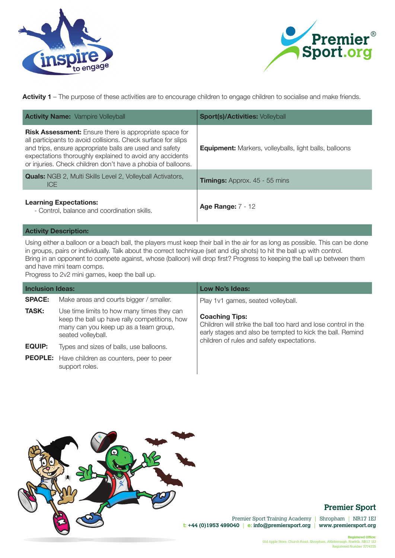



Activity 1 – The purpose of these activities are to encourage children to engage children to socialise and make friends.

| <b>Activity Name:</b> Vampire Volleyball                                                                                                                                                                                                                                                                              | <b>Sport(s)/Activities: Volleyball</b>                        |
|-----------------------------------------------------------------------------------------------------------------------------------------------------------------------------------------------------------------------------------------------------------------------------------------------------------------------|---------------------------------------------------------------|
| <b>Risk Assessment:</b> Ensure there is appropriate space for<br>all participants to avoid collisions. Check surface for slips<br>and trips, ensure appropriate balls are used and safety<br>expectations thoroughly explained to avoid any accidents<br>or injuries. Check children don't have a phobia of balloons. | <b>Equipment:</b> Markers, volleyballs, light balls, balloons |
| <b>Quals:</b> NGB 2, Multi Skills Level 2, Volleyball Activators,<br><b>ICE</b>                                                                                                                                                                                                                                       | <b>Timings:</b> Approx. 45 - 55 mins                          |
| <b>Learning Expectations:</b><br>- Control, balance and coordination skills.                                                                                                                                                                                                                                          | <b>Age Range: 7 - 12</b>                                      |

#### **Activity Description:**

Using either a balloon or a beach ball, the players must keep their ball in the air for as long as possible. This can be done in groups, pairs or individually. Talk about the correct technique (set and dig shots) to hit the ball up with control. Bring in an opponent to compete against, whose (balloon) will drop first? Progress to keeping the ball up between them and have mini team comps.

Progress to 2v2 mini games, keep the ball up.

| <b>Inclusion Ideas:</b> |                                                                                                                                                            | Low No's Ideas:                                                                                                                                                                                    |
|-------------------------|------------------------------------------------------------------------------------------------------------------------------------------------------------|----------------------------------------------------------------------------------------------------------------------------------------------------------------------------------------------------|
| <b>SPACE:</b>           | Make areas and courts bigger / smaller.                                                                                                                    | Play 1v1 games, seated volleyball.                                                                                                                                                                 |
| <b>TASK:</b>            | Use time limits to how many times they can<br>keep the ball up have rally competitions, how<br>many can you keep up as a team group,<br>seated volleyball. | <b>Coaching Tips:</b><br>Children will strike the ball too hard and lose control in the<br>early stages and also be tempted to kick the ball. Remind<br>children of rules and safety expectations. |
| <b>EQUIP:</b>           | Types and sizes of balls, use balloons.                                                                                                                    |                                                                                                                                                                                                    |
|                         | <b>PEOPLE:</b> Have children as counters, peer to peer<br>support roles.                                                                                   |                                                                                                                                                                                                    |



## **Premier Sport**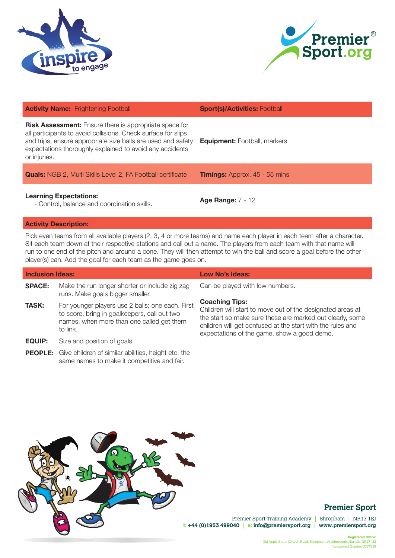



| <b>Activity Name:</b> Frightening Football                                                                                                                                                                                                                                 | <b>Sport(s)/Activities: Football</b> |
|----------------------------------------------------------------------------------------------------------------------------------------------------------------------------------------------------------------------------------------------------------------------------|--------------------------------------|
| <b>Risk Assessment:</b> Ensure there is appropriate space for<br>all participants to avoid collisions. Check surface for slips<br>and trips, ensure appropriate size balls are used and safety<br>expectations thoroughly explained to avoid any accidents<br>or injuries. | <b>Equipment:</b> Football, markers  |
| <b>Quals:</b> NGB 2, Multi Skills Level 2, FA Football certificate                                                                                                                                                                                                         | <b>Timings:</b> Approx. 45 - 55 mins |
| <b>Learning Expectations:</b><br>- Control, balance and coordination skills.                                                                                                                                                                                               | <b>Age Range: 7 - 12</b>             |

Pick even teams from all available players (2, 3, 4 or more teams) and name each player in each team after a character. Sit each team down at their respective stations and call out a name. The players from each team with that name will run to one end of the pitch and around a cone. They will then attempt to win the ball and score a goal before the other player(s) can. Add the goal for each team as the game goes on.

| <b>Inclusion Ideas:</b> |                                                                                                                                                           | Low No's Ideas:                                                                                                                                                                                                                                               |
|-------------------------|-----------------------------------------------------------------------------------------------------------------------------------------------------------|---------------------------------------------------------------------------------------------------------------------------------------------------------------------------------------------------------------------------------------------------------------|
| <b>SPACE:</b>           | Make the run longer shorter or include zig zag<br>runs. Make goals bigger smaller.                                                                        | Can be played with low numbers.                                                                                                                                                                                                                               |
| <b>TASK:</b>            | For younger players use 2 balls; one each. First<br>to score, bring in goalkeepers, call out two<br>names, when more than one called get them<br>to link. | <b>Coaching Tips:</b><br>Children will start to move out of the designated areas at<br>the start so make sure these are marked out clearly, some<br>children will get confused at the start with the rules and<br>expectations of the game, show a good demo. |
| <b>EQUIP:</b>           | Size and position of goals.                                                                                                                               |                                                                                                                                                                                                                                                               |
|                         | <b>PEOPLE:</b> Give children of similar abilities, height etc. the<br>same names to make it competitive and fair.                                         |                                                                                                                                                                                                                                                               |



## **Premier Sport**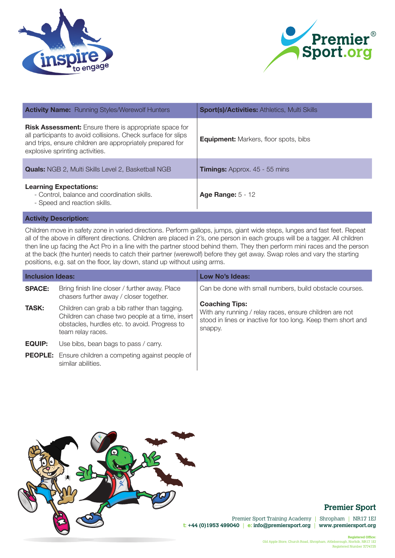



| <b>Activity Name:</b> Running Styles/Werewolf Hunters                                                                                                                                                                          | <b>Sport(s)/Activities: Athletics, Multi Skills</b> |
|--------------------------------------------------------------------------------------------------------------------------------------------------------------------------------------------------------------------------------|-----------------------------------------------------|
| <b>Risk Assessment:</b> Ensure there is appropriate space for<br>all participants to avoid collisions. Check surface for slips<br>and trips, ensure children are appropriately prepared for<br>explosive sprinting activities. | <b>Equipment:</b> Markers, floor spots, bibs        |
| <b>Quals:</b> NGB 2, Multi Skills Level 2, Basketball NGB                                                                                                                                                                      | <b>Timings:</b> Approx. 45 - 55 mins                |
| <b>Learning Expectations:</b><br>- Control, balance and coordination skills.<br>- Speed and reaction skills.                                                                                                                   | <b>Age Range: 5 - 12</b>                            |

Children move in safety zone in varied directions. Perform gallops, jumps, giant wide steps, lunges and fast feet. Repeat all of the above in different directions. Children are placed in 2's, one person in each groups will be a tagger. All children then line up facing the Act Pro in a line with the partner stood behind them. They then perform mini races and the person at the back (the hunter) needs to catch their partner (werewolf) before they get away. Swap roles and vary the starting positions, e.g. sat on the floor, lay down, stand up without using arms.

| <b>Inclusion Ideas:</b> |                                                                                                                                                                       | Low No's Ideas:                                                                                                                                             |
|-------------------------|-----------------------------------------------------------------------------------------------------------------------------------------------------------------------|-------------------------------------------------------------------------------------------------------------------------------------------------------------|
| <b>SPACE:</b>           | Bring finish line closer / further away. Place<br>chasers further away / closer together.                                                                             | Can be done with small numbers, build obstacle courses.                                                                                                     |
| <b>TASK:</b>            | Children can grab a bib rather than tagging.<br>Children can chase two people at a time, insert<br>obstacles, hurdles etc. to avoid. Progress to<br>team relay races. | <b>Coaching Tips:</b><br>With any running / relay races, ensure children are not<br>stood in lines or inactive for too long. Keep them short and<br>snappy. |
| <b>EQUIP:</b>           | Use bibs, bean bags to pass / carry.                                                                                                                                  |                                                                                                                                                             |
|                         | <b>PEOPLE:</b> Ensure children a competing against people of<br>similar abilities.                                                                                    |                                                                                                                                                             |



## **Premier Sport**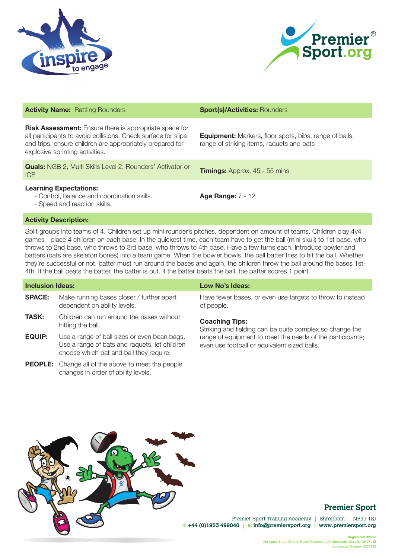



| <b>Activity Name: Rattling Rounders</b>                                                                                                                                                                                        | <b>Sport(s)/Activities: Rounders</b>                                                                       |
|--------------------------------------------------------------------------------------------------------------------------------------------------------------------------------------------------------------------------------|------------------------------------------------------------------------------------------------------------|
| <b>Risk Assessment:</b> Ensure there is appropriate space for<br>all participants to avoid collisions. Check surface for slips<br>and trips, ensure children are appropriately prepared for<br>explosive sprinting activities. | <b>Equipment:</b> Markers, floor spots, bibs, range of balls,<br>range of striking items, raquets and bats |
| <b>Quals:</b> NGB 2, Multi Skills Level 2, Rounders' Activator or<br><b>ICE</b>                                                                                                                                                | <b>Timings:</b> Approx. 45 - 55 mins                                                                       |
| <b>Learning Expectations:</b><br>- Control, balance and coordination skills.<br>- Speed and reaction skills.                                                                                                                   | <b>Age Range: 7 - 12</b>                                                                                   |

Split groups into teams of 4. Children set up mini rounder's pitches, dependent on amount of teams. Children play 4v4 games - place 4 children on each base. In the quickest time, each team have to get the ball (mini skull) to 1st base, who throws to 2nd base, who throws to 3rd base, who throws to 4th base. Have a few turns each. Introduce bowler and batters (bats are skeleton bones) into a team game. When the bowler bowls, the ball batter tries to hit the ball. Whether they're successful or not, batter must run around the bases and again, the children throw the ball around the bases 1st-4th. If the ball beats the batter, the batter is out. If the batter beats the ball, the batter scores 1 point.

| <b>Inclusion Ideas:</b> |                                                                                                                                          | Low No's Ideas:                                                                                           |  |
|-------------------------|------------------------------------------------------------------------------------------------------------------------------------------|-----------------------------------------------------------------------------------------------------------|--|
| <b>SPACE:</b>           | Make running bases closer / further apart<br>dependent on ability levels.                                                                | Have fewer bases, or even use targets to throw to instead<br>of people.                                   |  |
| <b>TASK:</b>            | Children can run around the bases without<br>hitting the ball.                                                                           | <b>Coaching Tips:</b><br>Striking and fielding can be quite complex so change the                         |  |
| <b>EQUIP:</b>           | Use a range of ball sizes or even bean bags.<br>Use a range of bats and raquets, let children<br>choose which bat and ball they require. | range of equipment to meet the needs of the participants;<br>even use football or equivalent sized balls. |  |
|                         | <b>PEOPLE:</b> Change all of the above to meet the people<br>changes in order of ability levels.                                         |                                                                                                           |  |



## **Premier Sport**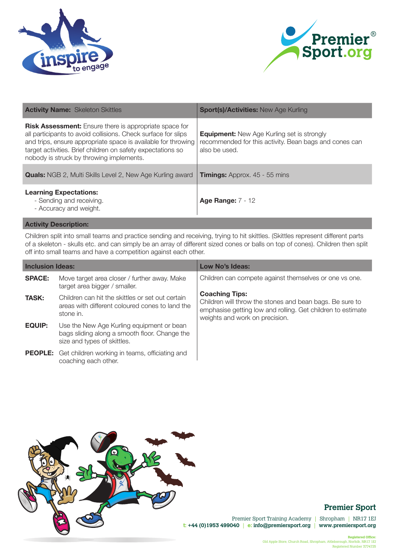



| <b>Activity Name: Skeleton Skittles</b>                                                                                                                                                                                                                                                                    | <b>Sport(s)/Activities: New Age Kurling</b>                                                                                  |
|------------------------------------------------------------------------------------------------------------------------------------------------------------------------------------------------------------------------------------------------------------------------------------------------------------|------------------------------------------------------------------------------------------------------------------------------|
| <b>Risk Assessment:</b> Ensure there is appropriate space for<br>all participants to avoid collisions. Check surface for slips<br>and trips, ensure appropriate space is available for throwing<br>target activities. Brief children on safety expectations so<br>nobody is struck by throwing implements. | <b>Equipment:</b> New Age Kurling set is strongly<br>recommended for this activity. Bean bags and cones can<br>also be used. |
| <b>Quals:</b> NGB 2, Multi Skills Level 2, New Age Kurling award                                                                                                                                                                                                                                           | <b>Timings:</b> Approx. 45 - 55 mins                                                                                         |
| <b>Learning Expectations:</b><br>- Sending and receiving.<br>- Accuracy and weight.                                                                                                                                                                                                                        | <b>Age Range: 7 - 12</b>                                                                                                     |

Children split into small teams and practice sending and receiving, trying to hit skittles. (Skittles represent different parts of a skeleton - skulls etc. and can simply be an array of different sized cones or balls on top of cones). Children then split off into small teams and have a competition against each other.

| <b>Inclusion Ideas:</b> |                                                                                                                           | Low No's Ideas:                                                                                                                                                                    |
|-------------------------|---------------------------------------------------------------------------------------------------------------------------|------------------------------------------------------------------------------------------------------------------------------------------------------------------------------------|
| <b>SPACE:</b>           | Move target area closer / further away. Make<br>target area bigger / smaller.                                             | Children can compete against themselves or one vs one.                                                                                                                             |
| <b>TASK:</b>            | Children can hit the skittles or set out certain<br>areas with different coloured cones to land the<br>stone in.          | <b>Coaching Tips:</b><br>Children will throw the stones and bean bags. Be sure to<br>emphasise getting low and rolling. Get children to estimate<br>weights and work on precision. |
| <b>EQUIP:</b>           | Use the New Age Kurling equipment or bean<br>bags sliding along a smooth floor. Change the<br>size and types of skittles. |                                                                                                                                                                                    |
|                         | <b>PEOPLE:</b> Get children working in teams, officiating and<br>coaching each other.                                     |                                                                                                                                                                                    |



# **Premier Sport**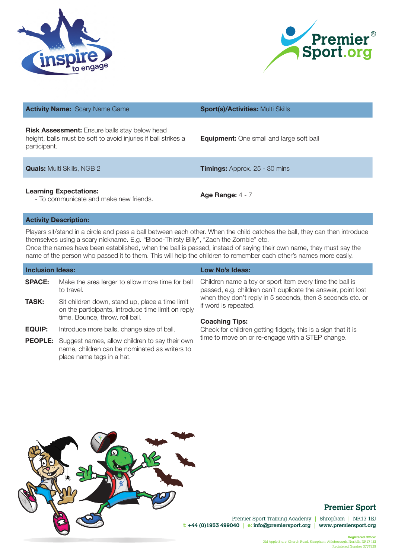



| <b>Activity Name: Scary Name Game</b>                                                                                                  | <b>Sport(s)/Activities: Multi Skills</b>        |
|----------------------------------------------------------------------------------------------------------------------------------------|-------------------------------------------------|
| <b>Risk Assessment:</b> Ensure balls stay below head<br>height, balls must be soft to avoid injuries if ball strikes a<br>participant. | <b>Equipment:</b> One small and large soft ball |
| <b>Quals:</b> Multi Skills, NGB 2                                                                                                      | <b>Timings:</b> Approx. 25 - 30 mins            |
| <b>Learning Expectations:</b><br>- To communicate and make new friends.                                                                | Age Range: $4 - 7$                              |

Players sit/stand in a circle and pass a ball between each other. When the child catches the ball, they can then introduce themselves using a scary nickname. E.g. "Blood-Thirsty Billy", "Zach the Zombie" etc.

Once the names have been established, when the ball is passed, instead of saying their own name, they must say the name of the person who passed it to them. This will help the children to remember each other's names more easily.

| <b>Inclusion Ideas:</b> |                                                                                                                                             | <b>Low No's Ideas:</b>                                                                                                                                                                                                                  |
|-------------------------|---------------------------------------------------------------------------------------------------------------------------------------------|-----------------------------------------------------------------------------------------------------------------------------------------------------------------------------------------------------------------------------------------|
| <b>SPACE:</b>           | Make the area larger to allow more time for ball<br>to travel.                                                                              | Children name a toy or sport item every time the ball is<br>passed, e.g. children can't duplicate the answer, point lost<br>when they don't reply in 5 seconds, then 3 seconds etc. or<br>if word is repeated.<br><b>Coaching Tips:</b> |
| <b>TASK:</b>            | Sit children down, stand up, place a time limit<br>on the participants, introduce time limit on reply<br>time. Bounce, throw, roll ball.    |                                                                                                                                                                                                                                         |
| <b>EQUIP:</b>           | Introduce more balls, change size of ball.                                                                                                  | Check for children getting fidgety, this is a sign that it is                                                                                                                                                                           |
|                         | <b>PEOPLE:</b> Suggest names, allow children to say their own<br>name, children can be nominated as writers to<br>place name tags in a hat. | time to move on or re-engage with a STEP change.                                                                                                                                                                                        |



# **Premier Sport**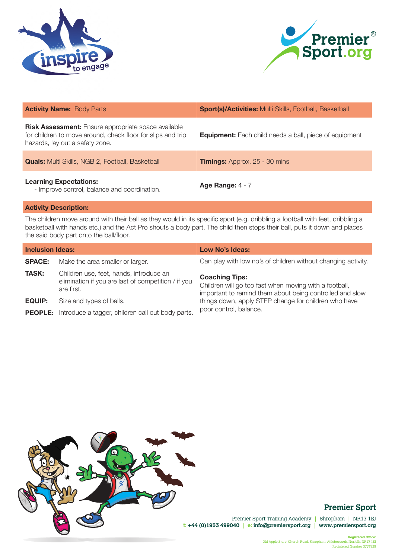



| <b>Activity Name: Body Parts</b>                                                                                                                             | <b>Sport(s)/Activities: Multi Skills, Football, Basketball</b> |
|--------------------------------------------------------------------------------------------------------------------------------------------------------------|----------------------------------------------------------------|
| <b>Risk Assessment:</b> Ensure appropriate space available<br>for children to move around, check floor for slips and trip<br>hazards, lay out a safety zone. | <b>Equipment:</b> Each child needs a ball, piece of equipment  |
| <b>Quals:</b> Multi Skills, NGB 2, Football, Basketball                                                                                                      | <b>Timings:</b> Approx. 25 - 30 mins                           |
| <b>Learning Expectations:</b><br>- Improve control, balance and coordination.                                                                                | Age Range: $4 - 7$                                             |

The children move around with their ball as they would in its specific sport (e.g. dribbling a football with feet, dribbling a basketball with hands etc.) and the Act Pro shouts a body part. The child then stops their ball, puts it down and places the said body part onto the ball/floor.

| <b>Inclusion Ideas:</b> |                                                                                                              | <b>Low No's Ideas:</b>                                                                                                                      |
|-------------------------|--------------------------------------------------------------------------------------------------------------|---------------------------------------------------------------------------------------------------------------------------------------------|
| <b>SPACE:</b>           | Make the area smaller or larger.                                                                             | Can play with low no's of children without changing activity.                                                                               |
| <b>TASK:</b>            | Children use, feet, hands, introduce an<br>elimination if you are last of competition / if you<br>are first. | <b>Coaching Tips:</b><br>Children will go too fast when moving with a football,<br>important to remind them about being controlled and slow |
| <b>EQUIP:</b>           | Size and types of balls.                                                                                     | things down, apply STEP change for children who have                                                                                        |
|                         | <b>PEOPLE:</b> Introduce a tagger, children call out body parts.                                             | poor control, balance.                                                                                                                      |
|                         |                                                                                                              |                                                                                                                                             |



# **Premier Sport**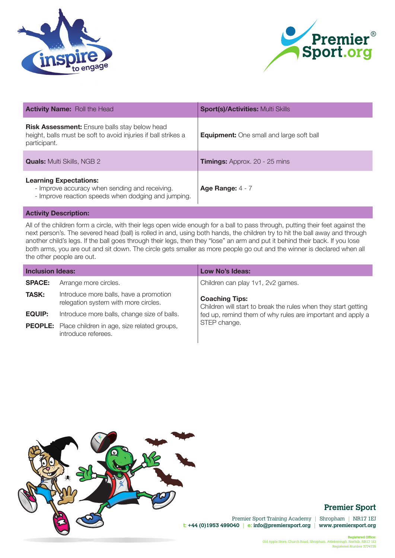



| <b>Activity Name: Roll the Head</b>                                                                                                    | <b>Sport(s)/Activities: Multi Skills</b>        |
|----------------------------------------------------------------------------------------------------------------------------------------|-------------------------------------------------|
| <b>Risk Assessment:</b> Ensure balls stay below head<br>height, balls must be soft to avoid injuries if ball strikes a<br>participant. | <b>Equipment:</b> One small and large soft ball |
| <b>Quals:</b> Multi Skills, NGB 2                                                                                                      | <b>Timings:</b> Approx. 20 - 25 mins            |
| <b>Learning Expectations:</b><br>- Improve accuracy when sending and receiving.<br>- Improve reaction speeds when dodging and jumping. | Age Range: $4 - 7$                              |

All of the children form a circle, with their legs open wide enough for a ball to pass through, putting their feet against the next person's. The severed head (ball) is rolled in and, using both hands, the children try to hit the ball away and through another child's legs. If the ball goes through their legs, then they "lose" an arm and put it behind their back. If you lose both arms, you are out and sit down. The circle gets smaller as more people go out and the winner is declared when all the other people are out.

| <b>Inclusion Ideas:</b> |                                                                                   | Low No's Ideas:                                                                         |
|-------------------------|-----------------------------------------------------------------------------------|-----------------------------------------------------------------------------------------|
| <b>SPACE:</b>           | Arrange more circles.                                                             | Children can play 1v1, 2v2 games.                                                       |
| <b>TASK:</b>            | Introduce more balls, have a promotion<br>relegation system with more circles.    | <b>Coaching Tips:</b><br>Children will start to break the rules when they start getting |
| <b>EQUIP:</b>           | Introduce more balls, change size of balls.                                       | fed up, remind them of why rules are important and apply a                              |
|                         | <b>PEOPLE:</b> Place children in age, size related groups,<br>introduce referees. | STEP change.                                                                            |



## **Premier Sport**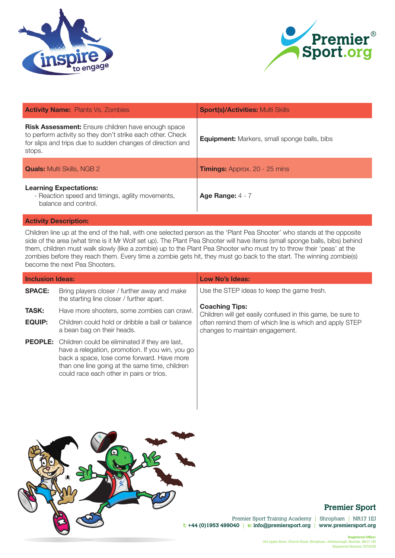



| <b>Activity Name: Plants Vs. Zombies</b>                                                                                                                                                        | <b>Sport(s)/Activities: Multi Skills</b>            |
|-------------------------------------------------------------------------------------------------------------------------------------------------------------------------------------------------|-----------------------------------------------------|
| <b>Risk Assessment:</b> Ensure children have enough space<br>to perform activity so they don't strike each other. Check<br>for slips and trips due to sudden changes of direction and<br>stops. | <b>Equipment:</b> Markers, small sponge balls, bibs |
| <b>Quals:</b> Multi Skills, NGB 2                                                                                                                                                               | <b>Timings:</b> Approx. 20 - 25 mins                |
| <b>Learning Expectations:</b><br>- Reaction speed and timings, agility movements,<br>balance and control.                                                                                       | Age Range: $4 - 7$                                  |
|                                                                                                                                                                                                 |                                                     |

Children line up at the end of the hall, with one selected person as the 'Plant Pea Shooter' who stands at the opposite side of the area (what time is it Mr Wolf set up). The Plant Pea Shooter will have items (small sponge balls, bibs) behind them, children must walk slowly (like a zombie) up to the Plant Pea Shooter who must try to throw their 'peas' at the zombies before they reach them. Every time a zombie gets hit, they must go back to the start. The winning zombie(s) become the next Pea Shooters.

| <b>Inclusion Ideas:</b> |                                                                                                                                                                                                                                                               | Low No's Ideas:                                                                            |
|-------------------------|---------------------------------------------------------------------------------------------------------------------------------------------------------------------------------------------------------------------------------------------------------------|--------------------------------------------------------------------------------------------|
| <b>SPACE:</b>           | Bring players closer / further away and make<br>the starting line closer / further apart.                                                                                                                                                                     | Use the STEP ideas to keep the game fresh.                                                 |
| <b>TASK:</b>            | Have more shooters, some zombies can crawl.                                                                                                                                                                                                                   | <b>Coaching Tips:</b><br>Children will get easily confused in this game, be sure to        |
| <b>EQUIP:</b>           | Children could hold or dribble a ball or balance<br>a bean bag on their heads.                                                                                                                                                                                | often remind them of which line is which and apply STEP<br>changes to maintain engagement. |
|                         | <b>PEOPLE:</b> Children could be eliminated if they are last,<br>have a relegation, promotion. If you win, you go<br>back a space, lose come forward. Have more<br>than one line going at the same time, children<br>could race each other in pairs or trios. |                                                                                            |



# **Premier Sport**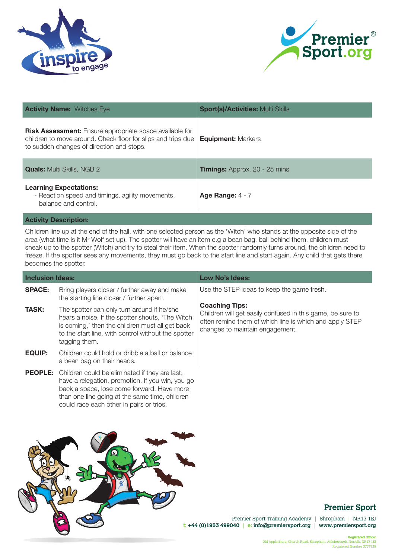



| <b>Activity Name: Witches Eye</b>                                                                                                                                           | <b>Sport(s)/Activities: Multi Skills</b> |
|-----------------------------------------------------------------------------------------------------------------------------------------------------------------------------|------------------------------------------|
| <b>Risk Assessment:</b> Ensure appropriate space available for<br>children to move around. Check floor for slips and trips due<br>to sudden changes of direction and stops. | <b>Equipment: Markers</b>                |
| <b>Quals:</b> Multi Skills, NGB 2                                                                                                                                           | <b>Timings:</b> Approx. 20 - 25 mins     |
| <b>Learning Expectations:</b><br>- Reaction speed and timings, agility movements,<br>balance and control.                                                                   | Age Range: $4 - 7$                       |

Children line up at the end of the hall, with one selected person as the 'Witch' who stands at the opposite side of the area (what time is it Mr Wolf set up). The spotter will have an item e.g a bean bag, ball behind them, children must sneak up to the spotter (Witch) and try to steal their item. When the spotter randomly turns around, the children need to freeze. If the spotter sees any movements, they must go back to the start line and start again. Any child that gets there becomes the spotter.

| <b>Inclusion Ideas:</b> |                                                                                                                                                                                                                                                | Low No's Ideas:                                                                                                                                                                   |
|-------------------------|------------------------------------------------------------------------------------------------------------------------------------------------------------------------------------------------------------------------------------------------|-----------------------------------------------------------------------------------------------------------------------------------------------------------------------------------|
| <b>SPACE:</b>           | Bring players closer / further away and make<br>the starting line closer / further apart.                                                                                                                                                      | Use the STEP ideas to keep the game fresh.                                                                                                                                        |
| <b>TASK:</b>            | The spotter can only turn around if he/she<br>hears a noise. If the spotter shouts, 'The Witch<br>is coming,' then the children must all get back<br>to the start line, with control without the spotter<br>tagging them.                      | <b>Coaching Tips:</b><br>Children will get easily confused in this game, be sure to<br>often remind them of which line is which and apply STEP<br>changes to maintain engagement. |
| <b>EQUIP:</b>           | Children could hold or dribble a ball or balance<br>a bean bag on their heads.                                                                                                                                                                 |                                                                                                                                                                                   |
| <b>PEOPLE:</b>          | Children could be eliminated if they are last,<br>have a relegation, promotion. If you win, you go<br>back a space, lose come forward. Have more<br>than one line going at the same time, children<br>could race each other in pairs or trios. |                                                                                                                                                                                   |

# **Premier Sport**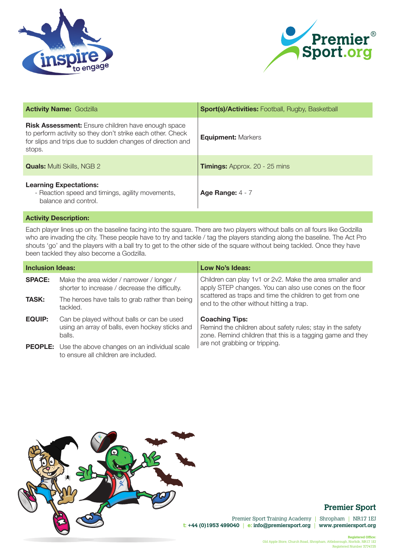



| <b>Activity Name: Godzilla</b>                                                                                                                                                                  | <b>Sport(s)/Activities: Football, Rugby, Basketball</b> |
|-------------------------------------------------------------------------------------------------------------------------------------------------------------------------------------------------|---------------------------------------------------------|
| <b>Risk Assessment:</b> Ensure children have enough space<br>to perform activity so they don't strike each other. Check<br>for slips and trips due to sudden changes of direction and<br>stops. | <b>Equipment: Markers</b>                               |
| <b>Quals:</b> Multi Skills, NGB 2                                                                                                                                                               | <b>Timings:</b> Approx. 20 - 25 mins                    |
| <b>Learning Expectations:</b><br>- Reaction speed and timings, agility movements,<br>balance and control.                                                                                       | Age Range: $4 - 7$                                      |

Each player lines up on the baseline facing into the square. There are two players without balls on all fours like Godzilla who are invading the city. These people have to try and tackle / tag the players standing along the baseline. The Act Pro shouts 'go' and the players with a ball try to get to the other side of the square without being tackled. Once they have been tackled they also become a Godzilla.

| <b>Inclusion Ideas:</b> |                                                                                                         | Low No's Ideas:                                                                                                                                   |
|-------------------------|---------------------------------------------------------------------------------------------------------|---------------------------------------------------------------------------------------------------------------------------------------------------|
| <b>SPACE:</b>           | Make the area wider / narrower / longer /<br>shorter to increase / decrease the difficulty.             | Children can play 1v1 or 2v2. Make the area smaller and<br>apply STEP changes. You can also use cones on the floor                                |
| <b>TASK:</b>            | The heroes have tails to grab rather than being<br>tackled.                                             | scattered as traps and time the children to get from one<br>end to the other without hitting a trap.                                              |
| <b>EQUIP:</b>           | Can be played without balls or can be used<br>using an array of balls, even hockey sticks and<br>balls. | <b>Coaching Tips:</b><br>Remind the children about safety rules; stay in the safety<br>zone. Remind children that this is a tagging game and they |
|                         | <b>PEOPLE:</b> Use the above changes on an individual scale<br>to ensure all children are included.     | are not grabbing or tripping.                                                                                                                     |



# **Premier Sport**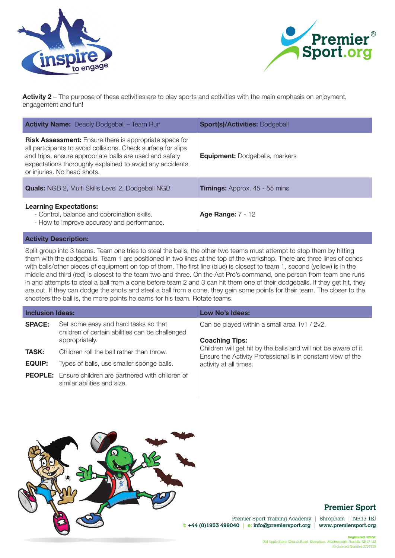



**Activity 2** – The purpose of these activities are to play sports and activities with the main emphasis on enjoyment, engagement and fun!

| <b>Activity Name:</b> Deadly Dodgeball - Team Run                                                                                                                                                                                                                                    | <b>Sport(s)/Activities: Dodgeball</b> |
|--------------------------------------------------------------------------------------------------------------------------------------------------------------------------------------------------------------------------------------------------------------------------------------|---------------------------------------|
| <b>Risk Assessment:</b> Ensure there is appropriate space for<br>all participants to avoid collisions. Check surface for slips<br>and trips, ensure appropriate balls are used and safety<br>expectations thoroughly explained to avoid any accidents<br>or injuries. No head shots. | <b>Equipment:</b> Dodgeballs, markers |
| <b>Quals:</b> NGB 2, Multi Skills Level 2, Dodgeball NGB                                                                                                                                                                                                                             | <b>Timings:</b> Approx. 45 - 55 mins  |
| <b>Learning Expectations:</b><br>- Control, balance and coordination skills.<br>- How to improve accuracy and performance.                                                                                                                                                           | <b>Age Range: 7 - 12</b>              |

#### **Activity Description:**

Split group into 3 teams. Team one tries to steal the balls, the other two teams must attempt to stop them by hitting them with the dodgeballs. Team 1 are positioned in two lines at the top of the workshop. There are three lines of cones with balls/other pieces of equipment on top of them. The first line (blue) is closest to team 1, second (yellow) is in the middle and third (red) is closest to the team two and three. On the Act Pro's command, one person from team one runs in and attempts to steal a ball from a cone before team 2 and 3 can hit them one of their dodgeballs. If they get hit, they are out. If they can dodge the shots and steal a ball from a cone, they gain some points for their team. The closer to the shooters the ball is, the more points he earns for his team. Rotate teams.

| <b>Inclusion Ideas:</b>       |                                                                                                           | <b>Low No's Ideas:</b>                                                                                                                                   |
|-------------------------------|-----------------------------------------------------------------------------------------------------------|----------------------------------------------------------------------------------------------------------------------------------------------------------|
| <b>SPACE:</b>                 | Set some easy and hard tasks so that<br>children of certain abilities can be challenged<br>appropriately. | Can be played within a small area 1v1 / 2v2.<br><b>Coaching Tips:</b>                                                                                    |
| <b>TASK:</b><br><b>EQUIP:</b> | Children roll the ball rather than throw.<br>Types of balls, use smaller sponge balls.                    | Children will get hit by the balls and will not be aware of it.<br>Ensure the Activity Professional is in constant view of the<br>activity at all times. |
|                               | <b>PEOPLE:</b> Ensure children are partnered with children of<br>similar abilities and size.              |                                                                                                                                                          |



# **Premier Sport**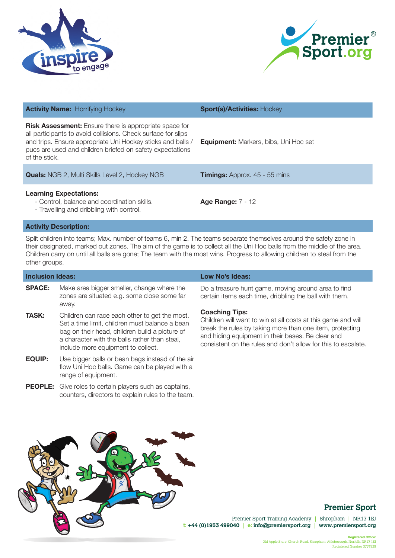



| <b>Activity Name:</b> Horrifying Hockey                                                                                                                                                                                                                                     | <b>Sport(s)/Activities: Hockey</b>           |
|-----------------------------------------------------------------------------------------------------------------------------------------------------------------------------------------------------------------------------------------------------------------------------|----------------------------------------------|
| <b>Risk Assessment:</b> Ensure there is appropriate space for<br>all participants to avoid collisions. Check surface for slips<br>and trips. Ensure appropriate Uni Hockey sticks and balls /<br>pucs are used and children briefed on safety expectations<br>of the stick. | <b>Equipment:</b> Markers, bibs, Uni Hoc set |
| <b>Quals:</b> NGB 2, Multi Skills Level 2, Hockey NGB                                                                                                                                                                                                                       | <b>Timings:</b> Approx. 45 - 55 mins         |
| <b>Learning Expectations:</b><br>- Control, balance and coordination skills.<br>- Travelling and dribbling with control.                                                                                                                                                    | <b>Age Range: 7 - 12</b>                     |

Split children into teams; Max. number of teams 6, min 2. The teams separate themselves around the safety zone in their designated, marked out zones. The aim of the game is to collect all the Uni Hoc balls from the middle of the area. Children carry on until all balls are gone; The team with the most wins. Progress to allowing children to steal from the other groups.

| <b>Inclusion Ideas:</b> |                                                                                                                                                                                                                                          | Low No's Ideas:                                                                                                                                                                                                                                                         |
|-------------------------|------------------------------------------------------------------------------------------------------------------------------------------------------------------------------------------------------------------------------------------|-------------------------------------------------------------------------------------------------------------------------------------------------------------------------------------------------------------------------------------------------------------------------|
| <b>SPACE:</b>           | Make area bigger smaller, change where the<br>zones are situated e.g. some close some far<br>away.                                                                                                                                       | Do a treasure hunt game, moving around area to find<br>certain items each time, dribbling the ball with them.                                                                                                                                                           |
| <b>TASK:</b>            | Children can race each other to get the most.<br>Set a time limit, children must balance a bean<br>bag on their head, children build a picture of<br>a character with the balls rather than steal,<br>include more equipment to collect. | <b>Coaching Tips:</b><br>Children will want to win at all costs at this game and will<br>break the rules by taking more than one item, protecting<br>and hiding equipment in their bases. Be clear and<br>consistent on the rules and don't allow for this to escalate. |
| <b>EQUIP:</b>           | Use bigger balls or bean bags instead of the air<br>flow Uni Hoc balls. Game can be played with a<br>range of equipment.                                                                                                                 |                                                                                                                                                                                                                                                                         |
|                         | <b>PEOPLE:</b> Give roles to certain players such as captains,<br>counters, directors to explain rules to the team.                                                                                                                      |                                                                                                                                                                                                                                                                         |



# **Premier Sport**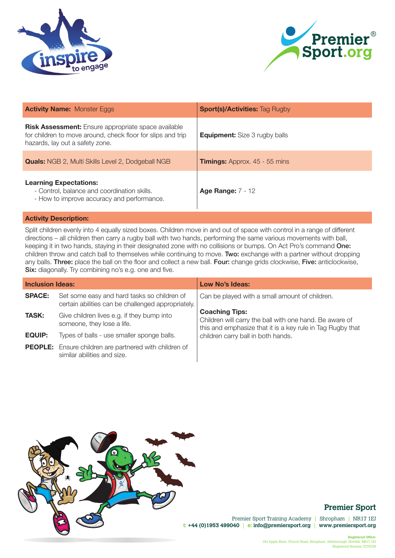



| <b>Activity Name: Monster Eggs</b>                                                                                                                           | <b>Sport(s)/Activities: Tag Rugby</b> |
|--------------------------------------------------------------------------------------------------------------------------------------------------------------|---------------------------------------|
| <b>Risk Assessment:</b> Ensure appropriate space available<br>for children to move around, check floor for slips and trip<br>hazards, lay out a safety zone. | <b>Equipment:</b> Size 3 rugby balls  |
| <b>Quals:</b> NGB 2, Multi Skills Level 2, Dodgeball NGB                                                                                                     | <b>Timings:</b> Approx. 45 - 55 mins  |
| <b>Learning Expectations:</b><br>- Control, balance and coordination skills.<br>- How to improve accuracy and performance.                                   | <b>Age Range: 7 - 12</b>              |

Split children evenly into 4 equally sized boxes. Children move in and out of space with control in a range of different directions – all children then carry a rugby ball with two hands, performing the same various movements with ball, keeping it in two hands, staying in their designated zone with no collisions or bumps. On Act Pro's command One: children throw and catch ball to themselves while continuing to move. Two: exchange with a partner without dropping any balls. Three: place the ball on the floor and collect a new ball. Four: change grids clockwise, Five: anticlockwise, Six: diagonally. Try combining no's e.g. one and five.

| <b>Inclusion Ideas:</b> |                                                                                                   | Low No's Ideas:                                                                                                                                |
|-------------------------|---------------------------------------------------------------------------------------------------|------------------------------------------------------------------------------------------------------------------------------------------------|
| <b>SPACE:</b>           | Set some easy and hard tasks so children of<br>certain abilities can be challenged appropriately. | Can be played with a small amount of children.                                                                                                 |
| <b>TASK:</b>            | Give children lives e.g. if they bump into<br>someone, they lose a life.                          | <b>Coaching Tips:</b><br>Children will carry the ball with one hand. Be aware of<br>this and emphasize that it is a key rule in Tag Rugby that |
| <b>EQUIP:</b>           | Types of balls - use smaller sponge balls.                                                        | children carry ball in both hands.                                                                                                             |
|                         | <b>PEOPLE:</b> Ensure children are partnered with children of<br>similar abilities and size.      |                                                                                                                                                |



## **Premier Sport**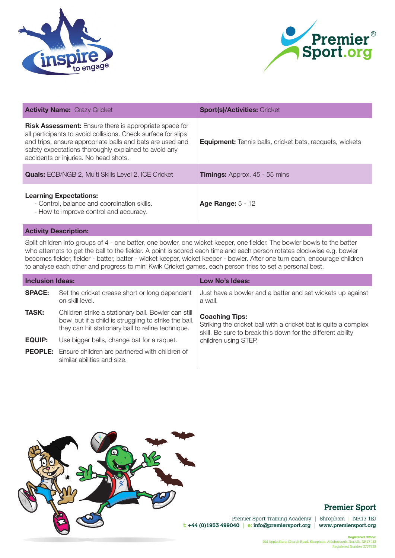



| <b>Activity Name: Crazy Cricket</b>                                                                                                                                                                                                                                                           | <b>Sport(s)/Activities: Cricket</b>                             |
|-----------------------------------------------------------------------------------------------------------------------------------------------------------------------------------------------------------------------------------------------------------------------------------------------|-----------------------------------------------------------------|
| <b>Risk Assessment:</b> Ensure there is appropriate space for<br>all participants to avoid collisions. Check surface for slips<br>and trips, ensure appropriate balls and bats are used and<br>safety expectations thoroughly explained to avoid any<br>accidents or injuries. No head shots. | <b>Equipment:</b> Tennis balls, cricket bats, racquets, wickets |
| <b>Quals:</b> ECB/NGB 2, Multi Skills Level 2, ICE Cricket                                                                                                                                                                                                                                    | <b>Timings:</b> Approx. 45 - 55 mins                            |
| <b>Learning Expectations:</b><br>- Control, balance and coordination skills.<br>- How to improve control and accuracy.                                                                                                                                                                        | <b>Age Range: 5 - 12</b>                                        |

Split children into groups of 4 - one batter, one bowler, one wicket keeper, one fielder. The bowler bowls to the batter who attempts to get the ball to the fielder. A point is scored each time and each person rotates clockwise e.g. bowler becomes fielder, fielder - batter, batter - wicket keeper, wicket keeper - bowler. After one turn each, encourage children to analyse each other and progress to mini Kwik Cricket games, each person tries to set a personal best.

| <b>Inclusion Ideas:</b> |                                                                                                                                                                   | Low No's Ideas:                                                                                                                                         |
|-------------------------|-------------------------------------------------------------------------------------------------------------------------------------------------------------------|---------------------------------------------------------------------------------------------------------------------------------------------------------|
| <b>SPACE:</b>           | Set the cricket crease short or long dependent<br>on skill level.                                                                                                 | Just have a bowler and a batter and set wickets up against<br>a wall.                                                                                   |
| <b>TASK:</b>            | Children strike a stationary ball. Bowler can still<br>bowl but if a child is struggling to strike the ball,<br>they can hit stationary ball to refine technique. | <b>Coaching Tips:</b><br>Striking the cricket ball with a cricket bat is quite a complex<br>skill. Be sure to break this down for the different ability |
| <b>EQUIP:</b>           | Use bigger balls, change bat for a raquet.                                                                                                                        | children using STEP.                                                                                                                                    |
|                         | <b>PEOPLE:</b> Ensure children are partnered with children of<br>similar abilities and size.                                                                      |                                                                                                                                                         |



## **Premier Sport**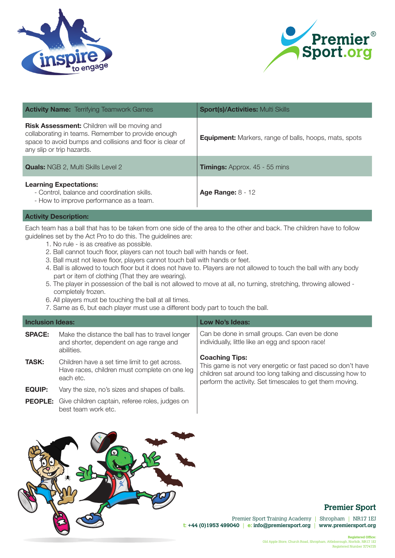



| <b>Activity Name:</b> Terrifying Teamwork Games                                                                                                                                                     | <b>Sport(s)/Activities: Multi Skills</b>                      |
|-----------------------------------------------------------------------------------------------------------------------------------------------------------------------------------------------------|---------------------------------------------------------------|
| <b>Risk Assessment:</b> Children will be moving and<br>collaborating in teams. Remember to provide enough<br>space to avoid bumps and collisions and floor is clear of<br>any slip or trip hazards. | <b>Equipment:</b> Markers, range of balls, hoops, mats, spots |
| <b>Quals:</b> NGB 2, Multi Skills Level 2                                                                                                                                                           | <b>Timings:</b> Approx. 45 - 55 mins                          |
| <b>Learning Expectations:</b><br>- Control, balance and coordination skills.<br>- How to improve performance as a team.                                                                             | <b>Age Range: 8 - 12</b>                                      |

Each team has a ball that has to be taken from one side of the area to the other and back. The children have to follow guidelines set by the Act Pro to do this. The guidelines are:

- 1. No rule is as creative as possible.
- 2. Ball cannot touch floor, players can not touch ball with hands or feet.
- 3. Ball must not leave floor, players cannot touch ball with hands or feet.
- 4. Ball is allowed to touch floor but it does not have to. Players are not allowed to touch the ball with any body part or item of clothing (That they are wearing).
- 5. The player in possession of the ball is not allowed to move at all, no turning, stretching, throwing allowed completely frozen.
- 6. All players must be touching the ball at all times.
- 7. Same as 6, but each player must use a different body part to touch the ball.

| <b>Inclusion Ideas:</b> |                                                                                                             | Low No's Ideas:                                                                                                                                                                                                |
|-------------------------|-------------------------------------------------------------------------------------------------------------|----------------------------------------------------------------------------------------------------------------------------------------------------------------------------------------------------------------|
| <b>SPACE:</b>           | Make the distance the ball has to travel longer<br>and shorter, dependent on age range and<br>abilities.    | Can be done in small groups. Can even be done<br>individually, little like an egg and spoon race!                                                                                                              |
| <b>TASK:</b>            | Children have a set time limit to get across.<br>Have races, children must complete on one leg<br>each etc. | <b>Coaching Tips:</b><br>This game is not very energetic or fast paced so don't have<br>children sat around too long talking and discussing how to<br>perform the activity. Set timescales to get them moving. |
| <b>EQUIP:</b>           | Vary the size, no's sizes and shapes of balls.                                                              |                                                                                                                                                                                                                |
|                         | <b>PEOPLE:</b> Give children captain, referee roles, judges on<br>best team work etc.                       |                                                                                                                                                                                                                |



## **Premier Sport**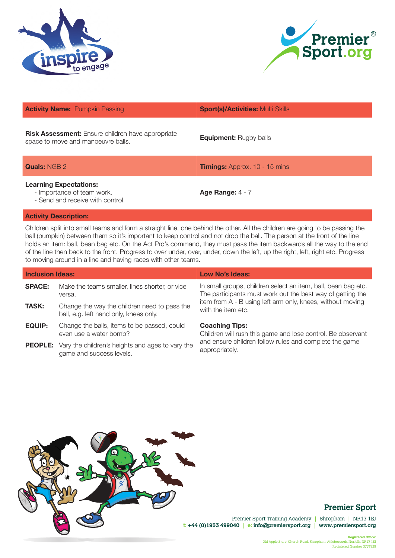



| <b>Activity Name: Pumpkin Passing</b>                                                           | <b>Sport(s)/Activities: Multi Skills</b> |
|-------------------------------------------------------------------------------------------------|------------------------------------------|
| <b>Risk Assessment:</b> Ensure children have appropriate<br>space to move and manoeuvre balls.  | <b>Equipment: Rugby balls</b>            |
| <b>Quals: NGB 2</b>                                                                             | <b>Timings:</b> Approx. 10 - 15 mins     |
| <b>Learning Expectations:</b><br>- Importance of team work.<br>- Send and receive with control. | Age Range: $4 - 7$                       |

Children split into small teams and form a straight line, one behind the other. All the children are going to be passing the ball (pumpkin) between them so it's important to keep control and not drop the ball. The person at the front of the line holds an item: ball, bean bag etc. On the Act Pro's command, they must pass the item backwards all the way to the end of the line then back to the front. Progress to over under, over, under, down the left, up the right, left, right etc. Progress to moving around in a line and having races with other teams.

| <b>Inclusion Ideas:</b> |                                                                                             | Low No's Ideas:                                                                                                             |
|-------------------------|---------------------------------------------------------------------------------------------|-----------------------------------------------------------------------------------------------------------------------------|
| <b>SPACE:</b>           | Make the teams smaller, lines shorter, or vice<br>versa.                                    | In small groups, children select an item, ball, bean bag etc.<br>The participants must work out the best way of getting the |
| <b>TASK:</b>            | Change the way the children need to pass the<br>ball, e.g. left hand only, knees only.      | item from A - B using left arm only, knees, without moving<br>with the item etc.                                            |
| <b>EQUIP:</b>           | Change the balls, items to be passed, could<br>even use a water bomb?                       | <b>Coaching Tips:</b><br>Children will rush this game and lose control. Be observant                                        |
|                         | <b>PEOPLE:</b> Vary the children's heights and ages to vary the<br>game and success levels. | and ensure children follow rules and complete the game<br>appropriately.                                                    |
|                         |                                                                                             |                                                                                                                             |



## **Premier Sport**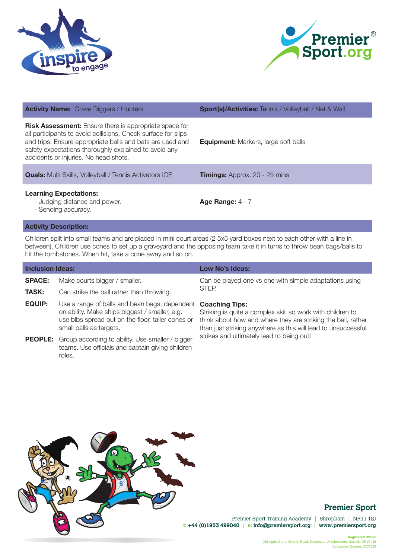



| <b>Activity Name:</b> Grave Diggers / Hunters                                                                                                                                                                                                                                                 | <b>Sport(s)/Activities:</b> Tennis / Volleyball / Net & Wall |
|-----------------------------------------------------------------------------------------------------------------------------------------------------------------------------------------------------------------------------------------------------------------------------------------------|--------------------------------------------------------------|
| <b>Risk Assessment:</b> Ensure there is appropriate space for<br>all participants to avoid collisions. Check surface for slips<br>and trips. Ensure appropriate balls and bats are used and<br>safety expectations thoroughly explained to avoid any<br>accidents or injuries. No head shots. | <b>Equipment:</b> Markers, large soft balls                  |
| <b>Quals:</b> Multi Skills, Volleyball / Tennis Activators ICE                                                                                                                                                                                                                                | <b>Timings:</b> Approx. 20 - 25 mins                         |
| <b>Learning Expectations:</b><br>- Judging distance and power.<br>- Sending accuracy.                                                                                                                                                                                                         | Age Range: $4 - 7$                                           |
|                                                                                                                                                                                                                                                                                               |                                                              |

Children split into small teams and are placed in mini court areas (2 5x5 yard boxes next to each other with a line in between). Children use cones to set up a graveyard and the opposing team take it in turns to throw bean bags/balls to hit the tombstones. When hit, take a cone away and so on.

| <b>Inclusion Ideas:</b> |                                                                                                                                                                                 | Low No's Ideas:                                                                                                                                                                                                                                                   |
|-------------------------|---------------------------------------------------------------------------------------------------------------------------------------------------------------------------------|-------------------------------------------------------------------------------------------------------------------------------------------------------------------------------------------------------------------------------------------------------------------|
| <b>SPACE:</b>           | Make courts bigger / smaller.                                                                                                                                                   | Can be played one vs one with simple adaptations using                                                                                                                                                                                                            |
| <b>TASK:</b>            | Can strike the ball rather than throwing.                                                                                                                                       | STEP.                                                                                                                                                                                                                                                             |
| <b>EQUIP:</b>           | Use a range of balls and bean bags, dependent<br>on ability. Make ships biggest / smaller, e.g.<br>use bibs spread out on the floor, taller cones or<br>small balls as targets. | <b>Coaching Tips:</b><br>Striking is quite a complex skill so work with children to<br>think about how and where they are striking the ball, rather<br>than just striking anywhere as this will lead to unsuccessful<br>strikes and ultimately lead to being out! |
|                         | <b>PEOPLE:</b> Group according to ability. Use smaller / bigger<br>teams. Use officials and captain giving children<br>roles.                                                   |                                                                                                                                                                                                                                                                   |



# **Premier Sport**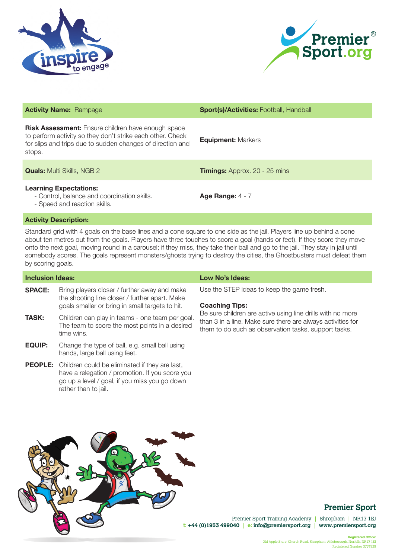



| <b>Activity Name: Rampage</b>                                                                                                                                                                   | <b>Sport(s)/Activities: Football, Handball</b> |
|-------------------------------------------------------------------------------------------------------------------------------------------------------------------------------------------------|------------------------------------------------|
| <b>Risk Assessment:</b> Ensure children have enough space<br>to perform activity so they don't strike each other. Check<br>for slips and trips due to sudden changes of direction and<br>stops. | <b>Equipment: Markers</b>                      |
| <b>Quals:</b> Multi Skills, NGB 2                                                                                                                                                               | <b>Timings:</b> Approx. 20 - 25 mins           |
| <b>Learning Expectations:</b><br>- Control, balance and coordination skills.<br>- Speed and reaction skills.                                                                                    | Age Range: $4 - 7$                             |

Standard grid with 4 goals on the base lines and a cone square to one side as the jail. Players line up behind a cone about ten metres out from the goals. Players have three touches to score a goal (hands or feet). If they score they move onto the next goal, moving round in a carousel; if they miss, they take their ball and go to the jail. They stay in jail until somebody scores. The goals represent monsters/ghosts trying to destroy the cities, the Ghostbusters must defeat them by scoring goals.

| <b>Inclusion Ideas:</b> |                                                                                                                                                                                           | Low No's Ideas:                                                                                                                                                                   |
|-------------------------|-------------------------------------------------------------------------------------------------------------------------------------------------------------------------------------------|-----------------------------------------------------------------------------------------------------------------------------------------------------------------------------------|
| <b>SPACE:</b>           | Bring players closer / further away and make<br>the shooting line closer / further apart. Make<br>goals smaller or bring in small targets to hit.                                         | Use the STEP ideas to keep the game fresh.<br><b>Coaching Tips:</b>                                                                                                               |
| <b>TASK:</b>            | Children can play in teams - one team per goal.<br>The team to score the most points in a desired<br>time wins.                                                                           | Be sure children are active using line drills with no more<br>than 3 in a line. Make sure there are always activities for<br>them to do such as observation tasks, support tasks. |
| <b>EQUIP:</b>           | Change the type of ball, e.g. small ball using<br>hands, large ball using feet.                                                                                                           |                                                                                                                                                                                   |
|                         | <b>PEOPLE:</b> Children could be eliminated if they are last,<br>have a relegation / promotion. If you score you<br>go up a level / goal, if you miss you go down<br>rather than to jail. |                                                                                                                                                                                   |



## **Premier Sport**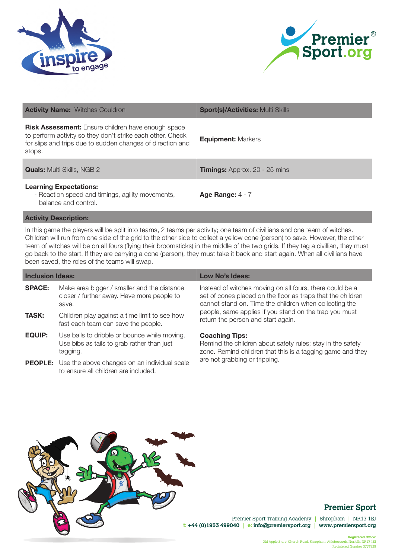



| <b>Activity Name: Witches Couldron</b>                                                                                                                                                          | <b>Sport(s)/Activities: Multi Skills</b> |
|-------------------------------------------------------------------------------------------------------------------------------------------------------------------------------------------------|------------------------------------------|
| <b>Risk Assessment:</b> Ensure children have enough space<br>to perform activity so they don't strike each other. Check<br>for slips and trips due to sudden changes of direction and<br>stops. | <b>Equipment: Markers</b>                |
| <b>Quals:</b> Multi Skills, NGB 2                                                                                                                                                               | <b>Timings:</b> Approx. 20 - 25 mins     |
| <b>Learning Expectations:</b><br>- Reaction speed and timings, agility movements,<br>balance and control.                                                                                       | Age Range: $4 - 7$                       |

In this game the players will be split into teams, 2 teams per activity; one team of civillians and one team of witches. Children will run from one side of the grid to the other side to collect a yellow cone (person) to save. However, the other team of witches will be on all fours (flying their broomsticks) in the middle of the two grids. If they tag a civillian, they must go back to the start. If they are carrying a cone (person), they must take it back and start again. When all civillians have been saved, the roles of the teams will swap.

| <b>Inclusion Ideas:</b> |                                                                                                        | Low No's Ideas:                                                                                                                                                                   |
|-------------------------|--------------------------------------------------------------------------------------------------------|-----------------------------------------------------------------------------------------------------------------------------------------------------------------------------------|
| <b>SPACE:</b>           | Make area bigger / smaller and the distance<br>closer / further away. Have more people to<br>save.     | Instead of witches moving on all fours, there could be a<br>set of cones placed on the floor as traps that the children<br>cannot stand on. Time the children when collecting the |
| <b>TASK:</b>            | Children play against a time limit to see how<br>fast each team can save the people.                   | people, same applies if you stand on the trap you must<br>return the person and start again.                                                                                      |
| <b>EQUIP:</b>           | Use balls to dribble or bounce while moving.<br>Use bibs as tails to grab rather than just<br>taqqinq. | <b>Coaching Tips:</b><br>Remind the children about safety rules; stay in the safety<br>zone. Remind children that this is a tagging game and they                                 |
|                         | <b>PEOPLE:</b> Use the above changes on an individual scale<br>to ensure all children are included.    | are not grabbing or tripping.                                                                                                                                                     |



## **Premier Sport**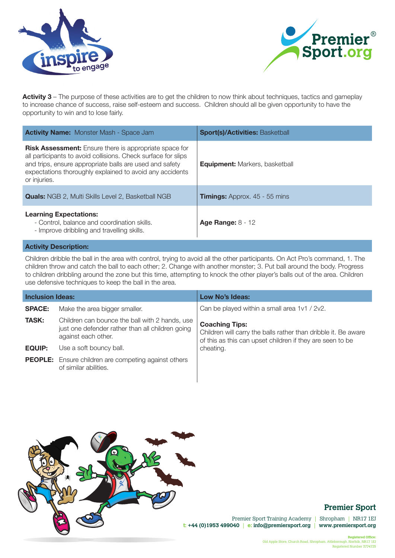



**Activity 3** – The purpose of these activities are to get the children to now think about techniques, tactics and gameplay to increase chance of success, raise self-esteem and success. Children should all be given opportunity to have the opportunity to win and to lose fairly.

| <b>Activity Name:</b> Monster Mash - Space Jam                                                                                                                                                                                                                        | <b>Sport(s)/Activities: Basketball</b> |
|-----------------------------------------------------------------------------------------------------------------------------------------------------------------------------------------------------------------------------------------------------------------------|----------------------------------------|
| <b>Risk Assessment:</b> Ensure there is appropriate space for<br>all participants to avoid collisions. Check surface for slips<br>and trips, ensure appropriate balls are used and safety<br>expectations thoroughly explained to avoid any accidents<br>or injuries. | <b>Equipment:</b> Markers, basketball  |
| <b>Quals:</b> NGB 2, Multi Skills Level 2, Basketball NGB                                                                                                                                                                                                             | <b>Timings:</b> Approx. 45 - 55 mins   |
| <b>Learning Expectations:</b><br>- Control, balance and coordination skills.<br>- Improve dribbling and travelling skills.                                                                                                                                            | Age Range: $8 - 12$                    |

#### **Activity Description:**

Children dribble the ball in the area with control, trying to avoid all the other participants. On Act Pro's command, 1. The children throw and catch the ball to each other; 2. Change with another monster; 3. Put ball around the body. Progress to children dribbling around the zone but this time, attempting to knock the other player's balls out of the area. Children use defensive techniques to keep the ball in the area.

| <b>Inclusion Ideas:</b> |                                                                                                                           | Low No's Ideas:                                                                                                                                      |
|-------------------------|---------------------------------------------------------------------------------------------------------------------------|------------------------------------------------------------------------------------------------------------------------------------------------------|
| <b>SPACE:</b>           | Make the area bigger smaller.                                                                                             | Can be played within a small area 1v1 / 2v2.                                                                                                         |
| <b>TASK:</b>            | Children can bounce the ball with 2 hands, use<br>just one defender rather than all children going<br>against each other. | <b>Coaching Tips:</b><br>Children will carry the balls rather than dribble it. Be aware<br>of this as this can upset children if they are seen to be |
| <b>EQUIP:</b>           | Use a soft bouncy ball.                                                                                                   | cheating.                                                                                                                                            |
|                         | <b>PEOPLE:</b> Ensure children are competing against others<br>of similar abilities.                                      |                                                                                                                                                      |



## **Premier Sport**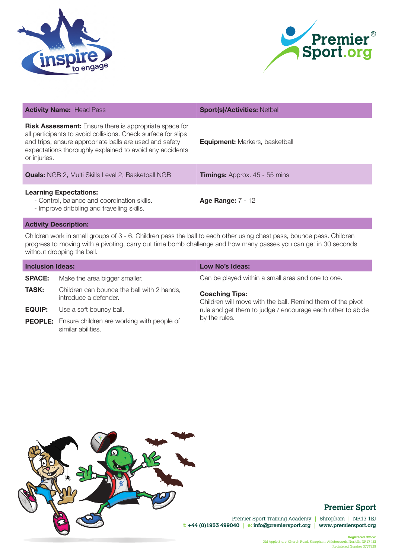



| <b>Activity Name: Head Pass</b>                                                                                                                                                                                                                                       | <b>Sport(s)/Activities: Netball</b>   |
|-----------------------------------------------------------------------------------------------------------------------------------------------------------------------------------------------------------------------------------------------------------------------|---------------------------------------|
| <b>Risk Assessment:</b> Ensure there is appropriate space for<br>all participants to avoid collisions. Check surface for slips<br>and trips, ensure appropriate balls are used and safety<br>expectations thoroughly explained to avoid any accidents<br>or injuries. | <b>Equipment:</b> Markers, basketball |
| <b>Quals:</b> NGB 2, Multi Skills Level 2, Basketball NGB                                                                                                                                                                                                             | <b>Timings:</b> Approx. 45 - 55 mins  |
| <b>Learning Expectations:</b><br>- Control, balance and coordination skills.<br>- Improve dribbling and travelling skills.                                                                                                                                            | <b>Age Range: 7 - 12</b>              |

Children work in small groups of 3 - 6. Children pass the ball to each other using chest pass, bounce pass. Children progress to moving with a pivoting, carry out time bomb challenge and how many passes you can get in 30 seconds without dropping the ball.

| <b>Inclusion Ideas:</b> |                                                                                 | Low No's Ideas:                                                                     |
|-------------------------|---------------------------------------------------------------------------------|-------------------------------------------------------------------------------------|
| <b>SPACE:</b>           | Make the area bigger smaller.                                                   | Can be played within a small area and one to one.                                   |
| <b>TASK:</b>            | Children can bounce the ball with 2 hands,<br>introduce a defender.             | <b>Coaching Tips:</b><br>Children will move with the ball. Remind them of the pivot |
| <b>EQUIP:</b>           | Use a soft bouncy ball.                                                         | rule and get them to judge / encourage each other to abide                          |
|                         | <b>PEOPLE:</b> Ensure children are working with people of<br>similar abilities. | by the rules.                                                                       |



# **Premier Sport**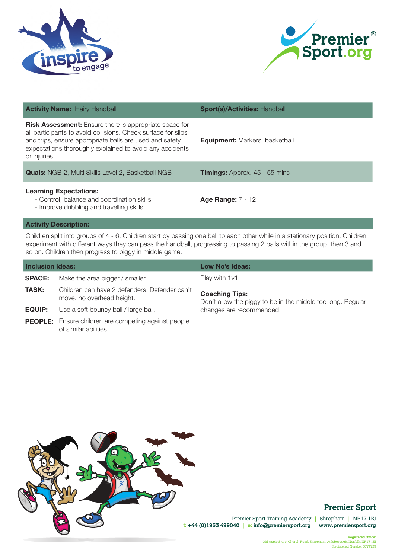



| <b>Activity Name: Hairy Handball</b>                                                                                                                                                                                                                                  | <b>Sport(s)/Activities: Handball</b>  |
|-----------------------------------------------------------------------------------------------------------------------------------------------------------------------------------------------------------------------------------------------------------------------|---------------------------------------|
| <b>Risk Assessment:</b> Ensure there is appropriate space for<br>all participants to avoid collisions. Check surface for slips<br>and trips, ensure appropriate balls are used and safety<br>expectations thoroughly explained to avoid any accidents<br>or injuries. | <b>Equipment:</b> Markers, basketball |
| <b>Quals:</b> NGB 2, Multi Skills Level 2, Basketball NGB                                                                                                                                                                                                             | <b>Timings:</b> Approx. 45 - 55 mins  |
| <b>Learning Expectations:</b><br>- Control, balance and coordination skills.<br>- Improve dribbling and travelling skills.                                                                                                                                            | <b>Age Range: 7 - 12</b>              |

Children split into groups of 4 - 6. Children start by passing one ball to each other while in a stationary position. Children experiment with different ways they can pass the handball, progressing to passing 2 balls within the group, then 3 and so on. Children then progress to piggy in middle game.

| <b>Inclusion Ideas:</b> |                                                                                      | Low No's Ideas:                                                                      |
|-------------------------|--------------------------------------------------------------------------------------|--------------------------------------------------------------------------------------|
| <b>SPACE:</b>           | Make the area bigger / smaller.                                                      | Play with 1v1.                                                                       |
| <b>TASK:</b>            | Children can have 2 defenders. Defender can't<br>move, no overhead height.           | <b>Coaching Tips:</b><br>Don't allow the piggy to be in the middle too long. Regular |
| <b>EQUIP:</b>           | Use a soft bouncy ball / large ball.                                                 | changes are recommended.                                                             |
|                         | <b>PEOPLE:</b> Ensure children are competing against people<br>of similar abilities. |                                                                                      |



# **Premier Sport**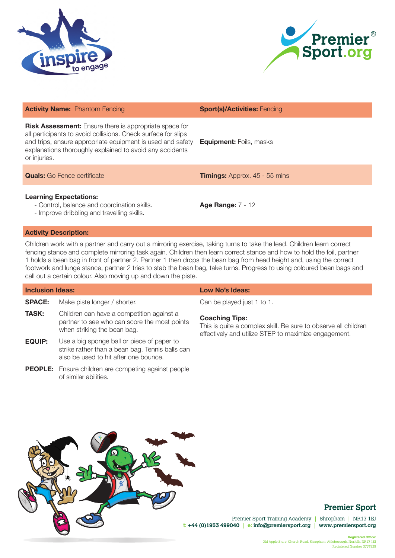



| <b>Activity Name:</b> Phantom Fencing                                                                                                                                                                                                                                    | <b>Sport(s)/Activities: Fencing</b>  |
|--------------------------------------------------------------------------------------------------------------------------------------------------------------------------------------------------------------------------------------------------------------------------|--------------------------------------|
| <b>Risk Assessment:</b> Ensure there is appropriate space for<br>all participants to avoid collisions. Check surface for slips<br>and trips, ensure appropriate equipment is used and safety<br>explanations thoroughly explained to avoid any accidents<br>or injuries. | <b>Equipment:</b> Foils, masks       |
| <b>Quals:</b> Go Fence certificate                                                                                                                                                                                                                                       | <b>Timings:</b> Approx. 45 - 55 mins |
| <b>Learning Expectations:</b><br>- Control, balance and coordination skills.<br>- Improve dribbling and travelling skills.                                                                                                                                               | <b>Age Range: 7 - 12</b>             |

Children work with a partner and carry out a mirroring exercise, taking turns to take the lead. Children learn correct fencing stance and complete mirroring task again. Children then learn correct stance and how to hold the foil, partner 1 holds a bean bag in front of partner 2. Partner 1 then drops the bean bag from head height and, using the correct footwork and lunge stance, partner 2 tries to stab the bean bag, take turns. Progress to using coloured bean bags and call out a certain colour. Also moving up and down the piste.

| <b>Inclusion Ideas:</b> |                                                                                                                                        | Low No's Ideas:                                                                                                                                 |
|-------------------------|----------------------------------------------------------------------------------------------------------------------------------------|-------------------------------------------------------------------------------------------------------------------------------------------------|
| <b>SPACE:</b>           | Make piste longer / shorter.                                                                                                           | Can be played just 1 to 1.                                                                                                                      |
| <b>TASK:</b>            | Children can have a competition against a<br>partner to see who can score the most points<br>when striking the bean bag.               | <b>Coaching Tips:</b><br>This is quite a complex skill. Be sure to observe all children<br>effectively and utilize STEP to maximize engagement. |
| <b>EQUIP:</b>           | Use a big sponge ball or piece of paper to<br>strike rather than a bean bag. Tennis balls can<br>also be used to hit after one bounce. |                                                                                                                                                 |
|                         | <b>PEOPLE:</b> Ensure children are competing against people<br>of similar abilities.                                                   |                                                                                                                                                 |



## **Premier Sport**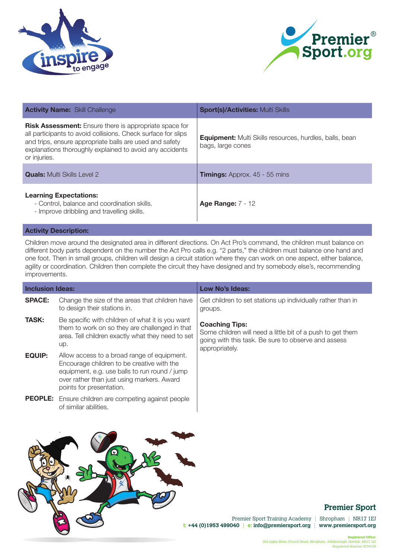



| <b>Activity Name: Skill Challenge</b>                                                                                                                                                                                                                                 | <b>Sport(s)/Activities: Multi Skills</b>                                            |
|-----------------------------------------------------------------------------------------------------------------------------------------------------------------------------------------------------------------------------------------------------------------------|-------------------------------------------------------------------------------------|
| <b>Risk Assessment:</b> Ensure there is appropriate space for<br>all participants to avoid collisions. Check surface for slips<br>and trips, ensure appropriate balls are used and safety<br>explanations thoroughly explained to avoid any accidents<br>or injuries. | <b>Equipment:</b> Multi Skills resources, hurdles, balls, bean<br>bags, large cones |
| <b>Quals:</b> Multi Skills Level 2                                                                                                                                                                                                                                    | <b>Timings:</b> Approx. 45 - 55 mins                                                |
| <b>Learning Expectations:</b><br>- Control, balance and coordination skills.<br>- Improve dribbling and travelling skills.                                                                                                                                            | <b>Age Range: 7 - 12</b>                                                            |

Children move around the designated area in different directions. On Act Pro's command, the children must balance on different body parts dependent on the number the Act Pro calls e.g. "2 parts," the children must balance one hand and one foot. Then in small groups, children will design a circuit station where they can work on one aspect, either balance, agility or coordination. Children then complete the circuit they have designed and try somebody else's, recommending improvements.

| <b>Inclusion Ideas:</b> |                                                                                                                                                                                                                      | Low No's Ideas:                                                                                                                                              |
|-------------------------|----------------------------------------------------------------------------------------------------------------------------------------------------------------------------------------------------------------------|--------------------------------------------------------------------------------------------------------------------------------------------------------------|
| <b>SPACE:</b>           | Change the size of the areas that children have<br>to design their stations in.                                                                                                                                      | Get children to set stations up individually rather than in<br>groups.                                                                                       |
| <b>TASK:</b>            | Be specific with children of what it is you want<br>them to work on so they are challenged in that<br>area. Tell children exactly what they need to set<br>up.                                                       | <b>Coaching Tips:</b><br>Some children will need a little bit of a push to get them<br>going with this task. Be sure to observe and assess<br>appropriately. |
| <b>EQUIP:</b>           | Allow access to a broad range of equipment.<br>Encourage children to be creative with the<br>equipment, e.g. use balls to run round / jump<br>over rather than just using markers. Award<br>points for presentation. |                                                                                                                                                              |
|                         | <b>PEOPLE:</b> Ensure children are competing against people<br>of similar abilities.                                                                                                                                 |                                                                                                                                                              |
|                         |                                                                                                                                                                                                                      |                                                                                                                                                              |



## **Premier Sport**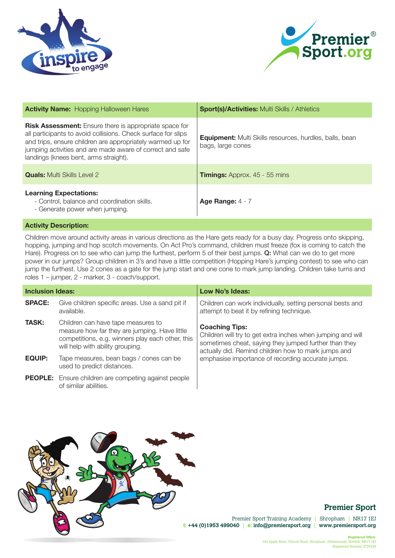



| <b>Activity Name: Hopping Halloween Hares</b>                                                                                                                                                                                                                                                      | <b>Sport(s)/Activities: Multi Skills / Athletics</b>                                |
|----------------------------------------------------------------------------------------------------------------------------------------------------------------------------------------------------------------------------------------------------------------------------------------------------|-------------------------------------------------------------------------------------|
| <b>Risk Assessment:</b> Ensure there is appropriate space for<br>all participants to avoid collisions. Check surface for slips<br>and trips, ensure children are appropriately warmed up for<br>jumping activities and are made aware of correct and safe<br>landings (knees bent, arms straight). | <b>Equipment:</b> Multi Skills resources, hurdles, balls, bean<br>bags, large cones |
| <b>Quals:</b> Multi Skills Level 2                                                                                                                                                                                                                                                                 | <b>Timings:</b> Approx. 45 - 55 mins                                                |
| <b>Learning Expectations:</b><br>- Control, balance and coordination skills.<br>- Generate power when jumping.                                                                                                                                                                                     | Age Range: $4 - 7$                                                                  |

Children move around activity areas in various directions as the Hare gets ready for a busy day. Progress onto skipping, hopping, jumping and hop scotch movements. On Act Pro's command, children must freeze (fox is coming to catch the Hare). Progress on to see who can jump the furthest, perform 5 of their best jumps. Q: What can we do to get more power in our jumps? Group children in 3's and have a little competition (Hopping Hare's jumping contest) to see who can jump the furthest. Use 2 cones as a gate for the jump start and one cone to mark jump landing. Children take turns and roles 1 – jumper, 2 - marker, 3 - coach/support.

| <b>Inclusion Ideas:</b> |                                                                                                                                                                             | Low No's Ideas:                                                                                                                                                                                      |
|-------------------------|-----------------------------------------------------------------------------------------------------------------------------------------------------------------------------|------------------------------------------------------------------------------------------------------------------------------------------------------------------------------------------------------|
| <b>SPACE:</b>           | Give children specific areas. Use a sand pit if<br>available.                                                                                                               | Children can work individually, setting personal bests and<br>attempt to beat it by refining technique.                                                                                              |
| <b>TASK:</b>            | Children can have tape measures to<br>measure how far they are jumping. Have little<br>competitions, e.g. winners play each other, this<br>will help with ability grouping. | <b>Coaching Tips:</b><br>Children will try to get extra inches when jumping and will<br>sometimes cheat, saying they jumped further than they<br>actually did. Remind children how to mark jumps and |
| EQUIP:                  | Tape measures, bean bags / cones can be<br>used to predict distances.                                                                                                       | emphasise importance of recording accurate jumps.                                                                                                                                                    |
|                         | <b>PEOPLE:</b> Ensure children are competing against people<br>of similar abilities.                                                                                        |                                                                                                                                                                                                      |



## **Premier Sport**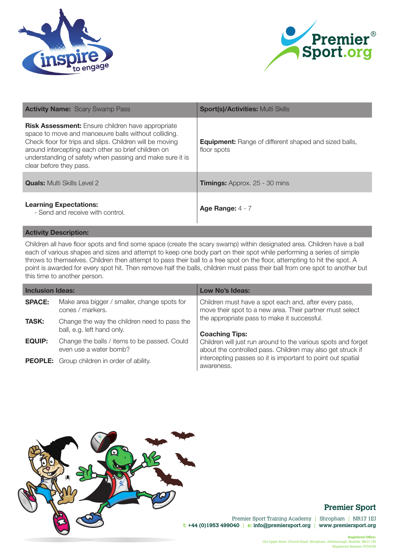



| <b>Activity Name:</b> Scary Swamp Pass                                                                                                                                                                                                                                                                                     | <b>Sport(s)/Activities: Multi Skills</b>                                    |
|----------------------------------------------------------------------------------------------------------------------------------------------------------------------------------------------------------------------------------------------------------------------------------------------------------------------------|-----------------------------------------------------------------------------|
| <b>Risk Assessment:</b> Ensure children have appropriate<br>space to move and manoeuvre balls without colliding.<br>Check floor for trips and slips. Children will be moving<br>around intercepting each other so brief children on<br>understanding of safety when passing and make sure it is<br>clear before they pass. | <b>Equipment:</b> Range of different shaped and sized balls,<br>floor spots |
| <b>Quals:</b> Multi Skills Level 2                                                                                                                                                                                                                                                                                         | <b>Timings:</b> Approx. 25 - 30 mins                                        |
| <b>Learning Expectations:</b><br>- Send and receive with control.                                                                                                                                                                                                                                                          | Age Range: $4 - 7$                                                          |

Children all have floor spots and find some space (create the scary swamp) within designated area. Children have a ball each of various shapes and sizes and attempt to keep one body part on their spot while performing a series of simple throws to themselves. Children then attempt to pass their ball to a free spot on the floor, attempting to hit the spot. A point is awarded for every spot hit. Then remove half the balls, children must pass their ball from one spot to another but this time to another person.

| <b>Inclusion Ideas:</b> |                                                                            | Low No's Ideas:                                                                                                             |
|-------------------------|----------------------------------------------------------------------------|-----------------------------------------------------------------------------------------------------------------------------|
| <b>SPACE:</b>           | Make area bigger / smaller, change spots for<br>cones / markers.           | Children must have a spot each and, after every pass,<br>move their spot to a new area. Their partner must select           |
| <b>TASK:</b>            | Change the way the children need to pass the<br>ball, e.g. left hand only. | the appropriate pass to make it successful.<br><b>Coaching Tips:</b>                                                        |
| <b>EQUIP:</b>           | Change the balls / items to be passed. Could<br>even use a water bomb?     | Children will just run around to the various spots and forget<br>about the controlled pass. Children may also get struck if |
|                         | <b>PEOPLE:</b> Group children in order of ability.                         | intercepting passes so it is important to point out spatial<br>awareness.                                                   |



## **Premier Sport**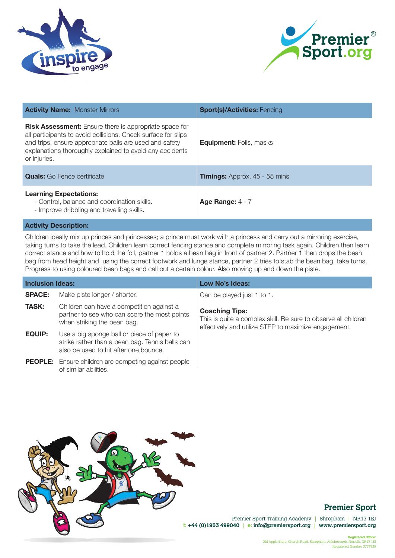



| <b>Activity Name: Monster Mirrors</b>                                                                                                                                                                                                                                 | <b>Sport(s)/Activities: Fencing</b>  |
|-----------------------------------------------------------------------------------------------------------------------------------------------------------------------------------------------------------------------------------------------------------------------|--------------------------------------|
| <b>Risk Assessment:</b> Ensure there is appropriate space for<br>all participants to avoid collisions. Check surface for slips<br>and trips, ensure appropriate balls are used and safety<br>explanations thoroughly explained to avoid any accidents<br>or injuries. | <b>Equipment:</b> Foils, masks       |
| <b>Quals:</b> Go Fence certificate                                                                                                                                                                                                                                    | <b>Timings:</b> Approx. 45 - 55 mins |
| <b>Learning Expectations:</b><br>- Control, balance and coordination skills.<br>- Improve dribbling and travelling skills.                                                                                                                                            | Age Range: $4 - 7$                   |

Children ideally mix up princes and princesses; a prince must work with a princess and carry out a mirroring exercise, taking turns to take the lead. Children learn correct fencing stance and complete mirroring task again. Children then learn correct stance and how to hold the foil, partner 1 holds a bean bag in front of partner 2. Partner 1 then drops the bean bag from head height and, using the correct footwork and lunge stance, partner 2 tries to stab the bean bag, take turns. Progress to using coloured bean bags and call out a certain colour. Also moving up and down the piste.

| <b>Inclusion Ideas:</b> |                                                                                                                                        | Low No's Ideas:                                                                                                                                 |
|-------------------------|----------------------------------------------------------------------------------------------------------------------------------------|-------------------------------------------------------------------------------------------------------------------------------------------------|
| <b>SPACE:</b>           | Make piste longer / shorter.                                                                                                           | Can be played just 1 to 1.                                                                                                                      |
| <b>TASK:</b>            | Children can have a competition against a<br>partner to see who can score the most points<br>when striking the bean bag.               | <b>Coaching Tips:</b><br>This is quite a complex skill. Be sure to observe all children<br>effectively and utilize STEP to maximize engagement. |
| <b>EQUIP:</b>           | Use a big sponge ball or piece of paper to<br>strike rather than a bean bag. Tennis balls can<br>also be used to hit after one bounce. |                                                                                                                                                 |
|                         | <b>PEOPLE:</b> Ensure children are competing against people<br>of similar abilities.                                                   |                                                                                                                                                 |



## **Premier Sport**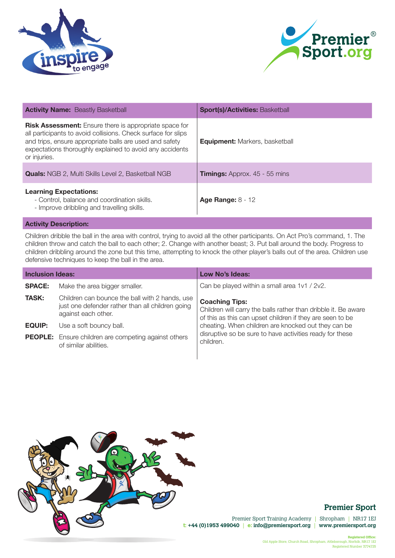



| <b>Activity Name: Beastly Basketball</b>                                                                                                                                                                                                                              | <b>Sport(s)/Activities: Basketball</b> |
|-----------------------------------------------------------------------------------------------------------------------------------------------------------------------------------------------------------------------------------------------------------------------|----------------------------------------|
| <b>Risk Assessment:</b> Ensure there is appropriate space for<br>all participants to avoid collisions. Check surface for slips<br>and trips, ensure appropriate balls are used and safety<br>expectations thoroughly explained to avoid any accidents<br>or injuries. | <b>Equipment:</b> Markers, basketball  |
| <b>Quals:</b> NGB 2, Multi Skills Level 2, Basketball NGB                                                                                                                                                                                                             | <b>Timings:</b> Approx. 45 - 55 mins   |
| <b>Learning Expectations:</b><br>- Control, balance and coordination skills.<br>- Improve dribbling and travelling skills.                                                                                                                                            | <b>Age Range: 8 - 12</b>               |

Children dribble the ball in the area with control, trying to avoid all the other participants. On Act Pro's command, 1. The children throw and catch the ball to each other; 2. Change with another beast; 3. Put ball around the body. Progress to children dribbling around the zone but this time, attempting to knock the other player's balls out of the area. Children use defensive techniques to keep the ball in the area.

| <b>Inclusion Ideas:</b> |                                                                                                                           | Low No's Ideas:                                                                                                                                      |
|-------------------------|---------------------------------------------------------------------------------------------------------------------------|------------------------------------------------------------------------------------------------------------------------------------------------------|
| <b>SPACE:</b>           | Make the area bigger smaller.                                                                                             | Can be played within a small area 1v1 / 2v2.                                                                                                         |
| <b>TASK:</b>            | Children can bounce the ball with 2 hands, use<br>just one defender rather than all children going<br>against each other. | <b>Coaching Tips:</b><br>Children will carry the balls rather than dribble it. Be aware<br>of this as this can upset children if they are seen to be |
| <b>EQUIP:</b>           | Use a soft bouncy ball.                                                                                                   | cheating. When children are knocked out they can be                                                                                                  |
|                         | <b>PEOPLE:</b> Ensure children are competing against others<br>of similar abilities.                                      | disruptive so be sure to have activities ready for these<br>children.                                                                                |



## **Premier Sport**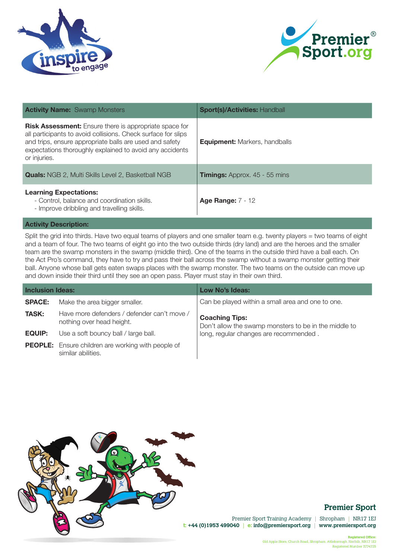



| <b>Activity Name:</b> Swamp Monsters                                                                                                                                                                                                                                  | <b>Sport(s)/Activities: Handball</b> |
|-----------------------------------------------------------------------------------------------------------------------------------------------------------------------------------------------------------------------------------------------------------------------|--------------------------------------|
| <b>Risk Assessment:</b> Ensure there is appropriate space for<br>all participants to avoid collisions. Check surface for slips<br>and trips, ensure appropriate balls are used and safety<br>expectations thoroughly explained to avoid any accidents<br>or injuries. | <b>Equipment:</b> Markers, handballs |
| <b>Quals:</b> NGB 2, Multi Skills Level 2, Basketball NGB                                                                                                                                                                                                             | <b>Timings:</b> Approx. 45 - 55 mins |
| <b>Learning Expectations:</b><br>- Control, balance and coordination skills.<br>- Improve dribbling and travelling skills.                                                                                                                                            | <b>Age Range: 7 - 12</b>             |

Split the grid into thirds. Have two equal teams of players and one smaller team e.g. twenty players = two teams of eight and a team of four. The two teams of eight go into the two outside thirds (dry land) and are the heroes and the smaller team are the swamp monsters in the swamp (middle third). One of the teams in the outside third have a ball each. On the Act Pro's command, they have to try and pass their ball across the swamp without a swamp monster getting their ball. Anyone whose ball gets eaten swaps places with the swamp monster. The two teams on the outside can move up and down inside their third until they see an open pass. Player must stay in their own third.

| <b>Inclusion Ideas:</b> |                                                                                 | Low No's Ideas:                                                                |
|-------------------------|---------------------------------------------------------------------------------|--------------------------------------------------------------------------------|
| <b>SPACE:</b>           | Make the area bigger smaller.                                                   | Can be played within a small area and one to one.                              |
| <b>TASK:</b>            | Have more defenders / defender can't move /<br>nothing over head height.        | <b>Coaching Tips:</b><br>Don't allow the swamp monsters to be in the middle to |
| <b>EQUIP:</b>           | Use a soft bouncy ball / large ball.                                            | long, regular changes are recommended.                                         |
|                         | <b>PEOPLE:</b> Ensure children are working with people of<br>similar abilities. |                                                                                |



## **Premier Sport**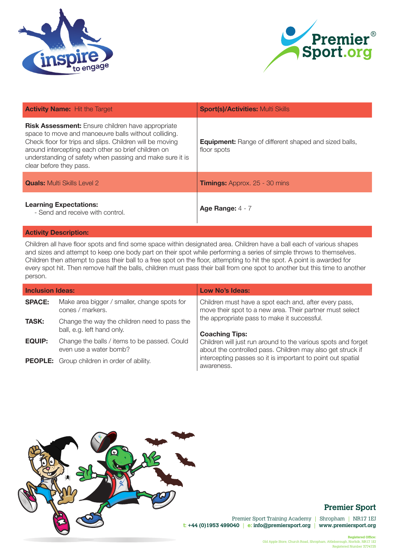



| <b>Activity Name:</b> Hit the Target                                                                                                                                                                                                                                                                                       | <b>Sport(s)/Activities: Multi Skills</b>                                    |
|----------------------------------------------------------------------------------------------------------------------------------------------------------------------------------------------------------------------------------------------------------------------------------------------------------------------------|-----------------------------------------------------------------------------|
| <b>Risk Assessment:</b> Ensure children have appropriate<br>space to move and manoeuvre balls without colliding.<br>Check floor for trips and slips. Children will be moving<br>around intercepting each other so brief children on<br>understanding of safety when passing and make sure it is<br>clear before they pass. | <b>Equipment:</b> Range of different shaped and sized balls,<br>floor spots |
| <b>Quals:</b> Multi Skills Level 2                                                                                                                                                                                                                                                                                         | <b>Timings:</b> Approx. 25 - 30 mins                                        |
| <b>Learning Expectations:</b><br>- Send and receive with control.                                                                                                                                                                                                                                                          | Age Range: $4 - 7$                                                          |

Children all have floor spots and find some space within designated area. Children have a ball each of various shapes and sizes and attempt to keep one body part on their spot while performing a series of simple throws to themselves. Children then attempt to pass their ball to a free spot on the floor, attempting to hit the spot. A point is awarded for every spot hit. Then remove half the balls, children must pass their ball from one spot to another but this time to another person.

| <b>Inclusion Ideas:</b> |                                                                            | Low No's Ideas:                                                                                                             |
|-------------------------|----------------------------------------------------------------------------|-----------------------------------------------------------------------------------------------------------------------------|
| <b>SPACE:</b>           | Make area bigger / smaller, change spots for<br>cones / markers.           | Children must have a spot each and, after every pass,<br>move their spot to a new area. Their partner must select           |
| <b>TASK:</b>            | Change the way the children need to pass the<br>ball, e.g. left hand only. | the appropriate pass to make it successful.<br><b>Coaching Tips:</b>                                                        |
| <b>EQUIP:</b>           | Change the balls / items to be passed. Could<br>even use a water bomb?     | Children will just run around to the various spots and forget<br>about the controlled pass. Children may also get struck if |
|                         | <b>PEOPLE:</b> Group children in order of ability.                         | intercepting passes so it is important to point out spatial<br>awareness.                                                   |



# **Premier Sport**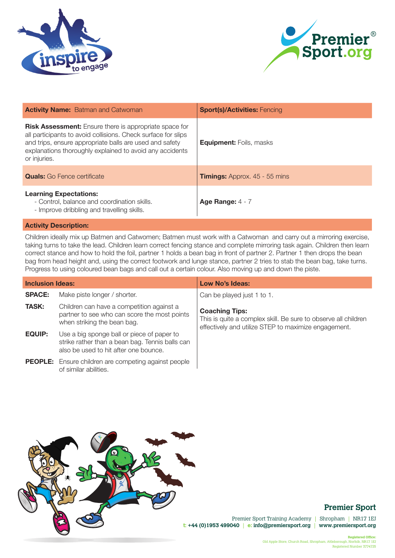



| <b>Activity Name:</b> Batman and Catwoman                                                                                                                                                                                                                             | <b>Sport(s)/Activities: Fencing</b>  |
|-----------------------------------------------------------------------------------------------------------------------------------------------------------------------------------------------------------------------------------------------------------------------|--------------------------------------|
| <b>Risk Assessment:</b> Ensure there is appropriate space for<br>all participants to avoid collisions. Check surface for slips<br>and trips, ensure appropriate balls are used and safety<br>explanations thoroughly explained to avoid any accidents<br>or injuries. | <b>Equipment: Foils, masks</b>       |
| <b>Quals:</b> Go Fence certificate                                                                                                                                                                                                                                    | <b>Timings:</b> Approx. 45 - 55 mins |
| <b>Learning Expectations:</b><br>- Control, balance and coordination skills.<br>- Improve dribbling and travelling skills.                                                                                                                                            | Age Range: $4 - 7$                   |

Children ideally mix up Batmen and Catwomen; Batmen must work with a Catwoman and carry out a mirroring exercise, taking turns to take the lead. Children learn correct fencing stance and complete mirroring task again. Children then learn correct stance and how to hold the foil, partner 1 holds a bean bag in front of partner 2. Partner 1 then drops the bean bag from head height and, using the correct footwork and lunge stance, partner 2 tries to stab the bean bag, take turns. Progress to using coloured bean bags and call out a certain colour. Also moving up and down the piste.

| <b>Inclusion Ideas:</b> |                                                                                                                                        | Low No's Ideas:                                                                                                                                 |
|-------------------------|----------------------------------------------------------------------------------------------------------------------------------------|-------------------------------------------------------------------------------------------------------------------------------------------------|
| <b>SPACE:</b>           | Make piste longer / shorter.                                                                                                           | Can be played just 1 to 1.                                                                                                                      |
| <b>TASK:</b>            | Children can have a competition against a<br>partner to see who can score the most points<br>when striking the bean bag.               | <b>Coaching Tips:</b><br>This is quite a complex skill. Be sure to observe all children<br>effectively and utilize STEP to maximize engagement. |
| <b>EQUIP:</b>           | Use a big sponge ball or piece of paper to<br>strike rather than a bean bag. Tennis balls can<br>also be used to hit after one bounce. |                                                                                                                                                 |
|                         | <b>PEOPLE:</b> Ensure children are competing against people<br>of similar abilities.                                                   |                                                                                                                                                 |



## **Premier Sport**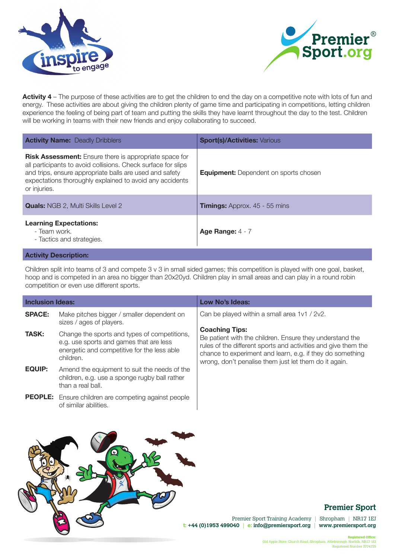



**Activity 4** – The purpose of these activities are to get the children to end the day on a competitive note with lots of fun and energy. These activities are about giving the children plenty of game time and participating in competitions, letting children experience the feeling of being part of team and putting the skills they have learnt throughout the day to the test. Children will be working in teams with their new friends and enjoy collaborating to succeed.

| <b>Activity Name: Deadly Dribblers</b>                                                                                                                                                                                                                                | <b>Sport(s)/Activities: Various</b>          |
|-----------------------------------------------------------------------------------------------------------------------------------------------------------------------------------------------------------------------------------------------------------------------|----------------------------------------------|
| <b>Risk Assessment:</b> Ensure there is appropriate space for<br>all participants to avoid collisions. Check surface for slips<br>and trips, ensure appropriate balls are used and safety<br>expectations thoroughly explained to avoid any accidents<br>or injuries. | <b>Equipment:</b> Dependent on sports chosen |
| <b>Quals:</b> NGB 2, Multi Skills Level 2                                                                                                                                                                                                                             | <b>Timings:</b> Approx. 45 - 55 mins         |
| <b>Learning Expectations:</b><br>- Team work.<br>- Tactics and strategies.                                                                                                                                                                                            | Age Range: $4 - 7$                           |
| <b>Activity Description:</b>                                                                                                                                                                                                                                          |                                              |

Children split into teams of 3 and compete 3 v 3 in small sided games; this competition is played with one goal, basket, hoop and is competed in an area no bigger than 20x20yd. Children play in small areas and can play in a round robin competition or even use different sports.

| <b>Inclusion Ideas:</b> |                                                                                                                                                     | Low No's Ideas:                                                                                                                                                                                                                                                           |
|-------------------------|-----------------------------------------------------------------------------------------------------------------------------------------------------|---------------------------------------------------------------------------------------------------------------------------------------------------------------------------------------------------------------------------------------------------------------------------|
| <b>SPACE:</b>           | Make pitches bigger / smaller dependent on<br>sizes / ages of players.                                                                              | Can be played within a small area 1v1 / 2v2.                                                                                                                                                                                                                              |
| <b>TASK:</b>            | Change the sports and types of competitions,<br>e.g. use sports and games that are less<br>energetic and competitive for the less able<br>children. | <b>Coaching Tips:</b><br>Be patient with the children. Ensure they understand the<br>rules of the different sports and activities and give them the<br>chance to experiment and learn, e.g. if they do something<br>wrong, don't penalise them just let them do it again. |
| <b>EQUIP:</b>           | Amend the equipment to suit the needs of the<br>children, e.g. use a sponge rugby ball rather<br>than a real ball.                                  |                                                                                                                                                                                                                                                                           |
|                         | <b>PEOPLE:</b> Ensure children are competing against people<br>of similar abilities.                                                                |                                                                                                                                                                                                                                                                           |



# **Premier Sport**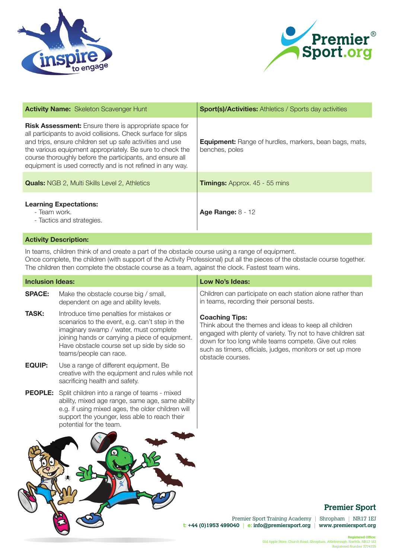



| <b>Activity Name:</b> Skeleton Scavenger Hunt                                                                                                                                                                                                                                                                                                                                       | <b>Sport(s)/Activities:</b> Athletics / Sports day activities                   |
|-------------------------------------------------------------------------------------------------------------------------------------------------------------------------------------------------------------------------------------------------------------------------------------------------------------------------------------------------------------------------------------|---------------------------------------------------------------------------------|
| <b>Risk Assessment:</b> Ensure there is appropriate space for<br>all participants to avoid collisions. Check surface for slips<br>and trips, ensure children set up safe activities and use<br>the various equipment appropriately. Be sure to check the<br>course thoroughly before the participants, and ensure all<br>equipment is used correctly and is not refined in any way. | <b>Equipment:</b> Range of hurdles, markers, bean bags, mats,<br>benches, poles |
| <b>Quals:</b> NGB 2, Multi Skills Level 2, Athletics                                                                                                                                                                                                                                                                                                                                | <b>Timings:</b> Approx. 45 - 55 mins                                            |
| <b>Learning Expectations:</b><br>- Team work.<br>- Tactics and strategies.                                                                                                                                                                                                                                                                                                          | <b>Age Range: 8 - 12</b>                                                        |
| <b>Activity Description:</b>                                                                                                                                                                                                                                                                                                                                                        |                                                                                 |

# In teams, children think of and create a part of the obstacle course using a range of equipment.

Once complete, the children (with support of the Activity Professional) put all the pieces of the obstacle course together. The children then complete the obstacle course as a team, against the clock. Fastest team wins.

| Low No's Ideas:                                                                                                                                                                                                                                                                                                                                                                              |
|----------------------------------------------------------------------------------------------------------------------------------------------------------------------------------------------------------------------------------------------------------------------------------------------------------------------------------------------------------------------------------------------|
| Children can participate on each station alone rather than<br>in teams, recording their personal bests.                                                                                                                                                                                                                                                                                      |
| <b>Coaching Tips:</b><br>Think about the themes and ideas to keep all children<br>engaged with plenty of variety. Try not to have children sat<br>joining hands or carrying a piece of equipment.<br>down for too long while teams compete. Give out roles<br>Have obstacle course set up side by side so<br>such as timers, officials, judges, monitors or set up more<br>obstacle courses. |
| creative with the equipment and rules while not                                                                                                                                                                                                                                                                                                                                              |
| ability, mixed age range, same age, same ability<br>e.g. if using mixed ages, the older children will<br>support the younger, less able to reach their                                                                                                                                                                                                                                       |
| <b>Premier Sport</b><br>Premier Sport Training Academy<br>Shropham   NR17 1EJ<br>$t$ : +44 (0)1953 499040<br>e: info@premiersport.org<br>www.premiersport.org                                                                                                                                                                                                                                |
| scenarios to the event, e.g. can't step in the                                                                                                                                                                                                                                                                                                                                               |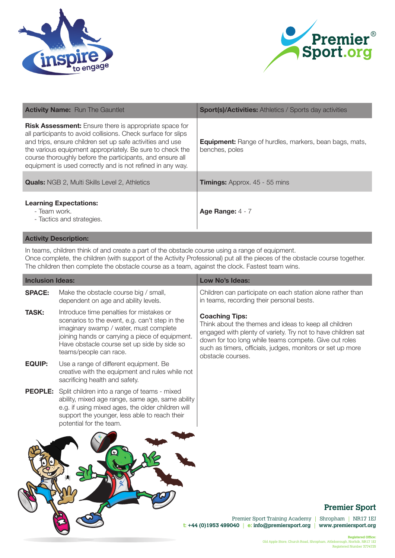



| <b>Activity Name:</b> Run The Gauntlet                                                                                                                                                                                                                                                                                                                                              | <b>Sport(s)/Activities:</b> Athletics / Sports day activities                   |
|-------------------------------------------------------------------------------------------------------------------------------------------------------------------------------------------------------------------------------------------------------------------------------------------------------------------------------------------------------------------------------------|---------------------------------------------------------------------------------|
| <b>Risk Assessment:</b> Ensure there is appropriate space for<br>all participants to avoid collisions. Check surface for slips<br>and trips, ensure children set up safe activities and use<br>the various equipment appropriately. Be sure to check the<br>course thoroughly before the participants, and ensure all<br>equipment is used correctly and is not refined in any way. | <b>Equipment:</b> Range of hurdles, markers, bean bags, mats,<br>benches, poles |
| <b>Quals:</b> NGB 2, Multi Skills Level 2, Athletics                                                                                                                                                                                                                                                                                                                                | <b>Timings:</b> Approx. 45 - 55 mins                                            |
| <b>Learning Expectations:</b><br>- Team work.<br>- Tactics and strategies.                                                                                                                                                                                                                                                                                                          | Age Range: $4 - 7$                                                              |

In teams, children think of and create a part of the obstacle course using a range of equipment. Once complete, the children (with support of the Activity Professional) put all the pieces of the obstacle course together. The children then complete the obstacle course as a team, against the clock. Fastest team wins.

| <b>Inclusion Ideas:</b> |                                                                                                                                                                                                                                                                  | Low No's Ideas:                                                                                                                                                                                                                                                                            |
|-------------------------|------------------------------------------------------------------------------------------------------------------------------------------------------------------------------------------------------------------------------------------------------------------|--------------------------------------------------------------------------------------------------------------------------------------------------------------------------------------------------------------------------------------------------------------------------------------------|
| <b>SPACE:</b>           | Make the obstacle course big / small,<br>dependent on age and ability levels.                                                                                                                                                                                    | Children can participate on each station alone rather than<br>in teams, recording their personal bests.                                                                                                                                                                                    |
| <b>TASK:</b>            | Introduce time penalties for mistakes or<br>scenarios to the event, e.g. can't step in the<br>imaginary swamp / water, must complete<br>joining hands or carrying a piece of equipment.<br>Have obstacle course set up side by side so<br>teams/people can race. | <b>Coaching Tips:</b><br>Think about the themes and ideas to keep all children<br>engaged with plenty of variety. Try not to have children sat<br>down for too long while teams compete. Give out roles<br>such as timers, officials, judges, monitors or set up more<br>obstacle courses. |
| <b>EQUIP:</b>           | Use a range of different equipment. Be<br>creative with the equipment and rules while not<br>sacrificing health and safety.                                                                                                                                      |                                                                                                                                                                                                                                                                                            |
|                         | <b>PEOPLE:</b> Split children into a range of teams - mixed<br>ability, mixed age range, same age, same ability<br>e.g. if using mixed ages, the older children will<br>support the younger, less able to reach their<br>potential for the team.                 |                                                                                                                                                                                                                                                                                            |
|                         |                                                                                                                                                                                                                                                                  | <b>Premier Sport</b><br>Premier Sport Training Academy<br>Shropham<br><b>NR17 1EJ</b>                                                                                                                                                                                                      |

**t: +44 (0)1953 499040** | **e: info@premiersport.org** | **www.premiersport.org**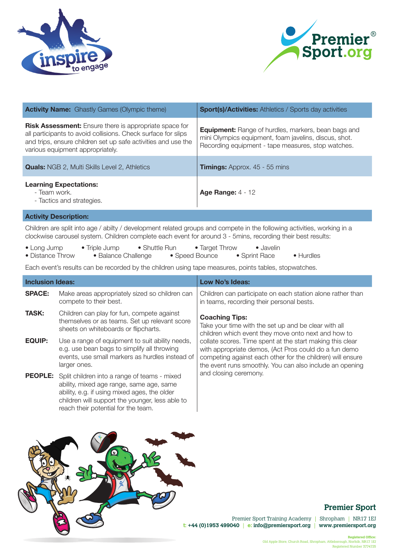



| <b>Activity Name:</b> Ghastly Games (Olympic theme)                                                                                                                                                                                 | <b>Sport(s)/Activities:</b> Athletics / Sports day activities                                                                                                             |
|-------------------------------------------------------------------------------------------------------------------------------------------------------------------------------------------------------------------------------------|---------------------------------------------------------------------------------------------------------------------------------------------------------------------------|
| <b>Risk Assessment:</b> Ensure there is appropriate space for<br>all participants to avoid collisions. Check surface for slips<br>and trips, ensure children set up safe activities and use the<br>various equipment appropriately. | <b>Equipment:</b> Range of hurdles, markers, bean bags and<br>mini Olympics equipment, foam javelins, discus, shot.<br>Recording equipment - tape measures, stop watches. |
| <b>Quals:</b> NGB 2, Multi Skills Level 2, Athletics                                                                                                                                                                                | <b>Timings:</b> Approx. 45 - 55 mins                                                                                                                                      |
| <b>Learning Expectations:</b><br>- Team work.<br>- Tactics and strategies.                                                                                                                                                          | <b>Age Range: 4 - 12</b>                                                                                                                                                  |

Children are split into age / abilty / development related groups and compete in the following activities, working in a clockwise carousel system. Children complete each event for around 3 - 5mins, recording their best results:

| $\bullet$ Long Jump | $\bullet$ Triple Jump | $\bullet$ Shuttle Run | • Target Throw | $\bullet$ Javelin |                   |
|---------------------|-----------------------|-----------------------|----------------|-------------------|-------------------|
| • Distance Throw    | • Balance Challenge   |                       | • Speed Bounce | • Sprint Race     | $\bullet$ Hurdles |

Each event's results can be recorded by the children using tape measures, points tables, stopwatches.

| <b>Inclusion Ideas:</b> |                                                                                                                                                                                                                                                   | Low No's Ideas:                                                                                                                                                                                                                              |  |
|-------------------------|---------------------------------------------------------------------------------------------------------------------------------------------------------------------------------------------------------------------------------------------------|----------------------------------------------------------------------------------------------------------------------------------------------------------------------------------------------------------------------------------------------|--|
| <b>SPACE:</b>           | Make areas appropriately sized so children can<br>compete to their best.                                                                                                                                                                          | Children can participate on each station alone rather than<br>in teams, recording their personal bests.                                                                                                                                      |  |
| <b>TASK:</b>            | Children can play for fun, compete against<br>themselves or as teams. Set up relevant score<br>sheets on whiteboards or flipcharts.                                                                                                               | <b>Coaching Tips:</b><br>Take your time with the set up and be clear with all<br>children which event they move onto next and how to                                                                                                         |  |
| <b>EQUIP:</b>           | Use a range of equipment to suit ability needs,<br>e.g. use bean bags to simplify all throwing<br>events, use small markers as hurdles instead of<br>larger ones.                                                                                 | collate scores. Time spent at the start making this clear<br>with appropriate demos, (Act Pros could do a fun demo<br>competing against each other for the children) will ensure<br>the event runs smoothly. You can also include an opening |  |
|                         | <b>PEOPLE:</b> Split children into a range of teams - mixed<br>ability, mixed age range, same age, same<br>ability, e.g. if using mixed ages, the older<br>children will support the younger, less able to<br>reach their potential for the team. | and closing ceremony.                                                                                                                                                                                                                        |  |



# **Premier Sport**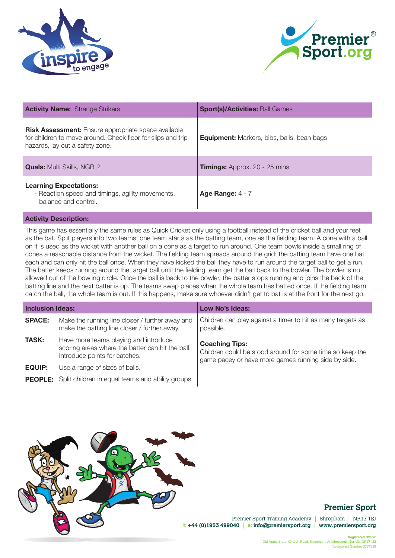



| <b>Activity Name: Strange Strikers</b>                                                                                                                       | <b>Sport(s)/Activities: Ball Games</b>            |
|--------------------------------------------------------------------------------------------------------------------------------------------------------------|---------------------------------------------------|
| <b>Risk Assessment:</b> Ensure appropriate space available<br>for children to move around. Check floor for slips and trip<br>hazards, lay out a safety zone. | <b>Equipment:</b> Markers, bibs, balls, bean bags |
| <b>Quals:</b> Multi Skills, NGB 2                                                                                                                            | <b>Timings:</b> Approx. 20 - 25 mins              |
| <b>Learning Expectations:</b><br>- Reaction speed and timings, agility movements,<br>balance and control.                                                    | Age Range: $4 - 7$                                |

This game has essentially the same rules as Quick Cricket only using a football instead of the cricket ball and your feet as the bat. Split players into two teams; one team starts as the batting team, one as the fielding team. A cone with a ball on it is used as the wicket with another ball on a cone as a target to run around. One team bowls inside a small ring of cones a reasonable distance from the wicket. The fielding team spreads around the grid; the batting team have one bat each and can only hit the ball once. When they have kicked the ball they have to run around the target ball to get a run. The batter keeps running around the target ball until the fielding team get the ball back to the bowler. The bowler is not allowed out of the bowling circle. Once the ball is back to the bowler, the batter stops running and joins the back of the batting line and the next batter is up. The teams swap places when the whole team has batted once. If the fielding team catch the ball, the whole team is out. If this happens, make sure whoever didn't get to bat is at the front for the next go.

| <b>Inclusion Ideas:</b> |                                                                                                                            | Low No's Ideas:                                                                                                                          |
|-------------------------|----------------------------------------------------------------------------------------------------------------------------|------------------------------------------------------------------------------------------------------------------------------------------|
| <b>SPACE:</b>           | Make the running line closer / further away and<br>make the batting line closer / further away.                            | Children can play against a timer to hit as many targets as<br>possible.                                                                 |
| <b>TASK:</b>            | Have more teams playing and introduce<br>scoring areas where the batter can hit the ball.<br>Introduce points for catches. | <b>Coaching Tips:</b><br>Children could be stood around for some time so keep the<br>game pacey or have more games running side by side. |
| <b>EQUIP:</b>           | Use a range of sizes of balls.                                                                                             |                                                                                                                                          |
|                         | <b>PEOPLE:</b> Split children in equal teams and ability groups.                                                           |                                                                                                                                          |



## **Premier Sport**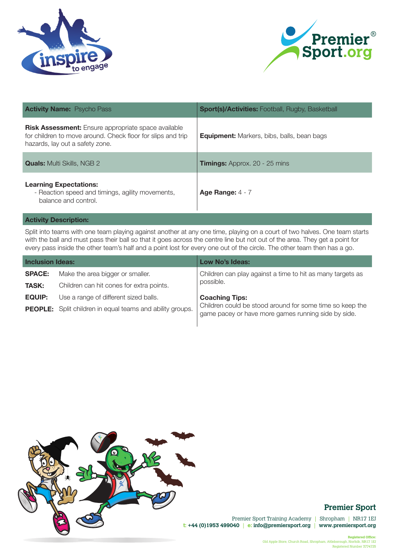



| <b>Activity Name: Psycho Pass</b>                                                                                                                            | <b>Sport(s)/Activities: Football, Rugby, Basketball</b> |
|--------------------------------------------------------------------------------------------------------------------------------------------------------------|---------------------------------------------------------|
| <b>Risk Assessment:</b> Ensure appropriate space available<br>for children to move around. Check floor for slips and trip<br>hazards, lay out a safety zone. | <b>Equipment:</b> Markers, bibs, balls, bean bags       |
| <b>Quals:</b> Multi Skills, NGB 2                                                                                                                            | <b>Timings:</b> Approx. 20 - 25 mins                    |
| <b>Learning Expectations:</b><br>- Reaction speed and timings, agility movements,<br>balance and control.                                                    | Age Range: $4 - 7$                                      |

Split into teams with one team playing against another at any one time, playing on a court of two halves. One team starts with the ball and must pass their ball so that it goes across the centre line but not out of the area. They get a point for every pass inside the other team's half and a point lost for every one out of the circle. The other team then has a go.

| <b>Inclusion Ideas:</b> |                                                                  | <b>Low No's Ideas:</b>                                                                                          |
|-------------------------|------------------------------------------------------------------|-----------------------------------------------------------------------------------------------------------------|
| <b>SPACE:</b>           | Make the area bigger or smaller.                                 | Children can play against a time to hit as many targets as                                                      |
| <b>TASK:</b>            | Children can hit cones for extra points.                         | possible.                                                                                                       |
| <b>EQUIP:</b>           | Use a range of different sized balls.                            | <b>Coaching Tips:</b>                                                                                           |
|                         | <b>PEOPLE:</b> Split children in equal teams and ability groups. | Children could be stood around for some time so keep the<br>game pacey or have more games running side by side. |
|                         |                                                                  |                                                                                                                 |



## **Premier Sport**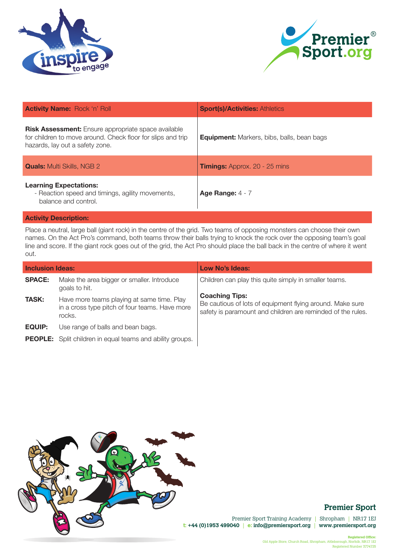



| <b>Activity Name: Rock 'n' Roll</b>                                                                                                                          | <b>Sport(s)/Activities: Athletics</b>             |
|--------------------------------------------------------------------------------------------------------------------------------------------------------------|---------------------------------------------------|
| <b>Risk Assessment:</b> Ensure appropriate space available<br>for children to move around. Check floor for slips and trip<br>hazards, lay out a safety zone. | <b>Equipment:</b> Markers, bibs, balls, bean bags |
| <b>Quals:</b> Multi Skills, NGB 2                                                                                                                            | <b>Timings:</b> Approx. 20 - 25 mins              |
| <b>Learning Expectations:</b><br>- Reaction speed and timings, agility movements,<br>balance and control.                                                    | Age Range: $4 - 7$                                |

Place a neutral, large ball (giant rock) in the centre of the grid. Two teams of opposing monsters can choose their own names. On the Act Pro's command, both teams throw their balls trying to knock the rock over the opposing team's goal line and score. If the giant rock goes out of the grid, the Act Pro should place the ball back in the centre of where it went out.

| <b>Inclusion Ideas:</b> |                                                                                                        | Low No's Ideas:                                                                                                                                   |  |  |
|-------------------------|--------------------------------------------------------------------------------------------------------|---------------------------------------------------------------------------------------------------------------------------------------------------|--|--|
| <b>SPACE:</b>           | Make the area bigger or smaller. Introduce<br>goals to hit.                                            | Children can play this quite simply in smaller teams.                                                                                             |  |  |
| <b>TASK:</b>            | Have more teams playing at same time. Play<br>in a cross type pitch of four teams. Have more<br>rocks. | <b>Coaching Tips:</b><br>Be cautious of lots of equipment flying around. Make sure<br>safety is paramount and children are reminded of the rules. |  |  |
| <b>EQUIP:</b>           | Use range of balls and bean bags.                                                                      |                                                                                                                                                   |  |  |
|                         | <b>PEOPLE:</b> Split children in equal teams and ability groups.                                       |                                                                                                                                                   |  |  |



# **Premier Sport**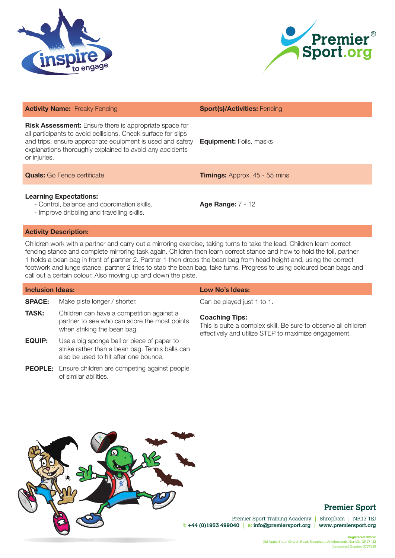



| <b>Activity Name:</b> Freaky Fencing                                                                                                                                                                                                                                     | <b>Sport(s)/Activities: Fencing</b>  |
|--------------------------------------------------------------------------------------------------------------------------------------------------------------------------------------------------------------------------------------------------------------------------|--------------------------------------|
| <b>Risk Assessment:</b> Ensure there is appropriate space for<br>all participants to avoid collisions. Check surface for slips<br>and trips, ensure appropriate equipment is used and safety<br>explanations thoroughly explained to avoid any accidents<br>or injuries. | <b>Equipment:</b> Foils, masks       |
| <b>Quals:</b> Go Fence certificate                                                                                                                                                                                                                                       | <b>Timings:</b> Approx. 45 - 55 mins |
| <b>Learning Expectations:</b><br>- Control, balance and coordination skills.<br>- Improve dribbling and travelling skills.                                                                                                                                               | <b>Age Range: 7 - 12</b>             |

Children work with a partner and carry out a mirroring exercise, taking turns to take the lead. Children learn correct fencing stance and complete mirroring task again. Children then learn correct stance and how to hold the foil, partner 1 holds a bean bag in front of partner 2. Partner 1 then drops the bean bag from head height and, using the correct footwork and lunge stance, partner 2 tries to stab the bean bag, take turns. Progress to using coloured bean bags and call out a certain colour. Also moving up and down the piste.

| <b>Inclusion Ideas:</b> |                                                                                                                                        | Low No's Ideas:                                                                                                                                 |  |
|-------------------------|----------------------------------------------------------------------------------------------------------------------------------------|-------------------------------------------------------------------------------------------------------------------------------------------------|--|
| <b>SPACE:</b>           | Make piste longer / shorter.                                                                                                           | Can be played just 1 to 1.                                                                                                                      |  |
| <b>TASK:</b>            | Children can have a competition against a<br>partner to see who can score the most points<br>when striking the bean bag.               | <b>Coaching Tips:</b><br>This is quite a complex skill. Be sure to observe all children<br>effectively and utilize STEP to maximize engagement. |  |
| <b>EQUIP:</b>           | Use a big sponge ball or piece of paper to<br>strike rather than a bean bag. Tennis balls can<br>also be used to hit after one bounce. |                                                                                                                                                 |  |
|                         | <b>PEOPLE:</b> Ensure children are competing against people<br>of similar abilities.                                                   |                                                                                                                                                 |  |



## **Premier Sport**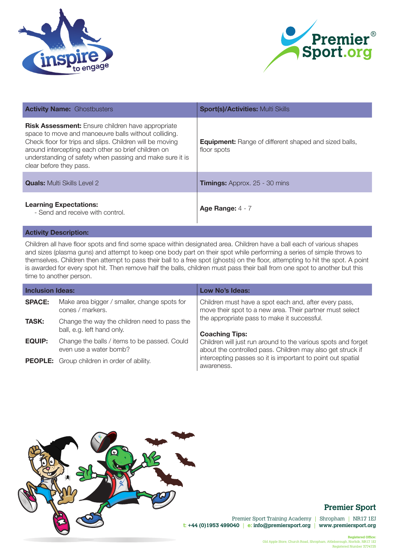



| <b>Activity Name: Ghostbusters</b>                                                                                                                                                                                                                                                                                         | <b>Sport(s)/Activities: Multi Skills</b>                                    |
|----------------------------------------------------------------------------------------------------------------------------------------------------------------------------------------------------------------------------------------------------------------------------------------------------------------------------|-----------------------------------------------------------------------------|
| <b>Risk Assessment:</b> Ensure children have appropriate<br>space to move and manoeuvre balls without colliding.<br>Check floor for trips and slips. Children will be moving<br>around intercepting each other so brief children on<br>understanding of safety when passing and make sure it is<br>clear before they pass. | <b>Equipment:</b> Range of different shaped and sized balls,<br>floor spots |
| <b>Quals:</b> Multi Skills Level 2                                                                                                                                                                                                                                                                                         | <b>Timings:</b> Approx. 25 - 30 mins                                        |
| <b>Learning Expectations:</b><br>- Send and receive with control.                                                                                                                                                                                                                                                          | Age Range: $4 - 7$                                                          |

Children all have floor spots and find some space within designated area. Children have a ball each of various shapes and sizes (plasma guns) and attempt to keep one body part on their spot while performing a series of simple throws to themselves. Children then attempt to pass their ball to a free spot (ghosts) on the floor, attempting to hit the spot. A point is awarded for every spot hit. Then remove half the balls, children must pass their ball from one spot to another but this time to another person.

| <b>Inclusion Ideas:</b> |                                                                            | Low No's Ideas:                                                                                                             |  |
|-------------------------|----------------------------------------------------------------------------|-----------------------------------------------------------------------------------------------------------------------------|--|
| <b>SPACE:</b>           | Make area bigger / smaller, change spots for<br>cones / markers.           | Children must have a spot each and, after every pass,<br>move their spot to a new area. Their partner must select           |  |
| <b>TASK:</b>            | Change the way the children need to pass the<br>ball, e.g. left hand only. | the appropriate pass to make it successful.<br><b>Coaching Tips:</b>                                                        |  |
| <b>EQUIP:</b>           | Change the balls / items to be passed. Could<br>even use a water bomb?     | Children will just run around to the various spots and forget<br>about the controlled pass. Children may also get struck if |  |
|                         | <b>PEOPLE:</b> Group children in order of ability.                         | intercepting passes so it is important to point out spatial<br>awareness.                                                   |  |



## **Premier Sport**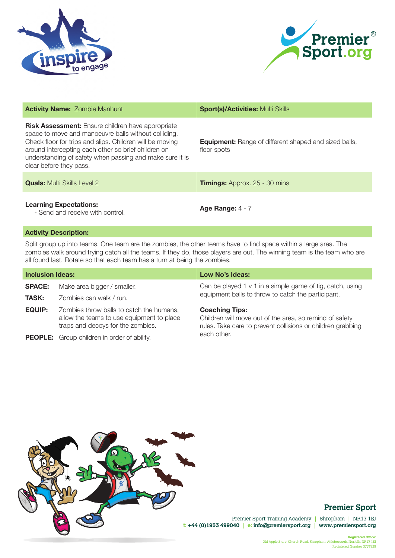



| <b>Activity Name: Zombie Manhunt</b>                                                                                                                                                                                                                                                                                       | <b>Sport(s)/Activities: Multi Skills</b>                                    |  |
|----------------------------------------------------------------------------------------------------------------------------------------------------------------------------------------------------------------------------------------------------------------------------------------------------------------------------|-----------------------------------------------------------------------------|--|
| <b>Risk Assessment:</b> Ensure children have appropriate<br>space to move and manoeuvre balls without colliding.<br>Check floor for trips and slips. Children will be moving<br>around intercepting each other so brief children on<br>understanding of safety when passing and make sure it is<br>clear before they pass. | <b>Equipment:</b> Range of different shaped and sized balls,<br>floor spots |  |
| <b>Quals:</b> Multi Skills Level 2                                                                                                                                                                                                                                                                                         | <b>Timings:</b> Approx. 25 - 30 mins                                        |  |
| <b>Learning Expectations:</b><br>- Send and receive with control.                                                                                                                                                                                                                                                          | Age Range: $4 - 7$                                                          |  |

Split group up into teams. One team are the zombies, the other teams have to find space within a large area. The zombies walk around trying catch all the teams. If they do, those players are out. The winning team is the team who are all found last. Rotate so that each team has a turn at being the zombies.

| <b>Inclusion Ideas:</b> |                                                                                                                            | Low No's Ideas:                                                                                                                                 |  |
|-------------------------|----------------------------------------------------------------------------------------------------------------------------|-------------------------------------------------------------------------------------------------------------------------------------------------|--|
| <b>SPACE:</b>           | Make area bigger / smaller.                                                                                                | Can be played 1 $v$ 1 in a simple game of tig, catch, using                                                                                     |  |
| <b>TASK:</b>            | Zombies can walk / run.                                                                                                    | equipment balls to throw to catch the participant.                                                                                              |  |
| <b>EQUIP:</b>           | Zombies throw balls to catch the humans,<br>allow the teams to use equipment to place<br>traps and decoys for the zombies. | <b>Coaching Tips:</b><br>Children will move out of the area, so remind of safety<br>rules. Take care to prevent collisions or children grabbing |  |
|                         | <b>PEOPLE:</b> Group children in order of ability.                                                                         | each other.                                                                                                                                     |  |



# **Premier Sport**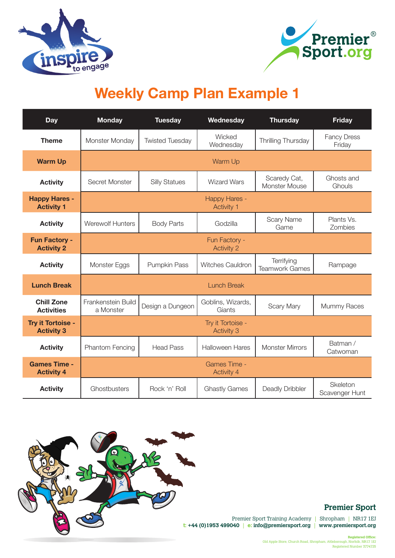



# **Weekly Camp Plan Example 1**

| <b>Day</b>                                | <b>Monday</b>                             | <b>Tuesday</b>         | Wednesday                              | <b>Thursday</b>                     | <b>Friday</b>                |  |
|-------------------------------------------|-------------------------------------------|------------------------|----------------------------------------|-------------------------------------|------------------------------|--|
| <b>Theme</b>                              | Monster Monday                            | <b>Twisted Tuesday</b> | Wicked<br>Wednesday                    | Thrilling Thursday                  | <b>Fancy Dress</b><br>Friday |  |
| <b>Warm Up</b>                            | Warm Up                                   |                        |                                        |                                     |                              |  |
| <b>Activity</b>                           | Secret Monster                            | <b>Silly Statues</b>   | <b>Wizard Wars</b>                     | Scaredy Cat,<br>Monster Mouse       | Ghosts and<br>Ghouls         |  |
| <b>Happy Hares -</b><br><b>Activity 1</b> | <b>Happy Hares -</b><br><b>Activity 1</b> |                        |                                        |                                     |                              |  |
| <b>Activity</b>                           | Werewolf Hunters                          | <b>Body Parts</b>      | Godzilla                               | <b>Scary Name</b><br>Game           | Plants Vs.<br>Zombies        |  |
| <b>Fun Factory -</b><br><b>Activity 2</b> | Fun Factory -<br><b>Activity 2</b>        |                        |                                        |                                     |                              |  |
| <b>Activity</b>                           | Monster Eggs                              | Pumpkin Pass           | Witches Cauldron                       | Terrifying<br><b>Teamwork Games</b> | Rampage                      |  |
| <b>Lunch Break</b>                        | <b>Lunch Break</b>                        |                        |                                        |                                     |                              |  |
| <b>Chill Zone</b><br><b>Activities</b>    | Frankenstein Build<br>a Monster           | Design a Dungeon       | Goblins, Wizards,<br>Giants            | <b>Scary Mary</b>                   | Mummy Races                  |  |
| Try it Tortoise -<br><b>Activity 3</b>    |                                           |                        | Try it Tortoise -<br><b>Activity 3</b> |                                     |                              |  |
| <b>Activity</b>                           | Phantom Fencing                           | <b>Head Pass</b>       | <b>Halloween Hares</b>                 | <b>Monster Mirrors</b>              | Batman /<br>Catwoman         |  |
| <b>Games Time -</b><br><b>Activity 4</b>  | <b>Games Time -</b><br><b>Activity 4</b>  |                        |                                        |                                     |                              |  |
| <b>Activity</b>                           | Ghostbusters                              | Rock 'n' Roll          | <b>Ghastly Games</b>                   | Deadly Dribbler                     | Skeleton<br>Scavenger Hunt   |  |



# **Premier Sport**